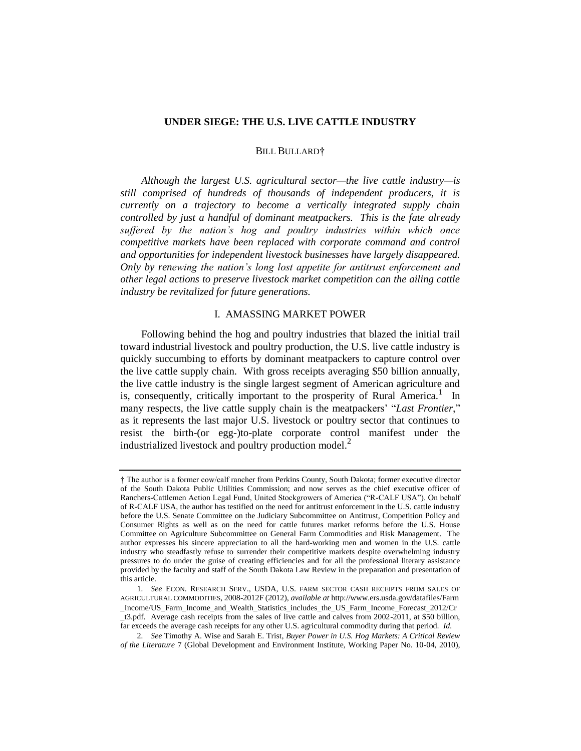## **UNDER SIEGE: THE U.S. LIVE CATTLE INDUSTRY**

## BILL BULLARD**†**

*Although the largest U.S. agricultural sector—the live cattle industry—is still comprised of hundreds of thousands of independent producers, it is currently on a trajectory to become a vertically integrated supply chain controlled by just a handful of dominant meatpackers. This is the fate already suffered by the nation's hog and poultry industries within which once competitive markets have been replaced with corporate command and control and opportunities for independent livestock businesses have largely disappeared. Only by renewing the nation's long lost appetite for antitrust enforcement and other legal actions to preserve livestock market competition can the ailing cattle industry be revitalized for future generations.*

# <span id="page-0-0"></span>I. AMASSING MARKET POWER

Following behind the hog and poultry industries that blazed the initial trail toward industrial livestock and poultry production, the U.S. live cattle industry is quickly succumbing to efforts by dominant meatpackers to capture control over the live cattle supply chain. With gross receipts averaging \$50 billion annually, the live cattle industry is the single largest segment of American agriculture and is, consequently, critically important to the prosperity of Rural America.<sup>1</sup> In many respects, the live cattle supply chain is the meatpackers' "*Last Frontier*," as it represents the last major U.S. livestock or poultry sector that continues to resist the birth-(or egg-)to-plate corporate control manifest under the industrialized livestock and poultry production model. $^{2}$ 

<sup>†</sup> The author is a former cow/calf rancher from Perkins County, South Dakota; former executive director of the South Dakota Public Utilities Commission; and now serves as the chief executive officer of Ranchers-Cattlemen Action Legal Fund, United Stockgrowers of America ("R-CALF USA"). On behalf of R-CALF USA, the author has testified on the need for antitrust enforcement in the U.S. cattle industry before the U.S. Senate Committee on the Judiciary Subcommittee on Antitrust, Competition Policy and Consumer Rights as well as on the need for cattle futures market reforms before the U.S. House Committee on Agriculture Subcommittee on General Farm Commodities and Risk Management. The author expresses his sincere appreciation to all the hard-working men and women in the U.S. cattle industry who steadfastly refuse to surrender their competitive markets despite overwhelming industry pressures to do under the guise of creating efficiencies and for all the professional literary assistance provided by the faculty and staff of the South Dakota Law Review in the preparation and presentation of this article.

<sup>1</sup>*. See* ECON. RESEARCH SERV., USDA, U.S. FARM SECTOR CASH RECEIPTS FROM SALES OF AGRICULTURAL COMMODITIES, 2008-2012F (2012), *available at* http://www.ers.usda.gov/datafiles/Farm \_Income/US\_Farm\_Income\_and\_Wealth\_Statistics\_includes\_the\_US\_Farm\_Income\_Forecast\_2012/Cr \_t3.pdf. Average cash receipts from the sales of live cattle and calves from 2002-2011, at \$50 billion, far exceeds the average cash receipts for any other U.S. agricultural commodity during that period. *Id.*

<sup>2</sup>*. See* Timothy A. Wise and Sarah E. Trist, *Buyer Power in U.S. Hog Markets: A Critical Review of the Literature* 7 (Global Development and Environment Institute, Working Paper No. 10-04, 2010),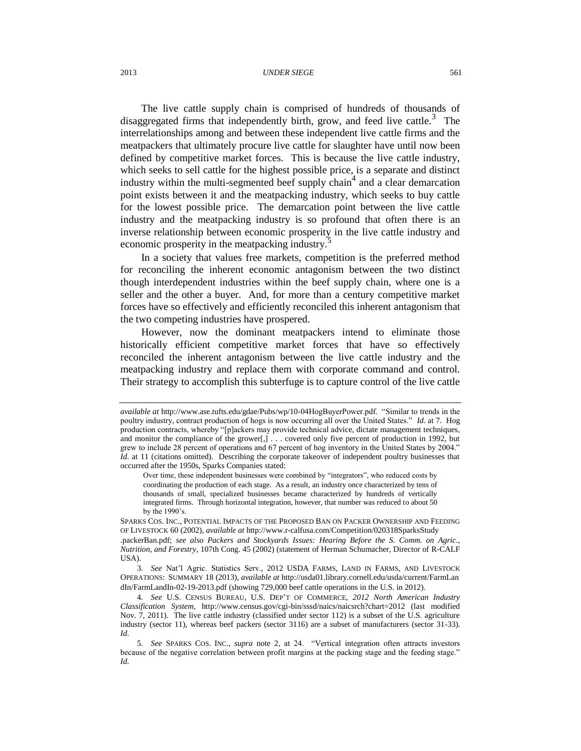#### 2013 *UNDER SIEGE* 561

<span id="page-1-0"></span>The live cattle supply chain is comprised of hundreds of thousands of disaggregated firms that independently birth, grow, and feed live cattle.<sup>3</sup> The interrelationships among and between these independent live cattle firms and the meatpackers that ultimately procure live cattle for slaughter have until now been defined by competitive market forces. This is because the live cattle industry, which seeks to sell cattle for the highest possible price, is a separate and distinct industry within the multi-segmented beef supply chain<sup>4</sup> and a clear demarcation point exists between it and the meatpacking industry, which seeks to buy cattle for the lowest possible price. The demarcation point between the live cattle industry and the meatpacking industry is so profound that often there is an inverse relationship between economic prosperity in the live cattle industry and economic prosperity in the meatpacking industry.<sup>5</sup>

In a society that values free markets, competition is the preferred method for reconciling the inherent economic antagonism between the two distinct though interdependent industries within the beef supply chain, where one is a seller and the other a buyer. And, for more than a century competitive market forces have so effectively and efficiently reconciled this inherent antagonism that the two competing industries have prospered.

However, now the dominant meatpackers intend to eliminate those historically efficient competitive market forces that have so effectively reconciled the inherent antagonism between the live cattle industry and the meatpacking industry and replace them with corporate command and control. Their strategy to accomplish this subterfuge is to capture control of the live cattle

*available at* http://www.ase.tufts.edu/gdae/Pubs/wp/10-04HogBuyerPower.pdf. "Similar to trends in the poultry industry, contract production of hogs is now occurring all over the United States." *Id.* at 7. Hog production contracts, whereby "[p]ackers may provide technical advice, dictate management techniques, and monitor the compliance of the grower[,] . . . covered only five percent of production in 1992, but grew to include 28 percent of operations and 67 percent of hog inventory in the United States by 2004." *Id.* at 11 (citations omitted). Describing the corporate takeover of independent poultry businesses that occurred after the 1950s, Sparks Companies stated:

Over time, these independent businesses were combined by "integrators", who reduced costs by coordinating the production of each stage. As a result, an industry once characterized by tens of thousands of small, specialized businesses became characterized by hundreds of vertically integrated firms. Through horizontal integration, however, that number was reduced to about 50 by the 1990's.

SPARKS COS. INC., POTENTIAL IMPACTS OF THE PROPOSED BAN ON PACKER OWNERSHIP AND FEEDING OF LIVESTOCK 60 (2002), *available at* http://www.r-calfusa.com/Competition/020318SparksStudy .packerBan.pdf; *see also Packers and Stockyards Issues: Hearing Before the S. Comm. on Agric., Nutrition, and Forestry*, 107th Cong. 45 (2002) (statement of Herman Schumacher, Director of R-CALF USA).

<sup>3</sup>*. See* Nat'l Agric. Statistics Serv., 2012 USDA FARMS, LAND IN FARMS, AND LIVESTOCK OPERATIONS: SUMMARY 18 (2013), *available at* http://usda01.library.cornell.edu/usda/current/FarmLan dIn/FarmLandIn-02-19-2013.pdf (showing 729,000 beef cattle operations in the U.S. in 2012).

<sup>4</sup>*. See* U.S. CENSUS BUREAU, U.S. DEP'T OF COMMERCE, *2012 North American Industry Classification System*, http://www.census.gov/cgi-bin/sssd/naics/naicsrch?chart=2012 (last modified Nov. 7, 2011). The live cattle industry (classified under sector 112) is a subset of the U.S. agriculture industry (sector 11), whereas beef packers (sector 3116) are a subset of manufacturers (sector 31-33). *Id.*

<sup>5</sup>*. See* SPARKS COS. INC., *supra* note [2,](#page-0-0) at 24. "Vertical integration often attracts investors because of the negative correlation between profit margins at the packing stage and the feeding stage." *Id.*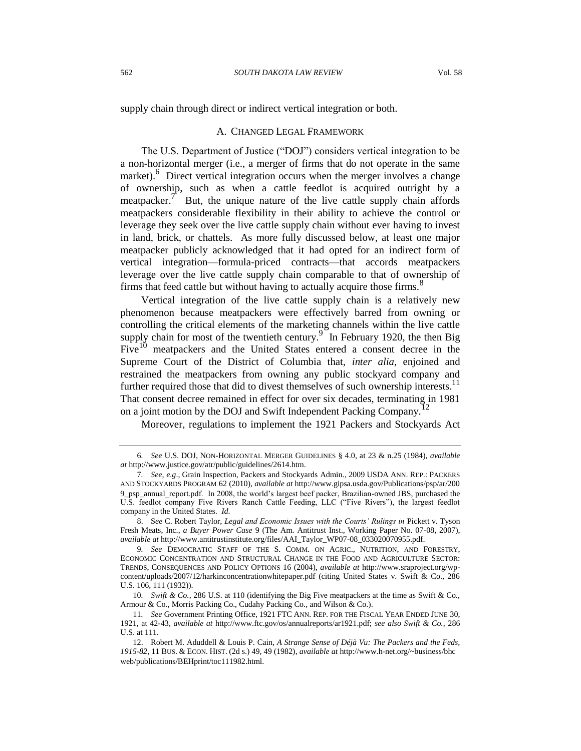supply chain through direct or indirect vertical integration or both.

### <span id="page-2-0"></span>A. CHANGED LEGAL FRAMEWORK

The U.S. Department of Justice ("DOJ") considers vertical integration to be a non-horizontal merger (i.e., a merger of firms that do not operate in the same market).<sup>6</sup> Direct vertical integration occurs when the merger involves a change of ownership, such as when a cattle feedlot is acquired outright by a meatpacker.<sup> $\tau$ </sup> But, the unique nature of the live cattle supply chain affords meatpackers considerable flexibility in their ability to achieve the control or leverage they seek over the live cattle supply chain without ever having to invest in land, brick, or chattels. As more fully discussed below, at least one major meatpacker publicly acknowledged that it had opted for an indirect form of vertical integration—formula-priced contracts—that accords meatpackers leverage over the live cattle supply chain comparable to that of ownership of firms that feed cattle but without having to actually acquire those firms.<sup>8</sup>

Vertical integration of the live cattle supply chain is a relatively new phenomenon because meatpackers were effectively barred from owning or controlling the critical elements of the marketing channels within the live cattle supply chain for most of the twentieth century.<sup>9</sup> In February 1920, the then Big Five<sup>10</sup> meatpackers and the United States entered a consent decree in the Supreme Court of the District of Columbia that, *inter alia*, enjoined and restrained the meatpackers from owning any public stockyard company and further required those that did to divest themselves of such ownership interests.<sup>11</sup> That consent decree remained in effect for over six decades, terminating in 1981 on a joint motion by the DOJ and Swift Independent Packing Company.<sup>1</sup>

Moreover, regulations to implement the 1921 Packers and Stockyards Act

<sup>6</sup>*. See* U.S. DOJ, NON-HORIZONTAL MERGER GUIDELINES § 4.0, at 23 & n.25 (1984), *available at* http://www.justice.gov/atr/public/guidelines/2614.htm.

<sup>7</sup>*. See, e.g*., Grain Inspection, Packers and Stockyards Admin., 2009 USDA ANN. REP.: PACKERS AND STOCKYARDS PROGRAM 62 (2010), *available at* http://www.gipsa.usda.gov/Publications/psp/ar/200 9\_psp\_annual\_report.pdf. In 2008, the world's largest beef packer, Brazilian-owned JBS, purchased the U.S. feedlot company Five Rivers Ranch Cattle Feeding, LLC ("Five Rivers"), the largest feedlot company in the United States. *Id.*

<sup>8.</sup> S*ee* C. Robert Taylor, *Legal and Economic Issues with the Courts' Rulings in* Pickett v. Tyson Fresh Meats, Inc.*, a Buyer Power Case* 9 (The Am. Antitrust Inst., Working Paper No. 07-08, 2007), *available at* http://www.antitrustinstitute.org/files/AAI\_Taylor\_WP07-08\_033020070955.pdf.

<sup>9</sup>*. See* DEMOCRATIC STAFF OF THE S. COMM. ON AGRIC., NUTRITION, AND FORESTRY, ECONOMIC CONCENTRATION AND STRUCTURAL CHANGE IN THE FOOD AND AGRICULTURE SECTOR: TRENDS, CONSEQUENCES AND POLICY OPTIONS 16 (2004), *available at* http://www.sraproject.org/wpcontent/uploads/2007/12/harkinconcentrationwhitepaper.pdf (citing United States v. Swift & Co., 286 U.S. 106, 111 (1932)).

<sup>10</sup>*. Swift & Co.*, 286 U.S. at 110 (identifying the Big Five meatpackers at the time as Swift & Co., Armour & Co., Morris Packing Co., Cudahy Packing Co., and Wilson & Co.).

<sup>11</sup>*. See* Government Printing Office, 1921 FTC ANN. REP. FOR THE FISCAL YEAR ENDED JUNE 30, 1921, at 42-43, *available at* http://www.ftc.gov/os/annualreports/ar1921.pdf; *see also Swift & Co.*, 286 U.S. at 111.

<sup>12.</sup> Robert M. Aduddell & Louis P. Cain*, A Strange Sense of Déjà Vu: The Packers and the Feds, 1915-82*, 11 BUS. & ECON. HIST. (2d s.) 49, 49 (1982), *available at* http://www.h-net.org/~business/bhc web/publications/BEHprint/toc111982.html.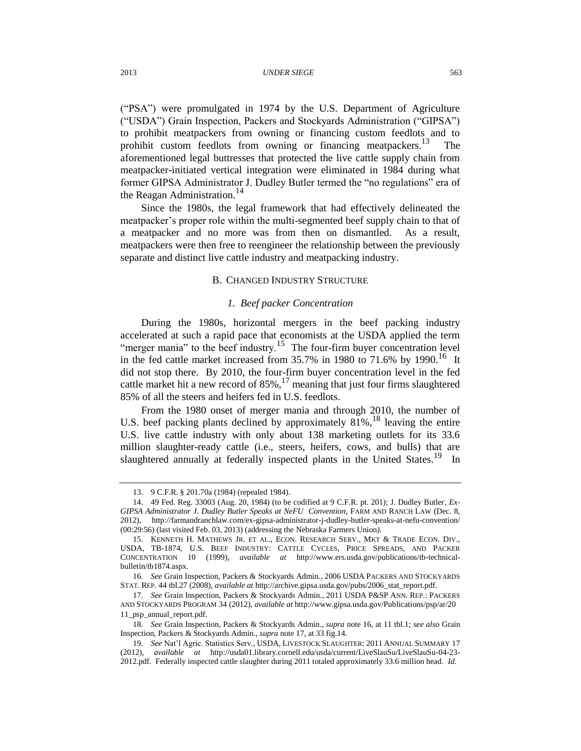("PSA") were promulgated in 1974 by the U.S. Department of Agriculture ("USDA") Grain Inspection, Packers and Stockyards Administration ("GIPSA") to prohibit meatpackers from owning or financing custom feedlots and to prohibit custom feedlots from owning or financing meatpackers.<sup>13</sup> The aforementioned legal buttresses that protected the live cattle supply chain from meatpacker-initiated vertical integration were eliminated in 1984 during what former GIPSA Administrator J. Dudley Butler termed the "no regulations" era of the Reagan Administration.<sup>14</sup>

Since the 1980s, the legal framework that had effectively delineated the meatpacker's proper role within the multi-segmented beef supply chain to that of a meatpacker and no more was from then on dismantled. As a result, meatpackers were then free to reengineer the relationship between the previously separate and distinct live cattle industry and meatpacking industry.

## B. CHANGED INDUSTRY STRUCTURE

## <span id="page-3-2"></span><span id="page-3-1"></span><span id="page-3-0"></span>*1. Beef packer Concentration*

During the 1980s, horizontal mergers in the beef packing industry accelerated at such a rapid pace that economists at the USDA applied the term "merger mania" to the beef industry.<sup>15</sup> The four-firm buyer concentration level in the fed cattle market increased from  $35.7\%$  in 1980 to 71.6% by 1990.<sup>16</sup> It did not stop there. By 2010, the four-firm buyer concentration level in the fed cattle market hit a new record of  $85\%$ ,  $^{17}$  meaning that just four firms slaughtered 85% of all the steers and heifers fed in U.S. feedlots.

From the 1980 onset of merger mania and through 2010, the number of U.S. beef packing plants declined by approximately  $81\%$ ,  $^{18}$  leaving the entire U.S. live cattle industry with only about 138 marketing outlets for its 33.6 million slaughter-ready cattle (i.e., steers, heifers, cows, and bulls) that are slaughtered annually at federally inspected plants in the United States.<sup>19</sup> In

<sup>13.</sup> 9 C.F.R. § 201.70a (1984) (repealed 1984).

<sup>14.</sup> 49 Fed. Reg. 33003 (Aug. 20, 1984) (to be codified at 9 C.F.R. pt. 201); J. Dudley Butler*, Ex-GIPSA Administrator J. Dudley Butler Speaks at NeFU Convention*, FARM AND RANCH LAW (Dec. 8, 2012), http://farmandranchlaw.com/ex-gipsa-administrator-j-dudley-butler-speaks-at-nefu-convention/ (00:29:56) (last visited Feb. 03, 2013) (addressing the Nebraska Farmers Union*).*

<sup>15.</sup> KENNETH H. MATHEWS JR. ET AL., ECON. RESEARCH SERV., MKT & TRADE ECON. DIV., USDA, TB-1874, U.S. BEEF INDUSTRY: CATTLE CYCLES, PRICE SPREADS, AND PACKER CONCENTRATION 10 (1999), *available at* http://www.ers.usda.gov/publications/tb-technicalbulletin/tb1874.aspx.

<sup>16</sup>*. See* Grain Inspection, Packers & Stockyards Admin., 2006 USDA PACKERS AND STOCKYARDS STAT. REP. 44 tbl.27 (2008), *available at* http://archive.gipsa.usda.gov/pubs/2006\_stat\_report.pdf.

<sup>17</sup>*. See* Grain Inspection, Packers & Stockyards Admin., 2011 USDA P&SP ANN. REP.: PACKERS AND STOCKYARDS PROGRAM 34 (2012), *available at* http://www.gipsa.usda.gov/Publications/psp/ar/20 11\_psp\_annual\_report.pdf.

<sup>18</sup>*. See* Grain Inspection, Packers & Stockyards Admin., *supra* not[e 16,](#page-3-0) at 11 tbl.1; *see also* Grain Inspection, Packers & Stockyards Admin., *supra* not[e 17,](#page-3-1) at 33 fig.14.

<sup>19</sup>*. See* Nat'l Agric. Statistics Serv., USDA, LIVESTOCK SLAUGHTER: 2011 ANNUAL SUMMARY 17 (2012), *available at* http://usda01.library.cornell.edu/usda/current/LiveSlauSu/LiveSlauSu-04-23- 2012.pdf. Federally inspected cattle slaughter during 2011 totaled approximately 33.6 million head. *Id.*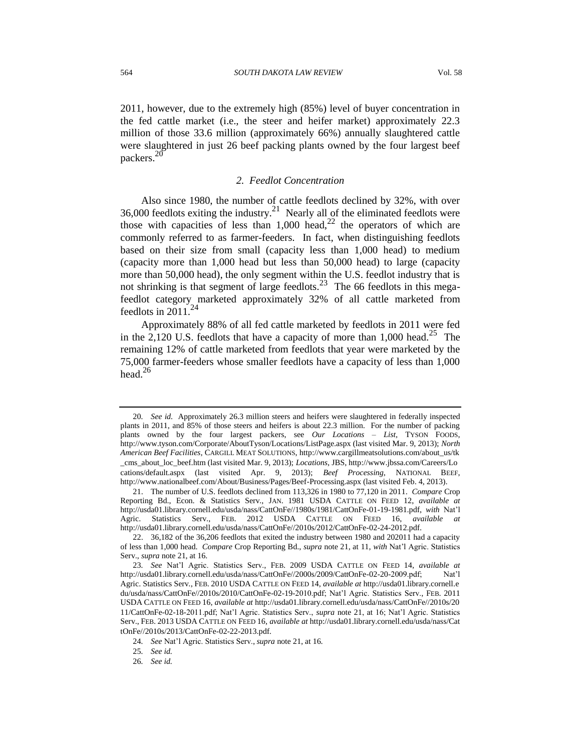2011, however, due to the extremely high (85%) level of buyer concentration in the fed cattle market (i.e., the steer and heifer market) approximately 22.3 million of those 33.6 million (approximately 66%) annually slaughtered cattle were slaughtered in just 26 beef packing plants owned by the four largest beef packers.<sup>20</sup>

## <span id="page-4-0"></span>*2. Feedlot Concentration*

Also since 1980, the number of cattle feedlots declined by 32%, with over 36,000 feedlots exiting the industry.<sup>21</sup> Nearly all of the eliminated feedlots were those with capacities of less than  $1,000$  head,<sup>22</sup> the operators of which are commonly referred to as farmer-feeders. In fact, when distinguishing feedlots based on their size from small (capacity less than 1,000 head) to medium (capacity more than 1,000 head but less than 50,000 head) to large (capacity more than 50,000 head), the only segment within the U.S. feedlot industry that is not shrinking is that segment of large feedlots.<sup>23</sup> The 66 feedlots in this megafeedlot category marketed approximately 32% of all cattle marketed from feedlots in  $2011^{24}$ 

Approximately 88% of all fed cattle marketed by feedlots in 2011 were fed in the 2,120 U.S. feedlots that have a capacity of more than 1,000 head.<sup>25</sup> The remaining 12% of cattle marketed from feedlots that year were marketed by the 75,000 farmer-feeders whose smaller feedlots have a capacity of less than 1,000 head. $26$ 

25*. See id.*

26*. See id.*

<sup>20</sup>*. See id.* Approximately 26.3 million steers and heifers were slaughtered in federally inspected plants in 2011, and 85% of those steers and heifers is about 22.3 million. For the number of packing plants owned by the four largest packers, see *Our Locations – List,* TYSON FOODS, http://www.tyson.com/Corporate/AboutTyson/Locations/ListPage.aspx (last visited Mar. 9, 2013); *North American Beef Facilities,* CARGILL MEAT SOLUTIONS, http://www.cargillmeatsolutions.com/about\_us/tk \_cms\_about\_loc\_beef.htm (last visited Mar. 9, 2013); *Locations*, JBS, http://www.jbssa.com/Careers/Lo cations/default.aspx (last visited Apr. 9, 2013); *Beef Processing*, NATIONAL BEEF, http://www.nationalbeef.com/About/Business/Pages/Beef-Processing.aspx (last visited Feb. 4, 2013).

<sup>21.</sup> The number of U.S. feedlots declined from 113,326 in 1980 to 77,120 in 2011. *Compare* Crop Reporting Bd., Econ. & Statistics Serv., JAN. 1981 USDA CATTLE ON FEED 12, *available at* http://usda01.library.cornell.edu/usda/nass/CattOnFe//1980s/1981/CattOnFe-01-19-1981.pdf, *with* Nat'l Agric. Statistics Serv., FEB. 2012 USDA CATTLE ON FEED 16, *available at* http://usda01.library.cornell.edu/usda/nass/CattOnFe//2010s/2012/CattOnFe-02-24-2012.pdf.

<sup>22.</sup> 36,182 of the 36,206 feedlots that exited the industry between 1980 and 202011 had a capacity of less than 1,000 head. *Compare* Crop Reporting Bd., *supra* not[e 21,](#page-4-0) at 11, *with* Nat'l Agric. Statistics Serv., *supra* not[e 21,](#page-4-0) at 16.

<sup>23</sup>*. See* Nat'l Agric. Statistics Serv., FEB. 2009 USDA CATTLE ON FEED 14, *available at* http://usda01.library.cornell.edu/usda/nass/CattOnFe//2000s/2009/CattOnFe-02-20-2009.pdf; Nat'l Agric. Statistics Serv., FEB. 2010 USDA CATTLE ON FEED 14, *available at* http://usda01.library.cornell.e du/usda/nass/CattOnFe//2010s/2010/CattOnFe-02-19-2010.pdf; Nat'l Agric. Statistics Serv., FEB. 2011 USDA CATTLE ON FEED 16, *available at* http://usda01.library.cornell.edu/usda/nass/CattOnFe//2010s/20 11/CattOnFe-02-18-2011.pdf; Nat'l Agric. Statistics Serv., *supra* note [21,](#page-4-0) at 16; Nat'l Agric. Statistics Serv., FEB. 2013 USDA CATTLE ON FEED 16, *available at* http://usda01.library.cornell.edu/usda/nass/Cat tOnFe//2010s/2013/CattOnFe-02-22-2013.pdf*.* 

<sup>24</sup>*. See* Nat'l Agric. Statistics Serv., *supra* note [21,](#page-4-0) at 16.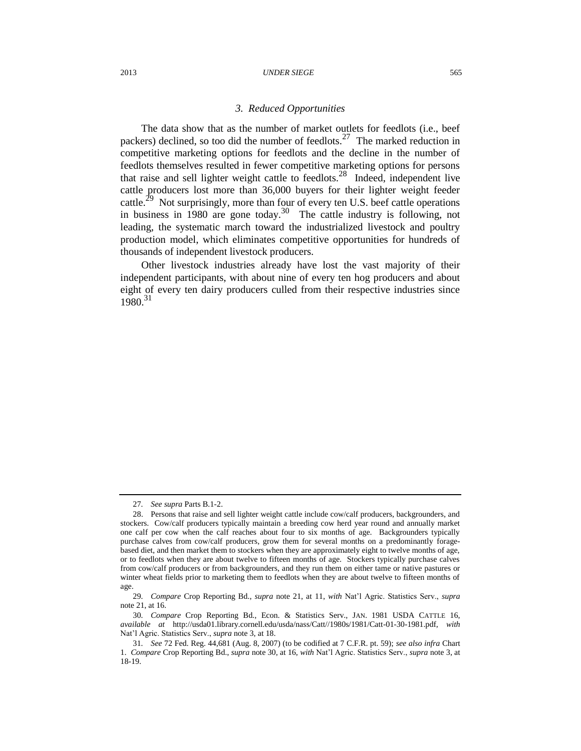#### 2013 *UNDER SIEGE* 565

### <span id="page-5-0"></span>*3. Reduced Opportunities*

The data show that as the number of market outlets for feedlots (i.e., beef packers) declined, so too did the number of feedlots.<sup>27</sup> The marked reduction in competitive marketing options for feedlots and the decline in the number of feedlots themselves resulted in fewer competitive marketing options for persons that raise and sell lighter weight cattle to feedlots.<sup>28</sup> Indeed, independent live cattle producers lost more than 36,000 buyers for their lighter weight feeder cattle.<sup>29</sup> Not surprisingly, more than four of every ten U.S. beef cattle operations in business in 1980 are gone today.<sup>30</sup> The cattle industry is following, not leading, the systematic march toward the industrialized livestock and poultry production model, which eliminates competitive opportunities for hundreds of thousands of independent livestock producers.

Other livestock industries already have lost the vast majority of their independent participants, with about nine of every ten hog producers and about eight of every ten dairy producers culled from their respective industries since 1980.<sup>31</sup>

<sup>27</sup>*. See supra* Parts B.1-2.

<sup>28.</sup> Persons that raise and sell lighter weight cattle include cow/calf producers, backgrounders, and stockers. Cow/calf producers typically maintain a breeding cow herd year round and annually market one calf per cow when the calf reaches about four to six months of age. Backgrounders typically purchase calves from cow/calf producers, grow them for several months on a predominantly foragebased diet, and then market them to stockers when they are approximately eight to twelve months of age, or to feedlots when they are about twelve to fifteen months of age. Stockers typically purchase calves from cow/calf producers or from backgrounders, and they run them on either tame or native pastures or winter wheat fields prior to marketing them to feedlots when they are about twelve to fifteen months of age.

<sup>29</sup>*. Compare* Crop Reporting Bd., *supra* note [21,](#page-4-0) at 11, *with* Nat'l Agric. Statistics Serv., *supra* note [21,](#page-4-0) at 16.

<sup>30</sup>*. Compare* Crop Reporting Bd., Econ. & Statistics Serv., JAN. 1981 USDA CATTLE 16, *available at* http://usda01.library.cornell.edu/usda/nass/Catt//1980s/1981/Catt-01-30-1981.pdf, *with* Nat'l Agric. Statistics Serv., *supra* not[e 3,](#page-1-0) at 18.

<sup>31</sup>*. See* 72 Fed. Reg. 44,681 (Aug. 8, 2007) (to be codified at 7 C.F.R. pt. 59); *see also infra* Chart 1. *Compare* Crop Reporting Bd., *supra* not[e 30,](#page-5-0) at 16, *with* Nat'l Agric. Statistics Serv., *supra* not[e 3,](#page-1-0) at 18-19.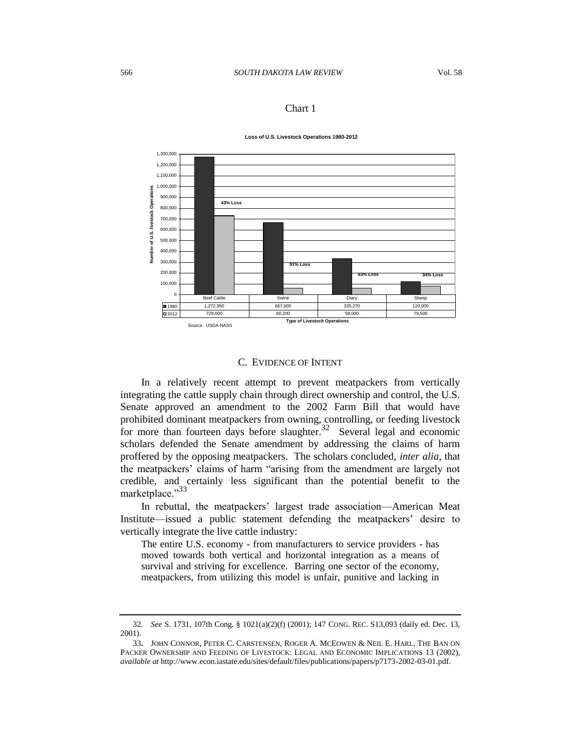## Chart 1





## C. EVIDENCE OF INTENT

In a relatively recent attempt to prevent meatpackers from vertically integrating the cattle supply chain through direct ownership and control, the U.S. Senate approved an amendment to the 2002 Farm Bill that would have prohibited dominant meatpackers from owning, controlling, or feeding livestock for more than fourteen days before slaughter.<sup>32</sup> Several legal and economic scholars defended the Senate amendment by addressing the claims of harm proffered by the opposing meatpackers. The scholars concluded, *inter alia*, that the meatpackers' claims of harm "arising from the amendment are largely not credible, and certainly less significant than the potential benefit to the marketplace."33

In rebuttal, the meatpackers' largest trade association—American Meat Institute—issued a public statement defending the meatpackers' desire to vertically integrate the live cattle industry:

The entire U.S. economy - from manufacturers to service providers - has moved towards both vertical and horizontal integration as a means of survival and striving for excellence. Barring one sector of the economy, meatpackers, from utilizing this model is unfair, punitive and lacking in

<sup>32</sup>*. See* S. 1731, 107th Cong. § 1021(a)(2)(f) (2001); 147 CONG. REC. S13,093 (daily ed. Dec. 13, 2001).

<sup>33</sup>**.** JOHN CONNOR, PETER C. CARSTENSEN, ROGER A. MCEOWEN & NEIL E. HARL, THE BAN ON PACKER OWNERSHIP AND FEEDING OF LIVESTOCK: LEGAL AND ECONOMIC IMPLICATIONS 13 (2002), *available at* http://www.econ.iastate.edu/sites/default/files/publications/papers/p7173-2002-03-01.pdf.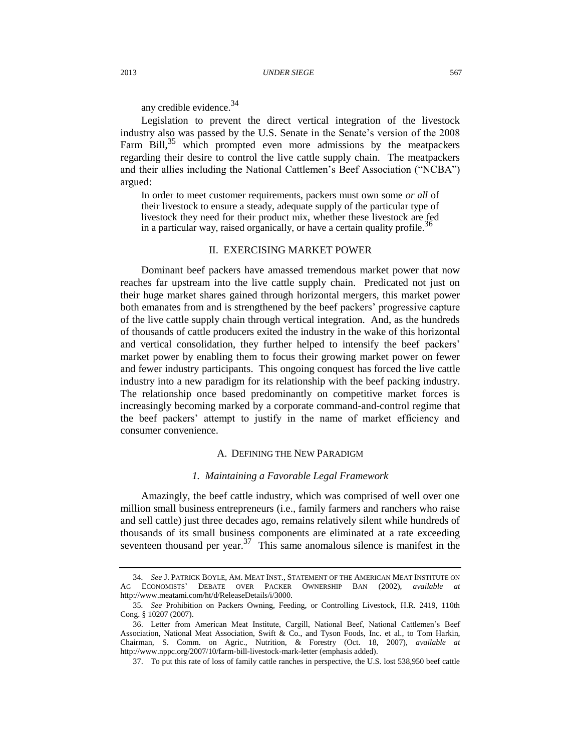any credible evidence.<sup>34</sup>

Legislation to prevent the direct vertical integration of the livestock industry also was passed by the U.S. Senate in the Senate's version of the 2008 Farm Bill, $35$  which prompted even more admissions by the meatpackers regarding their desire to control the live cattle supply chain. The meatpackers and their allies including the National Cattlemen's Beef Association ("NCBA") argued:

In order to meet customer requirements, packers must own some *or all* of their livestock to ensure a steady, adequate supply of the particular type of livestock they need for their product mix, whether these livestock are fed in a particular way, raised organically, or have a certain quality profile.<sup>3</sup>

### <span id="page-7-0"></span>II. EXERCISING MARKET POWER

Dominant beef packers have amassed tremendous market power that now reaches far upstream into the live cattle supply chain. Predicated not just on their huge market shares gained through horizontal mergers, this market power both emanates from and is strengthened by the beef packers' progressive capture of the live cattle supply chain through vertical integration. And, as the hundreds of thousands of cattle producers exited the industry in the wake of this horizontal and vertical consolidation, they further helped to intensify the beef packers' market power by enabling them to focus their growing market power on fewer and fewer industry participants. This ongoing conquest has forced the live cattle industry into a new paradigm for its relationship with the beef packing industry. The relationship once based predominantly on competitive market forces is increasingly becoming marked by a corporate command-and-control regime that the beef packers' attempt to justify in the name of market efficiency and consumer convenience.

## A. DEFINING THE NEW PARADIGM

#### *1. Maintaining a Favorable Legal Framework*

Amazingly, the beef cattle industry, which was comprised of well over one million small business entrepreneurs (i.e., family farmers and ranchers who raise and sell cattle) just three decades ago, remains relatively silent while hundreds of thousands of its small business components are eliminated at a rate exceeding seventeen thousand per year.<sup>37</sup> This same anomalous silence is manifest in the

<sup>34</sup>*. See* J. PATRICK BOYLE, AM. MEAT INST., STATEMENT OF THE AMERICAN MEAT INSTITUTE ON AG ECONOMISTS' DEBATE OVER PACKER OWNERSHIP BAN (2002), *available at* http://www.meatami.com/ht/d/ReleaseDetails/i/3000.

<sup>35</sup>*. See* Prohibition on Packers Owning, Feeding, or Controlling Livestock, H.R. 2419, 110th Cong. § 10207 (2007).

<sup>36.</sup> Letter from American Meat Institute, Cargill, National Beef, National Cattlemen's Beef Association, National Meat Association, Swift & Co., and Tyson Foods, Inc. et al., to Tom Harkin, Chairman, S. Comm. on Agric., Nutrition, & Forestry (Oct. 18, 2007), *available at*  http://www.nppc.org/2007/10/farm-bill-livestock-mark-letter (emphasis added).

<sup>37.</sup> To put this rate of loss of family cattle ranches in perspective, the U.S. lost 538,950 beef cattle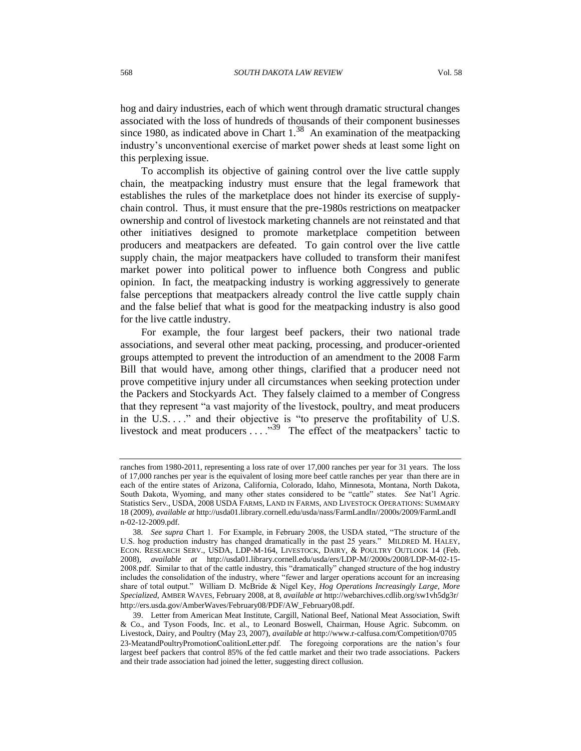<span id="page-8-0"></span>hog and dairy industries, each of which went through dramatic structural changes associated with the loss of hundreds of thousands of their component businesses since 1980, as indicated above in Chart  $1.^{38}$  An examination of the meatpacking industry's unconventional exercise of market power sheds at least some light on this perplexing issue.

To accomplish its objective of gaining control over the live cattle supply chain, the meatpacking industry must ensure that the legal framework that establishes the rules of the marketplace does not hinder its exercise of supplychain control. Thus, it must ensure that the pre-1980s restrictions on meatpacker ownership and control of livestock marketing channels are not reinstated and that other initiatives designed to promote marketplace competition between producers and meatpackers are defeated. To gain control over the live cattle supply chain, the major meatpackers have colluded to transform their manifest market power into political power to influence both Congress and public opinion. In fact, the meatpacking industry is working aggressively to generate false perceptions that meatpackers already control the live cattle supply chain and the false belief that what is good for the meatpacking industry is also good for the live cattle industry.

For example, the four largest beef packers, their two national trade associations, and several other meat packing, processing, and producer-oriented groups attempted to prevent the introduction of an amendment to the 2008 Farm Bill that would have, among other things, clarified that a producer need not prove competitive injury under all circumstances when seeking protection under the Packers and Stockyards Act. They falsely claimed to a member of Congress that they represent "a vast majority of the livestock, poultry, and meat producers in the U.S. . . ." and their objective is "to preserve the profitability of U.S. livestock and meat producers . . . . .<sup>39</sup> The effect of the meatpackers' tactic to

ranches from 1980-2011, representing a loss rate of over 17,000 ranches per year for 31 years. The loss of 17,000 ranches per year is the equivalent of losing more beef cattle ranches per year than there are in each of the entire states of Arizona, California, Colorado, Idaho, Minnesota, Montana, North Dakota, South Dakota, Wyoming, and many other states considered to be "cattle" states. *See* Nat'l Agric. Statistics Serv., USDA, 2008 USDA FARMS, LAND IN FARMS, AND LIVESTOCK OPERATIONS: SUMMARY 18 (2009), *available at* http://usda01.library.cornell.edu/usda/nass/FarmLandIn//2000s/2009/FarmLandI n-02-12-2009.pdf.

<sup>38</sup>*. See supra* Chart 1. For Example, in February 2008, the USDA stated, "The structure of the U.S. hog production industry has changed dramatically in the past 25 years." MILDRED M. HALEY, ECON. RESEARCH SERV., USDA, LDP-M-164, LIVESTOCK, DAIRY, & POULTRY OUTLOOK 14 (Feb. 2008), *available at* http://usda01.library.cornell.edu/usda/ers/LDP-M//2000s/2008/LDP-M-02-15- 2008.pdf. Similar to that of the cattle industry, this "dramatically" changed structure of the hog industry includes the consolidation of the industry, where "fewer and larger operations account for an increasing share of total output." William D. McBride & Nigel Key, *Hog Operations Increasingly Large, More Specialized*, AMBER WAVES, February 2008, at 8, *available at* http://webarchives.cdlib.org/sw1vh5dg3r/ http://ers.usda.gov/AmberWaves/February08/PDF/AW\_February08.pdf.

<sup>39.</sup> Letter from American Meat Institute, Cargill, National Beef, National Meat Association, Swift & Co., and Tyson Foods, Inc. et al., to Leonard Boswell, Chairman, House Agric. Subcomm. on Livestock, Dairy, and Poultry (May 23, 2007), *available at* http://www.r-calfusa.com/Competition/0705 23-MeatandPoultryPromotionCoalitionLetter.pdf. The foregoing corporations are the nation's four largest beef packers that control 85% of the fed cattle market and their two trade associations. Packers and their trade association had joined the letter, suggesting direct collusion.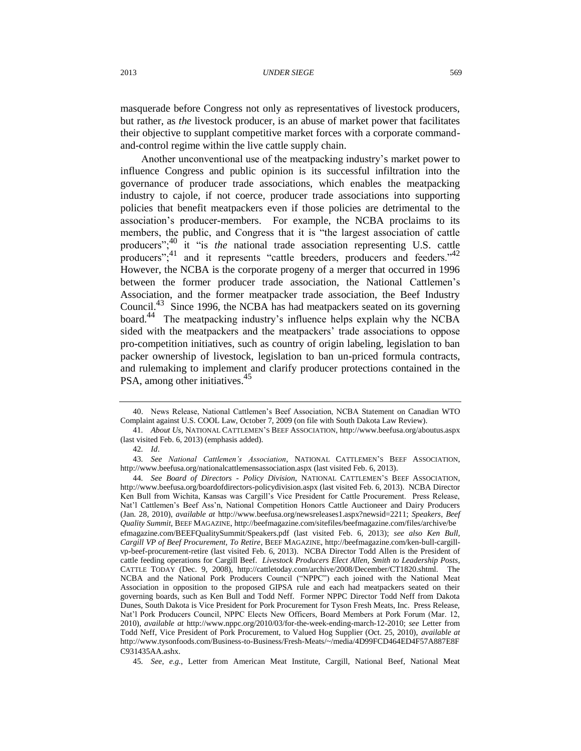masquerade before Congress not only as representatives of livestock producers, but rather, as *the* livestock producer, is an abuse of market power that facilitates their objective to supplant competitive market forces with a corporate commandand-control regime within the live cattle supply chain.

<span id="page-9-0"></span>Another unconventional use of the meatpacking industry's market power to influence Congress and public opinion is its successful infiltration into the governance of producer trade associations, which enables the meatpacking industry to cajole, if not coerce, producer trade associations into supporting policies that benefit meatpackers even if those policies are detrimental to the association's producer-members. For example, the NCBA proclaims to its members, the public, and Congress that it is "the largest association of cattle producers";<sup>40</sup> it "is *the* national trade association representing U.S. cattle producers"; $41$  and it represents "cattle breeders, producers and feeders." $42$ However, the NCBA is the corporate progeny of a merger that occurred in 1996 between the former producer trade association, the National Cattlemen's Association, and the former meatpacker trade association, the Beef Industry Council.<sup>43</sup> Since 1996, the NCBA has had meatpackers seated on its governing board.<sup>44</sup> The meatpacking industry's influence helps explain why the NCBA sided with the meatpackers and the meatpackers' trade associations to oppose pro-competition initiatives, such as country of origin labeling, legislation to ban packer ownership of livestock, legislation to ban un-priced formula contracts, and rulemaking to implement and clarify producer protections contained in the PSA, among other initiatives.<sup>45</sup>

<sup>40.</sup> News Release, National Cattlemen's Beef Association, NCBA Statement on Canadian WTO Complaint against U.S. COOL Law, October 7, 2009 (on file with South Dakota Law Review).

<sup>41</sup>*. About Us*, NATIONAL CATTLEMEN'S BEEF ASSOCIATION, http://www.beefusa.org/aboutus.aspx (last visited Feb. 6, 2013) (emphasis added).

<sup>42</sup>*. Id*.

<sup>43</sup>*. See National Cattlemen's Association*, NATIONAL CATTLEMEN'S BEEF ASSOCIATION, http://www.beefusa.org/nationalcattlemensassociation.aspx (last visited Feb. 6, 2013).

<sup>44</sup>*. See Board of Directors - Policy Division*, NATIONAL CATTLEMEN'S BEEF ASSOCIATION, http://www.beefusa.org/boardofdirectors-policydivision.aspx (last visited Feb. 6, 2013). NCBA Director Ken Bull from Wichita, Kansas was Cargill's Vice President for Cattle Procurement. Press Release, Nat'l Cattlemen's Beef Ass'n, National Competition Honors Cattle Auctioneer and Dairy Producers (Jan. 28, 2010), *available at* http://www.beefusa.org/newsreleases1.aspx?newsid=2211; *Speakers*, *Beef Quality Summit*, BEEF MAGAZINE, http://beefmagazine.com/sitefiles/beefmagazine.com/files/archive/be efmagazine.com/BEEFQualitySummit/Speakers.pdf (last visited Feb. 6, 2013); *see also Ken Bull, Cargill VP of Beef Procurement, To Retire*, BEEF MAGAZINE, http://beefmagazine.com/ken-bull-cargillvp-beef-procurement-retire (last visited Feb. 6, 2013). NCBA Director Todd Allen is the President of cattle feeding operations for Cargill Beef. *Livestock Producers Elect Allen, Smith to Leadership Posts*, CATTLE TODAY (Dec. 9, 2008), http://cattletoday.com/archive/2008/December/CT1820.shtml. The NCBA and the National Pork Producers Council ("NPPC") each joined with the National Meat Association in opposition to the proposed GIPSA rule and each had meatpackers seated on their governing boards, such as Ken Bull and Todd Neff. Former NPPC Director Todd Neff from Dakota Dunes, South Dakota is Vice President for Pork Procurement for Tyson Fresh Meats, Inc. Press Release, Nat'l Pork Producers Council, NPPC Elects New Officers, Board Members at Pork Forum (Mar. 12, 2010), *available at* http://www.nppc.org/2010/03/for-the-week-ending-march-12-2010; *see* Letter from Todd Neff, Vice President of Pork Procurement, to Valued Hog Supplier (Oct. 25, 2010), *available at* http://www.tysonfoods.com/Business-to-Business/Fresh-Meats/~/media/4D99FCD464ED4F57A887E8F C931435AA.ashx.

<sup>45</sup>*. See, e.g.*, Letter from American Meat Institute, Cargill, National Beef, National Meat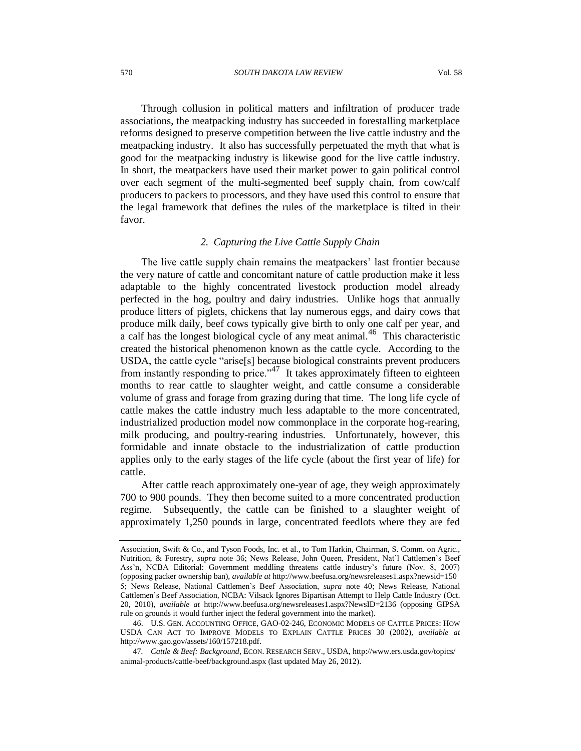Through collusion in political matters and infiltration of producer trade associations, the meatpacking industry has succeeded in forestalling marketplace reforms designed to preserve competition between the live cattle industry and the meatpacking industry. It also has successfully perpetuated the myth that what is good for the meatpacking industry is likewise good for the live cattle industry. In short, the meatpackers have used their market power to gain political control over each segment of the multi-segmented beef supply chain, from cow/calf producers to packers to processors, and they have used this control to ensure that the legal framework that defines the rules of the marketplace is tilted in their favor.

## <span id="page-10-1"></span><span id="page-10-0"></span>*2. Capturing the Live Cattle Supply Chain*

The live cattle supply chain remains the meatpackers' last frontier because the very nature of cattle and concomitant nature of cattle production make it less adaptable to the highly concentrated livestock production model already perfected in the hog, poultry and dairy industries. Unlike hogs that annually produce litters of piglets, chickens that lay numerous eggs, and dairy cows that produce milk daily, beef cows typically give birth to only one calf per year, and a calf has the longest biological cycle of any meat animal.<sup>46</sup> This characteristic created the historical phenomenon known as the cattle cycle. According to the USDA, the cattle cycle "arise[s] because biological constraints prevent producers from instantly responding to price."<sup>47</sup> It takes approximately fifteen to eighteen months to rear cattle to slaughter weight, and cattle consume a considerable volume of grass and forage from grazing during that time. The long life cycle of cattle makes the cattle industry much less adaptable to the more concentrated, industrialized production model now commonplace in the corporate hog-rearing, milk producing, and poultry-rearing industries. Unfortunately, however, this formidable and innate obstacle to the industrialization of cattle production applies only to the early stages of the life cycle (about the first year of life) for cattle.

After cattle reach approximately one-year of age, they weigh approximately 700 to 900 pounds. They then become suited to a more concentrated production regime. Subsequently, the cattle can be finished to a slaughter weight of approximately 1,250 pounds in large, concentrated feedlots where they are fed

Association, Swift & Co., and Tyson Foods, Inc. et al., to Tom Harkin, Chairman, S. Comm. on Agric., Nutrition, & Forestry, *supra* note [36;](#page-7-0) News Release, John Queen, President, Nat'l Cattlemen's Beef Ass'n, NCBA Editorial: Government meddling threatens cattle industry's future (Nov. 8, 2007) (opposing packer ownership ban), *available at* http://www.beefusa.org/newsreleases1.aspx?newsid=150 5; News Release, National Cattlemen's Beef Association, *supra* note [40;](#page-9-0) News Release, National Cattlemen's Beef Association, NCBA: Vilsack Ignores Bipartisan Attempt to Help Cattle Industry (Oct. 20, 2010), *available at* http://www.beefusa.org/newsreleases1.aspx?NewsID=2136 (opposing GIPSA rule on grounds it would further inject the federal government into the market).

<sup>46.</sup> U.S. GEN. ACCOUNTING OFFICE, GAO-02-246, ECONOMIC MODELS OF CATTLE PRICES: HOW USDA CAN ACT TO IMPROVE MODELS TO EXPLAIN CATTLE PRICES 30 (2002), *available at*  http://www.gao.gov/assets/160/157218.pdf.

<sup>47</sup>*. Cattle & Beef: Background*, ECON. RESEARCH SERV., USDA, http://www.ers.usda.gov/topics/ animal-products/cattle-beef/background.aspx (last updated May 26, 2012).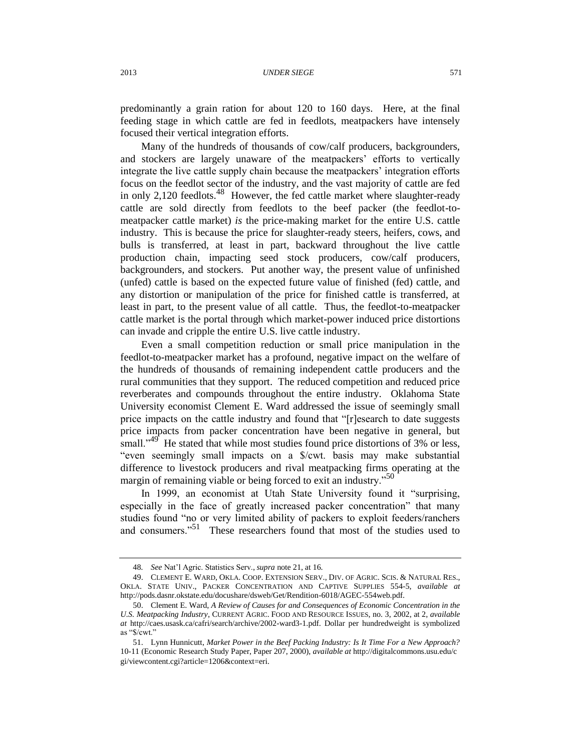predominantly a grain ration for about 120 to 160 days. Here, at the final feeding stage in which cattle are fed in feedlots, meatpackers have intensely focused their vertical integration efforts.

Many of the hundreds of thousands of cow/calf producers, backgrounders, and stockers are largely unaware of the meatpackers' efforts to vertically integrate the live cattle supply chain because the meatpackers' integration efforts focus on the feedlot sector of the industry, and the vast majority of cattle are fed in only 2,120 feedlots.<sup>48</sup> However, the fed cattle market where slaughter-ready cattle are sold directly from feedlots to the beef packer (the feedlot-tomeatpacker cattle market) *is* the price-making market for the entire U.S. cattle industry. This is because the price for slaughter-ready steers, heifers, cows, and bulls is transferred, at least in part, backward throughout the live cattle production chain, impacting seed stock producers, cow/calf producers, backgrounders, and stockers. Put another way, the present value of unfinished (unfed) cattle is based on the expected future value of finished (fed) cattle, and any distortion or manipulation of the price for finished cattle is transferred, at least in part, to the present value of all cattle. Thus, the feedlot-to-meatpacker cattle market is the portal through which market-power induced price distortions can invade and cripple the entire U.S. live cattle industry.

Even a small competition reduction or small price manipulation in the feedlot-to-meatpacker market has a profound, negative impact on the welfare of the hundreds of thousands of remaining independent cattle producers and the rural communities that they support. The reduced competition and reduced price reverberates and compounds throughout the entire industry. Oklahoma State University economist Clement E. Ward addressed the issue of seemingly small price impacts on the cattle industry and found that "[r]esearch to date suggests price impacts from packer concentration have been negative in general, but small."<sup>49</sup> He stated that while most studies found price distortions of 3% or less, "even seemingly small impacts on a \$/cwt. basis may make substantial difference to livestock producers and rival meatpacking firms operating at the margin of remaining viable or being forced to exit an industry."<sup>50</sup>

<span id="page-11-0"></span>In 1999, an economist at Utah State University found it "surprising, especially in the face of greatly increased packer concentration" that many studies found "no or very limited ability of packers to exploit feeders/ranchers and consumers."<sup>51</sup> These researchers found that most of the studies used to

<sup>48</sup>*. See* Nat'l Agric. Statistics Serv., *supra* note [21,](#page-4-0) at 16.

<sup>49.</sup> CLEMENT E. WARD, OKLA. COOP. EXTENSION SERV., DIV. OF AGRIC. SCIS. & NATURAL RES., OKLA. STATE UNIV., PACKER CONCENTRATION AND CAPTIVE SUPPLIES 554-5, *available at* http://pods.dasnr.okstate.edu/docushare/dsweb/Get/Rendition-6018/AGEC-554web.pdf.

<sup>50.</sup> Clement E. Ward, *A Review of Causes for and Consequences of Economic Concentration in the U.S. Meatpacking Industry*, CURRENT AGRIC. FOOD AND RESOURCE ISSUES, no. 3, 2002, at 2, *available at* http://caes.usask.ca/cafri/search/archive/2002-ward3-1.pdf. Dollar per hundredweight is symbolized as "\$/cwt."

<sup>51.</sup> Lynn Hunnicutt, *Market Power in the Beef Packing Industry: Is It Time For a New Approach?* 10-11 (Economic Research Study Paper, Paper 207, 2000), *available at* http://digitalcommons.usu.edu/c gi/viewcontent.cgi?article=1206&context=eri.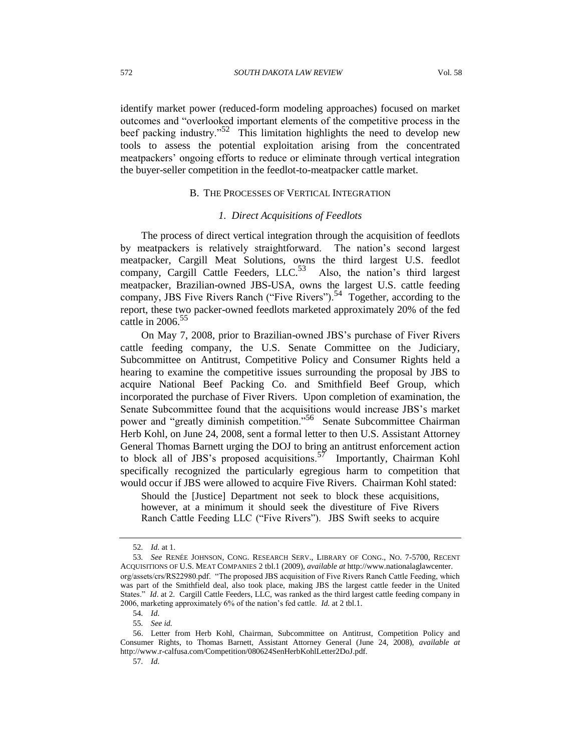identify market power (reduced-form modeling approaches) focused on market outcomes and "overlooked important elements of the competitive process in the beef packing industry."<sup>52</sup> This limitation highlights the need to develop new tools to assess the potential exploitation arising from the concentrated meatpackers' ongoing efforts to reduce or eliminate through vertical integration the buyer-seller competition in the feedlot-to-meatpacker cattle market.

## B. THE PROCESSES OF VERTICAL INTEGRATION

#### <span id="page-12-0"></span>*1. Direct Acquisitions of Feedlots*

The process of direct vertical integration through the acquisition of feedlots by meatpackers is relatively straightforward. The nation's second largest meatpacker, Cargill Meat Solutions, owns the third largest U.S. feedlot company, Cargill Cattle Feeders, LLC.<sup>53</sup> Also, the nation's third largest meatpacker, Brazilian-owned JBS-USA, owns the largest U.S. cattle feeding company, JBS Five Rivers Ranch ("Five Rivers").<sup>54</sup> Together, according to the report, these two packer-owned feedlots marketed approximately 20% of the fed cattle in  $2006.<sup>55</sup>$ 

On May 7, 2008, prior to Brazilian-owned JBS's purchase of Fiver Rivers cattle feeding company, the U.S. Senate Committee on the Judiciary, Subcommittee on Antitrust, Competitive Policy and Consumer Rights held a hearing to examine the competitive issues surrounding the proposal by JBS to acquire National Beef Packing Co. and Smithfield Beef Group, which incorporated the purchase of Fiver Rivers. Upon completion of examination, the Senate Subcommittee found that the acquisitions would increase JBS's market power and "greatly diminish competition."<sup>56</sup> Senate Subcommittee Chairman Herb Kohl, on June 24, 2008, sent a formal letter to then U.S. Assistant Attorney General Thomas Barnett urging the DOJ to bring an antitrust enforcement action to block all of JBS's proposed acquisitions.<sup>57</sup> Importantly, Chairman Kohl specifically recognized the particularly egregious harm to competition that would occur if JBS were allowed to acquire Five Rivers. Chairman Kohl stated:

Should the [Justice] Department not seek to block these acquisitions, however, at a minimum it should seek the divestiture of Five Rivers Ranch Cattle Feeding LLC ("Five Rivers"). JBS Swift seeks to acquire

<sup>52</sup>*. Id.* at 1.

<sup>53</sup>*. See* RENÉE JOHNSON, CONG. RESEARCH SERV., LIBRARY OF CONG., NO. 7-5700, RECENT ACQUISITIONS OF U.S. MEAT COMPANIES 2 tbl.1 (2009), *available at* http://www.nationalaglawcenter. org/assets/crs/RS22980.pdf. "The proposed JBS acquisition of Five Rivers Ranch Cattle Feeding, which was part of the Smithfield deal, also took place, making JBS the largest cattle feeder in the United States." *Id*. at 2. Cargill Cattle Feeders, LLC, was ranked as the third largest cattle feeding company in 2006, marketing approximately 6% of the nation's fed cattle. *Id.* at 2 tbl.1.

<sup>54</sup>*. Id.*

<sup>55</sup>*. See id.*

<sup>56.</sup> Letter from Herb Kohl, Chairman, Subcommittee on Antitrust, Competition Policy and Consumer Rights, to Thomas Barnett, Assistant Attorney General (June 24, 2008), *available at* http://www.r-calfusa.com/Competition/080624SenHerbKohlLetter2DoJ.pdf.

<sup>57</sup>*. Id.*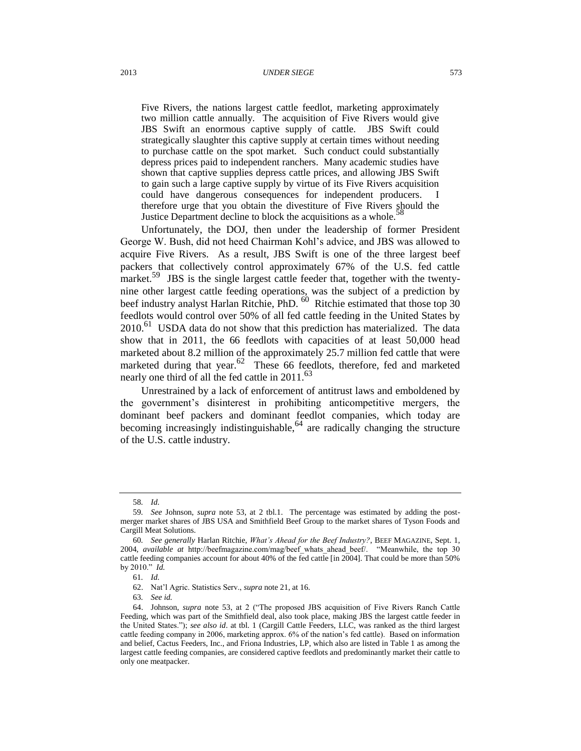Five Rivers, the nations largest cattle feedlot, marketing approximately two million cattle annually. The acquisition of Five Rivers would give JBS Swift an enormous captive supply of cattle. JBS Swift could strategically slaughter this captive supply at certain times without needing to purchase cattle on the spot market. Such conduct could substantially depress prices paid to independent ranchers. Many academic studies have shown that captive supplies depress cattle prices, and allowing JBS Swift to gain such a large captive supply by virtue of its Five Rivers acquisition could have dangerous consequences for independent producers. I therefore urge that you obtain the divestiture of Five Rivers should the Justice Department decline to block the acquisitions as a whole.

Unfortunately, the DOJ, then under the leadership of former President George W. Bush, did not heed Chairman Kohl's advice, and JBS was allowed to acquire Five Rivers. As a result, JBS Swift is one of the three largest beef packers that collectively control approximately 67% of the U.S. fed cattle market.<sup>59</sup> JBS is the single largest cattle feeder that, together with the twentynine other largest cattle feeding operations, was the subject of a prediction by beef industry analyst Harlan Ritchie, PhD. <sup>60</sup> Ritchie estimated that those top 30 feedlots would control over 50% of all fed cattle feeding in the United States by  $2010$ <sup>.61</sup> USDA data do not show that this prediction has materialized. The data show that in 2011, the 66 feedlots with capacities of at least 50,000 head marketed about 8.2 million of the approximately 25.7 million fed cattle that were marketed during that year.  $62$  These 66 feedlots, therefore, fed and marketed nearly one third of all the fed cattle in 2011.<sup>63</sup>

Unrestrained by a lack of enforcement of antitrust laws and emboldened by the government's disinterest in prohibiting anticompetitive mergers, the dominant beef packers and dominant feedlot companies, which today are becoming increasingly indistinguishable,  $64$  are radically changing the structure of the U.S. cattle industry.

<sup>58</sup>*. Id.*

<sup>59</sup>*. See* Johnson, *supra* note [53,](#page-12-0) at 2 tbl.1. The percentage was estimated by adding the postmerger market shares of JBS USA and Smithfield Beef Group to the market shares of Tyson Foods and Cargill Meat Solutions.

<sup>60</sup>*. See generally* Harlan Ritchie, *What's Ahead for the Beef Industry?*, BEEF MAGAZINE, Sept. 1, 2004, *available at* http://beefmagazine.com/mag/beef\_whats\_ahead\_beef/. "Meanwhile, the top 30 cattle feeding companies account for about 40% of the fed cattle [in 2004]. That could be more than 50% by 2010." *Id.*

<sup>61</sup>*. Id.*

<sup>62.</sup> Nat'l Agric. Statistics Serv., *supra* not[e 21,](#page-4-0) at 16.

<sup>63</sup>*. See id.*

<sup>64.</sup> Johnson, *supra* note [53,](#page-12-0) at 2 ("The proposed JBS acquisition of Five Rivers Ranch Cattle Feeding, which was part of the Smithfield deal, also took place, making JBS the largest cattle feeder in the United States."); *see also id*. at tbl. 1 (Cargill Cattle Feeders, LLC, was ranked as the third largest cattle feeding company in 2006, marketing approx. 6% of the nation's fed cattle). Based on information and belief, Cactus Feeders, Inc., and Friona Industries, LP, which also are listed in Table 1 as among the largest cattle feeding companies, are considered captive feedlots and predominantly market their cattle to only one meatpacker.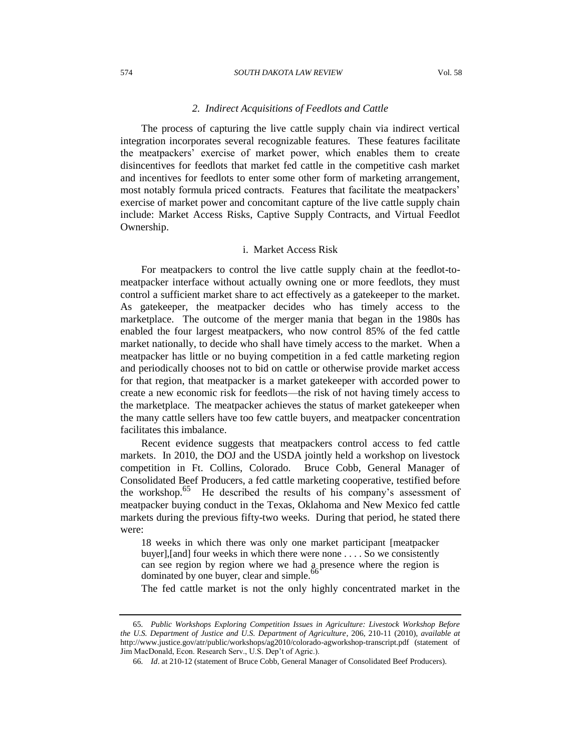#### 574 *SOUTH DAKOTA LAW REVIEW* Vol. 58

## *2. Indirect Acquisitions of Feedlots and Cattle*

The process of capturing the live cattle supply chain via indirect vertical integration incorporates several recognizable features. These features facilitate the meatpackers' exercise of market power, which enables them to create disincentives for feedlots that market fed cattle in the competitive cash market and incentives for feedlots to enter some other form of marketing arrangement, most notably formula priced contracts. Features that facilitate the meatpackers' exercise of market power and concomitant capture of the live cattle supply chain include: Market Access Risks, Captive Supply Contracts, and Virtual Feedlot Ownership.

## i. Market Access Risk

For meatpackers to control the live cattle supply chain at the feedlot-tomeatpacker interface without actually owning one or more feedlots, they must control a sufficient market share to act effectively as a gatekeeper to the market. As gatekeeper, the meatpacker decides who has timely access to the marketplace. The outcome of the merger mania that began in the 1980s has enabled the four largest meatpackers, who now control 85% of the fed cattle market nationally, to decide who shall have timely access to the market. When a meatpacker has little or no buying competition in a fed cattle marketing region and periodically chooses not to bid on cattle or otherwise provide market access for that region, that meatpacker is a market gatekeeper with accorded power to create a new economic risk for feedlots—the risk of not having timely access to the marketplace. The meatpacker achieves the status of market gatekeeper when the many cattle sellers have too few cattle buyers, and meatpacker concentration facilitates this imbalance.

Recent evidence suggests that meatpackers control access to fed cattle markets. In 2010, the DOJ and the USDA jointly held a workshop on livestock competition in Ft. Collins, Colorado. Bruce Cobb, General Manager of Consolidated Beef Producers, a fed cattle marketing cooperative, testified before the workshop.<sup>65</sup> He described the results of his company's assessment of meatpacker buying conduct in the Texas, Oklahoma and New Mexico fed cattle markets during the previous fifty-two weeks. During that period, he stated there were:

18 weeks in which there was only one market participant [meatpacker buyer],[and] four weeks in which there were none . . . . So we consistently can see region by region where we had a presence where the region is dominated by one buyer, clear and simple.<sup>66</sup>

The fed cattle market is not the only highly concentrated market in the

<sup>65</sup>*. Public Workshops Exploring Competition Issues in Agriculture: Livestock Workshop Before the U.S. Department of Justice and U.S. Department of Agriculture*, 206, 210-11 (2010), *available at* http://www.justice.gov/atr/public/workshops/ag2010/colorado-agworkshop-transcript.pdf (statement of Jim MacDonald, Econ. Research Serv., U.S. Dep't of Agric.).

<sup>66</sup>*. Id*. at 210-12 (statement of Bruce Cobb, General Manager of Consolidated Beef Producers).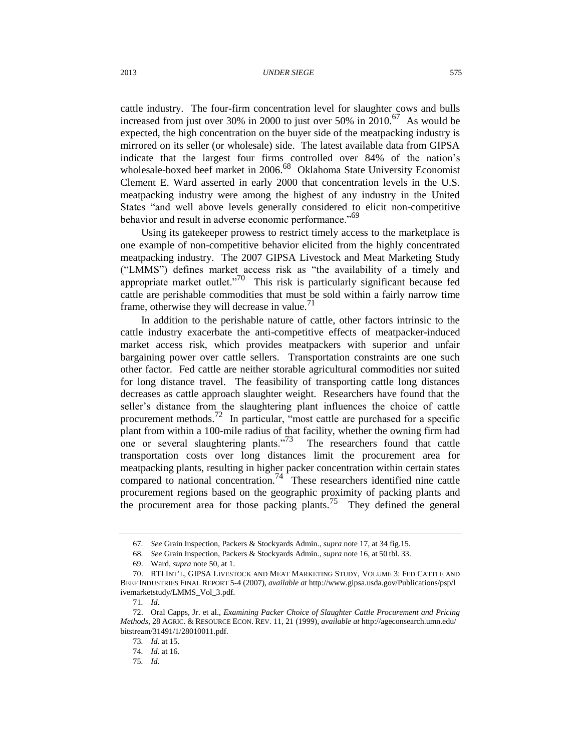cattle industry. The four-firm concentration level for slaughter cows and bulls increased from just over 30% in 2000 to just over 50% in  $2010$ .<sup>67</sup> As would be expected, the high concentration on the buyer side of the meatpacking industry is mirrored on its seller (or wholesale) side. The latest available data from GIPSA indicate that the largest four firms controlled over 84% of the nation's wholesale-boxed beef market in 2006.<sup>68</sup> Oklahoma State University Economist Clement E. Ward asserted in early 2000 that concentration levels in the U.S. meatpacking industry were among the highest of any industry in the United States "and well above levels generally considered to elicit non-competitive behavior and result in adverse economic performance."<sup>69</sup>

Using its gatekeeper prowess to restrict timely access to the marketplace is one example of non-competitive behavior elicited from the highly concentrated meatpacking industry. The 2007 GIPSA Livestock and Meat Marketing Study ("LMMS") defines market access risk as "the availability of a timely and appropriate market outlet."<sup>70</sup> This risk is particularly significant because fed cattle are perishable commodities that must be sold within a fairly narrow time frame, otherwise they will decrease in value. $^{71}$ 

<span id="page-15-1"></span><span id="page-15-0"></span>In addition to the perishable nature of cattle, other factors intrinsic to the cattle industry exacerbate the anti-competitive effects of meatpacker-induced market access risk, which provides meatpackers with superior and unfair bargaining power over cattle sellers. Transportation constraints are one such other factor. Fed cattle are neither storable agricultural commodities nor suited for long distance travel. The feasibility of transporting cattle long distances decreases as cattle approach slaughter weight. Researchers have found that the seller's distance from the slaughtering plant influences the choice of cattle procurement methods.<sup>72</sup> In particular, "most cattle are purchased for a specific plant from within a 100-mile radius of that facility, whether the owning firm had one or several slaughtering plants.<sup> $73$ </sup> The researchers found that cattle transportation costs over long distances limit the procurement area for meatpacking plants, resulting in higher packer concentration within certain states compared to national concentration.<sup>74</sup> These researchers identified nine cattle procurement regions based on the geographic proximity of packing plants and the procurement area for those packing plants.<sup>75</sup> They defined the general

<sup>67</sup>*. See* Grain Inspection, Packers & Stockyards Admin., *supra* not[e 17,](#page-3-1) at 34 fig.15.

<sup>68</sup>*. See* Grain Inspection, Packers & Stockyards Admin., *supra* not[e 16,](#page-3-0) at 50 tbl. 33.

<sup>69.</sup> Ward*, supra* not[e 50,](#page-11-0) at 1.

<sup>70.</sup> RTI INT'L, GIPSA LIVESTOCK AND MEAT MARKETING STUDY, VOLUME 3: FED CATTLE AND BEEF INDUSTRIES FINAL REPORT 5-4 (2007), *available at* http://www.gipsa.usda.gov/Publications/psp/l ivemarketstudy/LMMS\_Vol\_3.pdf.

<sup>71</sup>*. Id*.

<sup>72.</sup> Oral Capps, Jr. et al., *Examining Packer Choice of Slaughter Cattle Procurement and Pricing Methods*, 28 AGRIC. & RESOURCE ECON. REV. 11, 21 (1999), *available at* http://ageconsearch.umn.edu/ bitstream/31491/1/28010011.pdf.

<sup>73</sup>*. Id.* at 15.

<sup>74</sup>*. Id.* at 16.

<sup>75</sup>*. Id.*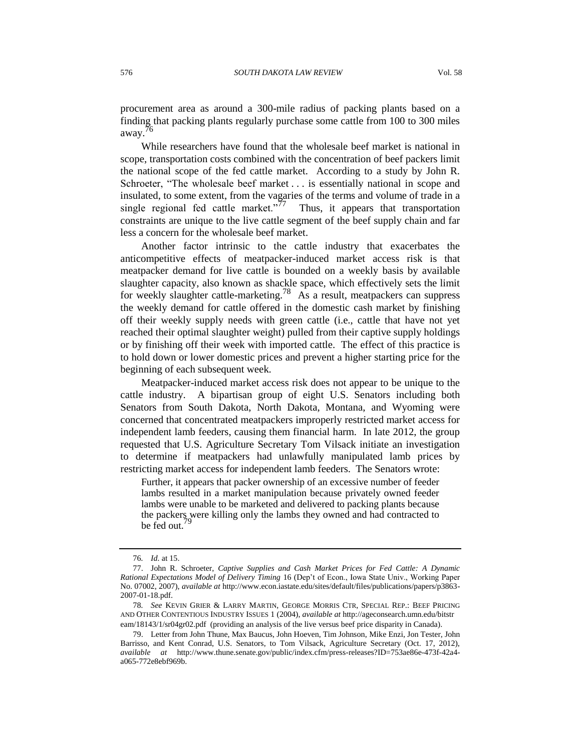procurement area as around a 300-mile radius of packing plants based on a finding that packing plants regularly purchase some cattle from 100 to 300 miles away.<sup>76</sup>

While researchers have found that the wholesale beef market is national in scope, transportation costs combined with the concentration of beef packers limit the national scope of the fed cattle market. According to a study by John R. Schroeter, "The wholesale beef market . . . is essentially national in scope and insulated, to some extent, from the vagaries of the terms and volume of trade in a single regional fed cattle market."<sup>77</sup> Thus, it appears that transportation constraints are unique to the live cattle segment of the beef supply chain and far less a concern for the wholesale beef market.

<span id="page-16-0"></span>Another factor intrinsic to the cattle industry that exacerbates the anticompetitive effects of meatpacker-induced market access risk is that meatpacker demand for live cattle is bounded on a weekly basis by available slaughter capacity, also known as shackle space, which effectively sets the limit for weekly slaughter cattle-marketing.<sup>78</sup> As a result, meatpackers can suppress the weekly demand for cattle offered in the domestic cash market by finishing off their weekly supply needs with green cattle (i.e., cattle that have not yet reached their optimal slaughter weight) pulled from their captive supply holdings or by finishing off their week with imported cattle. The effect of this practice is to hold down or lower domestic prices and prevent a higher starting price for the beginning of each subsequent week.

Meatpacker-induced market access risk does not appear to be unique to the cattle industry. A bipartisan group of eight U.S. Senators including both Senators from South Dakota, North Dakota, Montana, and Wyoming were concerned that concentrated meatpackers improperly restricted market access for independent lamb feeders, causing them financial harm. In late 2012, the group requested that U.S. Agriculture Secretary Tom Vilsack initiate an investigation to determine if meatpackers had unlawfully manipulated lamb prices by restricting market access for independent lamb feeders. The Senators wrote:

Further, it appears that packer ownership of an excessive number of feeder lambs resulted in a market manipulation because privately owned feeder lambs were unable to be marketed and delivered to packing plants because the packers were killing only the lambs they owned and had contracted to be fed out.

<sup>76</sup>*. Id.* at 15.

<sup>77.</sup> John R. Schroeter, *Captive Supplies and Cash Market Prices for Fed Cattle: A Dynamic Rational Expectations Model of Delivery Timing* 16 (Dep't of Econ., Iowa State Univ., Working Paper No. 07002, 2007), *available at* http://www.econ.iastate.edu/sites/default/files/publications/papers/p3863- 2007-01-18.pdf.

<sup>78</sup>*. See* KEVIN GRIER & LARRY MARTIN, GEORGE MORRIS CTR, SPECIAL REP.: BEEF PRICING AND OTHER CONTENTIOUS INDUSTRY ISSUES 1 (2004), *available at* http://ageconsearch.umn.edu/bitstr eam/18143/1/sr04gr02.pdf (providing an analysis of the live versus beef price disparity in Canada).

<sup>79.</sup> Letter from John Thune, Max Baucus, John Hoeven, Tim Johnson, Mike Enzi, Jon Tester, John Barrisso, and Kent Conrad, U.S. Senators, to Tom Vilsack, Agriculture Secretary (Oct. 17, 2012), *available at* http://www.thune.senate.gov/public/index.cfm/press-releases?ID=753ae86e-473f-42a4 a065-772e8ebf969b.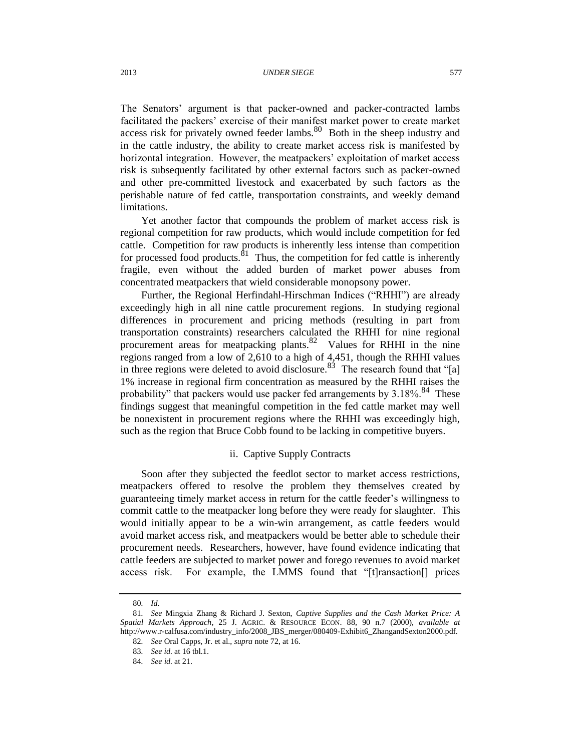The Senators' argument is that packer-owned and packer-contracted lambs facilitated the packers' exercise of their manifest market power to create market access risk for privately owned feeder lambs.  $80$  Both in the sheep industry and in the cattle industry, the ability to create market access risk is manifested by horizontal integration. However, the meatpackers' exploitation of market access risk is subsequently facilitated by other external factors such as packer-owned and other pre-committed livestock and exacerbated by such factors as the perishable nature of fed cattle, transportation constraints, and weekly demand limitations.

<span id="page-17-0"></span>Yet another factor that compounds the problem of market access risk is regional competition for raw products, which would include competition for fed cattle. Competition for raw products is inherently less intense than competition for processed food products.<sup>81</sup> Thus, the competition for fed cattle is inherently fragile, even without the added burden of market power abuses from concentrated meatpackers that wield considerable monopsony power.

Further, the Regional Herfindahl-Hirschman Indices ("RHHI") are already exceedingly high in all nine cattle procurement regions. In studying regional differences in procurement and pricing methods (resulting in part from transportation constraints) researchers calculated the RHHI for nine regional procurement areas for meatpacking plants. $82$  Values for RHHI in the nine regions ranged from a low of 2,610 to a high of 4,451, though the RHHI values in three regions were deleted to avoid disclosure.<sup>83</sup> The research found that "[a] 1% increase in regional firm concentration as measured by the RHHI raises the probability" that packers would use packer fed arrangements by  $3.18\%$ .<sup>84</sup> These findings suggest that meaningful competition in the fed cattle market may well be nonexistent in procurement regions where the RHHI was exceedingly high, such as the region that Bruce Cobb found to be lacking in competitive buyers.

## ii. Captive Supply Contracts

Soon after they subjected the feedlot sector to market access restrictions, meatpackers offered to resolve the problem they themselves created by guaranteeing timely market access in return for the cattle feeder's willingness to commit cattle to the meatpacker long before they were ready for slaughter. This would initially appear to be a win-win arrangement, as cattle feeders would avoid market access risk, and meatpackers would be better able to schedule their procurement needs. Researchers, however, have found evidence indicating that cattle feeders are subjected to market power and forego revenues to avoid market access risk. For example, the LMMS found that "[t]ransaction[] prices

<sup>80</sup>*. Id.*

<sup>81</sup>*. See* Mingxia Zhang & Richard J. Sexton, *Captive Supplies and the Cash Market Price: A Spatial Markets Approach*, 25 J. AGRIC. & RESOURCE ECON. 88, 90 n.7 (2000), *available at* http://www.r-calfusa.com/industry\_info/2008\_JBS\_merger/080409-Exhibit6\_ZhangandSexton2000.pdf.

<sup>82</sup>*. See* Oral Capps, Jr. et al., *supra* note [72,](#page-15-0) at 16.

<sup>83</sup>*. See id.* at 16 tbl.1.

<sup>84</sup>*. See id.* at 21.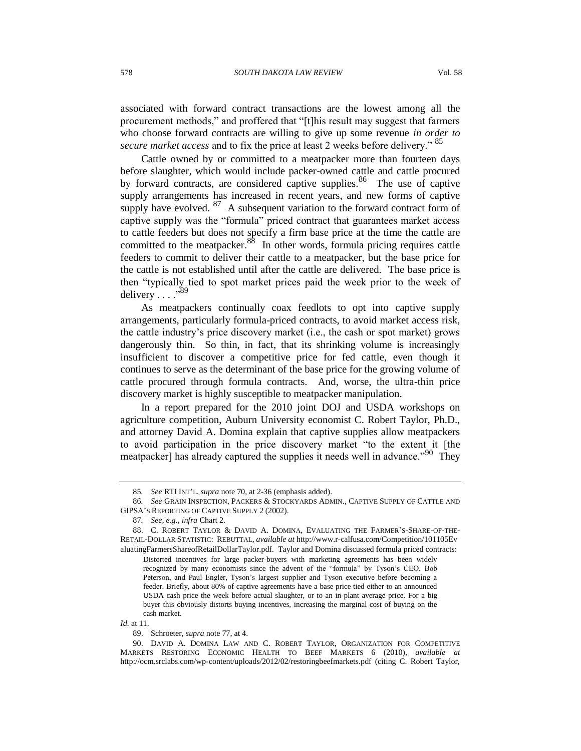associated with forward contract transactions are the lowest among all the procurement methods," and proffered that "[t]his result may suggest that farmers who choose forward contracts are willing to give up some revenue *in order to secure market access* and to fix the price at least 2 weeks before delivery." <sup>85</sup>

Cattle owned by or committed to a meatpacker more than fourteen days before slaughter, which would include packer-owned cattle and cattle procured by forward contracts, are considered captive supplies.<sup>86</sup> The use of captive supply arrangements has increased in recent years, and new forms of captive supply have evolved.  $87$  A subsequent variation to the forward contract form of captive supply was the "formula" priced contract that guarantees market access to cattle feeders but does not specify a firm base price at the time the cattle are committed to the meatpacker.  $88\,$  In other words, formula pricing requires cattle feeders to commit to deliver their cattle to a meatpacker, but the base price for the cattle is not established until after the cattle are delivered. The base price is then "typically tied to spot market prices paid the week prior to the week of delivery . . . ."<sup>89</sup>

As meatpackers continually coax feedlots to opt into captive supply arrangements, particularly formula-priced contracts, to avoid market access risk, the cattle industry's price discovery market (i.e., the cash or spot market) grows dangerously thin. So thin, in fact, that its shrinking volume is increasingly insufficient to discover a competitive price for fed cattle, even though it continues to serve as the determinant of the base price for the growing volume of cattle procured through formula contracts. And, worse, the ultra-thin price discovery market is highly susceptible to meatpacker manipulation.

In a report prepared for the 2010 joint DOJ and USDA workshops on agriculture competition, Auburn University economist C. Robert Taylor, Ph.D., and attorney David A. Domina explain that captive supplies allow meatpackers to avoid participation in the price discovery market "to the extent it [the meatpacker] has already captured the supplies it needs well in advance."<sup>90</sup> They

*Id.* at 11.

<sup>85</sup>*. See* RTI INT'L, *supra* note [70,](#page-15-1) at 2-36 (emphasis added).

<sup>86</sup>*. See* GRAIN INSPECTION, PACKERS & STOCKYARDS ADMIN., CAPTIVE SUPPLY OF CATTLE AND GIPSA'S REPORTING OF CAPTIVE SUPPLY 2 (2002).

<sup>87</sup>*. See, e.g.*, *infra* Chart 2.

<sup>88.</sup> C. ROBERT TAYLOR & DAVID A. DOMINA, EVALUATING THE FARMER'S-SHARE-OF-THE-RETAIL-DOLLAR STATISTIC: REBUTTAL, *available at* http://www.r-calfusa.com/Competition/101105Ev aluatingFarmersShareofRetailDollarTaylor.pdf. Taylor and Domina discussed formula priced contracts:

Distorted incentives for large packer-buyers with marketing agreements has been widely recognized by many economists since the advent of the "formula" by Tyson's CEO, Bob Peterson, and Paul Engler, Tyson's largest supplier and Tyson executive before becoming a feeder. Briefly, about 80% of captive agreements have a base price tied either to an announced USDA cash price the week before actual slaughter, or to an in-plant average price. For a big buyer this obviously distorts buying incentives, increasing the marginal cost of buying on the cash market.

<sup>89.</sup> Schroeter, *supra* not[e 77,](#page-16-0) at 4.

<sup>90.</sup> DAVID A. DOMINA LAW AND C. ROBERT TAYLOR, ORGANIZATION FOR COMPETITIVE MARKETS RESTORING ECONOMIC HEALTH TO BEEF MARKETS 6 (2010), *available at* http://ocm.srclabs.com/wp-content/uploads/2012/02/restoringbeefmarkets.pdf (citing C. Robert Taylor,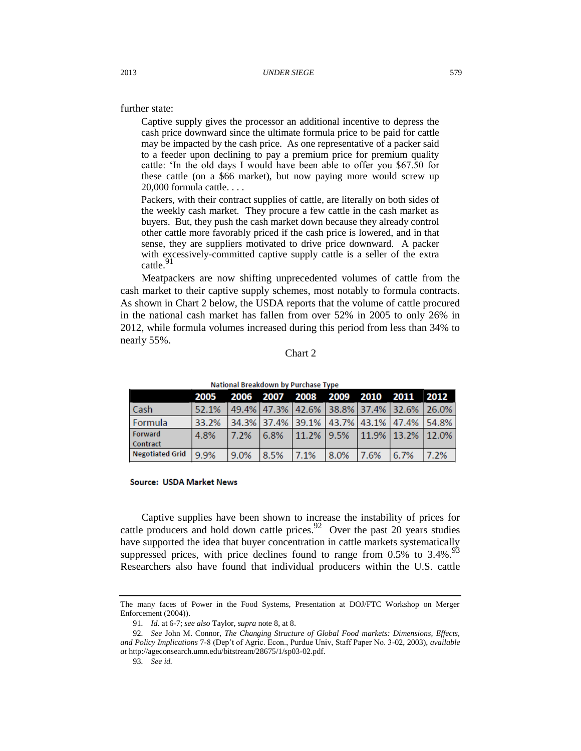further state:

Captive supply gives the processor an additional incentive to depress the cash price downward since the ultimate formula price to be paid for cattle may be impacted by the cash price. As one representative of a packer said to a feeder upon declining to pay a premium price for premium quality cattle: 'In the old days I would have been able to offer you \$67.50 for these cattle (on a \$66 market), but now paying more would screw up 20,000 formula cattle. . . .

Packers, with their contract supplies of cattle, are literally on both sides of the weekly cash market. They procure a few cattle in the cash market as buyers. But, they push the cash market down because they already control other cattle more favorably priced if the cash price is lowered, and in that sense, they are suppliers motivated to drive price downward. A packer with excessively-committed captive supply cattle is a seller of the extra cattle.<sup>91</sup>

<span id="page-19-0"></span>Meatpackers are now shifting unprecedented volumes of cattle from the cash market to their captive supply schemes, most notably to formula contracts. As shown in Chart 2 below, the USDA reports that the volume of cattle procured in the national cash market has fallen from over 52% in 2005 to only 26% in 2012, while formula volumes increased during this period from less than 34% to nearly 55%.

### Chart 2

| <b>IVALIONAL DI CARACTER DY FUNCHASE TYDE</b> |       |       |  |  |  |  |                                                                                     |  |
|-----------------------------------------------|-------|-------|--|--|--|--|-------------------------------------------------------------------------------------|--|
|                                               |       |       |  |  |  |  | 2005 2006 2007 2008 2009 2010 2011 2012                                             |  |
| l Cash                                        | 52.1% |       |  |  |  |  | 49.4% 47.3% 42.6% 38.8% 37.4% 32.6% 26.0%                                           |  |
| <b>Formula</b>                                | 33.2% |       |  |  |  |  | 34.3%   37.4%   39.1%   43.7%   43.1%   47.4%   54.8%                               |  |
| Forward                                       | 4.8%  | 17.2% |  |  |  |  | $\vert 6.8\% \vert 11.2\% \vert 9.5\% \vert 11.9\% \vert 13.2\% \vert 12.0\% \vert$ |  |
| Contract                                      |       |       |  |  |  |  |                                                                                     |  |
| Negotiated Grid 9.9%                          |       | 9.0%  |  |  |  |  | $\vert 8.5\% \vert 7.1\% \vert 8.0\% \vert 7.6\% \vert 6.7\% \vert 7.2\% \vert$     |  |

National Breakdown by Purchase Type

#### **Source: USDA Market News**

Captive supplies have been shown to increase the instability of prices for cattle producers and hold down cattle prices.  $92$  Over the past 20 years studies have supported the idea that buyer concentration in cattle markets systematically suppressed prices, with price declines found to range from  $0.5\%$  to  $3.4\%$ .<sup>93</sup> Researchers also have found that individual producers within the U.S. cattle

The many faces of Power in the Food Systems, Presentation at DOJ/FTC Workshop on Merger Enforcement (2004)).

<sup>91</sup>*. Id*. at 6-7; *see also* Taylor, *supra* note [8,](#page-2-0) at 8.

<sup>92</sup>*. See* John M. Connor, *The Changing Structure of Global Food markets: Dimensions, Effects, and Policy Implications* 7-8 (Dep't of Agric. Econ., Purdue Univ, Staff Paper No. 3-02, 2003), *available at* http://ageconsearch.umn.edu/bitstream/28675/1/sp03-02.pdf.

<sup>93</sup>*. See id.*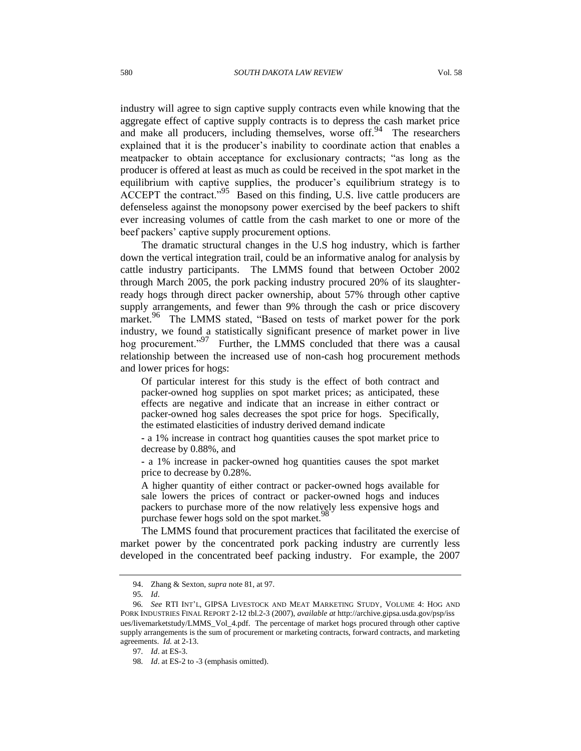industry will agree to sign captive supply contracts even while knowing that the aggregate effect of captive supply contracts is to depress the cash market price and make all producers, including themselves, worse off.<sup>94</sup> The researchers explained that it is the producer's inability to coordinate action that enables a meatpacker to obtain acceptance for exclusionary contracts; "as long as the producer is offered at least as much as could be received in the spot market in the equilibrium with captive supplies, the producer's equilibrium strategy is to ACCEPT the contract."<sup>95</sup> Based on this finding, U.S. live cattle producers are defenseless against the monopsony power exercised by the beef packers to shift ever increasing volumes of cattle from the cash market to one or more of the beef packers' captive supply procurement options.

The dramatic structural changes in the U.S hog industry, which is farther down the vertical integration trail, could be an informative analog for analysis by cattle industry participants. The LMMS found that between October 2002 through March 2005, the pork packing industry procured 20% of its slaughterready hogs through direct packer ownership, about 57% through other captive supply arrangements, and fewer than 9% through the cash or price discovery market.<sup>96</sup> The LMMS stated, "Based on tests of market power for the pork industry, we found a statistically significant presence of market power in live hog procurement."<sup>97</sup> Further, the LMMS concluded that there was a causal relationship between the increased use of non-cash hog procurement methods and lower prices for hogs:

Of particular interest for this study is the effect of both contract and packer-owned hog supplies on spot market prices; as anticipated, these effects are negative and indicate that an increase in either contract or packer-owned hog sales decreases the spot price for hogs. Specifically, the estimated elasticities of industry derived demand indicate

**-** a 1% increase in contract hog quantities causes the spot market price to decrease by 0.88%, and

**-** a 1% increase in packer-owned hog quantities causes the spot market price to decrease by 0.28%.

A higher quantity of either contract or packer-owned hogs available for sale lowers the prices of contract or packer-owned hogs and induces packers to purchase more of the now relatively less expensive hogs and purchase fewer hogs sold on the spot market.

The LMMS found that procurement practices that facilitated the exercise of market power by the concentrated pork packing industry are currently less developed in the concentrated beef packing industry. For example, the 2007

<sup>94.</sup> Zhang & Sexton, *supra* not[e 81,](#page-17-0) at 97.

<sup>95</sup>*. Id*.

<sup>96</sup>*. See* RTI INT'L, GIPSA LIVESTOCK AND MEAT MARKETING STUDY, VOLUME 4: HOG AND PORK INDUSTRIES FINAL REPORT 2-12 tbl.2-3 (2007), *available at* http://archive.gipsa.usda.gov/psp/iss ues/livemarketstudy/LMMS\_Vol\_4.pdf. The percentage of market hogs procured through other captive supply arrangements is the sum of procurement or marketing contracts, forward contracts, and marketing agreements. *Id.* at 2-13.

<sup>97</sup>*. Id*. at ES-3.

<sup>98</sup>*. Id*. at ES-2 to -3 (emphasis omitted).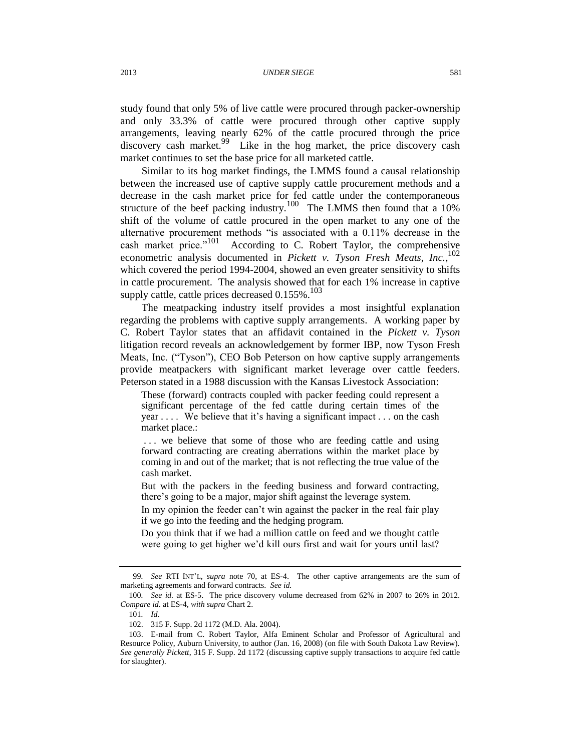study found that only 5% of live cattle were procured through packer-ownership and only 33.3% of cattle were procured through other captive supply arrangements, leaving nearly 62% of the cattle procured through the price discovery cash market.<sup>99</sup> Like in the hog market, the price discovery cash market continues to set the base price for all marketed cattle.

Similar to its hog market findings, the LMMS found a causal relationship between the increased use of captive supply cattle procurement methods and a decrease in the cash market price for fed cattle under the contemporaneous structure of the beef packing industry.<sup>100</sup> The LMMS then found that a 10% shift of the volume of cattle procured in the open market to any one of the alternative procurement methods "is associated with a 0.11% decrease in the cash market price."<sup>101</sup> According to C. Robert Taylor, the comprehensive econometric analysis documented in *Pickett v. Tyson Fresh Meats, Inc.*,<sup>102</sup> which covered the period 1994-2004, showed an even greater sensitivity to shifts in cattle procurement. The analysis showed that for each 1% increase in captive supply cattle, cattle prices decreased  $0.155\%$ .<sup>103</sup>

The meatpacking industry itself provides a most insightful explanation regarding the problems with captive supply arrangements. A working paper by C. Robert Taylor states that an affidavit contained in the *Pickett v. Tyson* litigation record reveals an acknowledgement by former IBP, now Tyson Fresh Meats, Inc. ("Tyson"), CEO Bob Peterson on how captive supply arrangements provide meatpackers with significant market leverage over cattle feeders. Peterson stated in a 1988 discussion with the Kansas Livestock Association:

These (forward) contracts coupled with packer feeding could represent a significant percentage of the fed cattle during certain times of the year . . . . We believe that it's having a significant impact . . . on the cash market place.:

... we believe that some of those who are feeding cattle and using forward contracting are creating aberrations within the market place by coming in and out of the market; that is not reflecting the true value of the cash market.

But with the packers in the feeding business and forward contracting, there's going to be a major, major shift against the leverage system.

In my opinion the feeder can't win against the packer in the real fair play if we go into the feeding and the hedging program.

Do you think that if we had a million cattle on feed and we thought cattle were going to get higher we'd kill ours first and wait for yours until last?

<sup>99</sup>*. See* RTI INT'L, *supra* note [70,](#page-15-1) at ES-4. The other captive arrangements are the sum of marketing agreements and forward contracts. *See id.*

<sup>100</sup>*. See id.* at ES-5. The price discovery volume decreased from 62% in 2007 to 26% in 2012. *Compare id.* at ES-4, *with supra* Chart 2.

<sup>101</sup>*. Id.*

<sup>102.</sup> 315 F. Supp. 2d 1172 (M.D. Ala. 2004).

<sup>103.</sup> E-mail from C. Robert Taylor, Alfa Eminent Scholar and Professor of Agricultural and Resource Policy, Auburn University, to author (Jan. 16, 2008) (on file with South Dakota Law Review). *See generally Pickett*, 315 F. Supp. 2d 1172 (discussing captive supply transactions to acquire fed cattle for slaughter).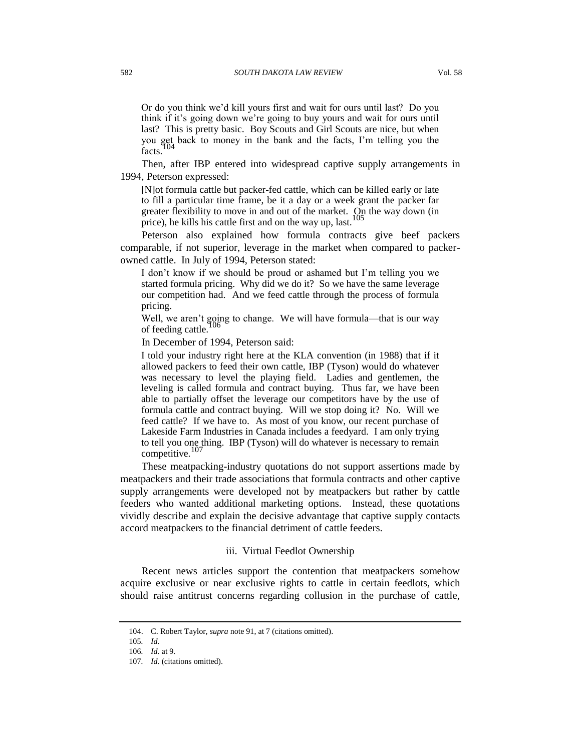Or do you think we'd kill yours first and wait for ours until last? Do you think if it's going down we're going to buy yours and wait for ours until last? This is pretty basic. Boy Scouts and Girl Scouts are nice, but when you get back to money in the bank and the facts, I'm telling you the facts.

Then, after IBP entered into widespread captive supply arrangements in 1994, Peterson expressed:

[N]ot formula cattle but packer-fed cattle, which can be killed early or late to fill a particular time frame, be it a day or a week grant the packer far greater flexibility to move in and out of the market.  $\Omega$ <sub>p</sub> the way down (in price), he kills his cattle first and on the way up, last.

Peterson also explained how formula contracts give beef packers comparable, if not superior, leverage in the market when compared to packerowned cattle. In July of 1994, Peterson stated:

I don't know if we should be proud or ashamed but I'm telling you we started formula pricing. Why did we do it? So we have the same leverage our competition had. And we feed cattle through the process of formula pricing.

Well, we aren't going to change. We will have formula—that is our way of feeding cattle.

In December of 1994, Peterson said:

I told your industry right here at the KLA convention (in 1988) that if it allowed packers to feed their own cattle, IBP (Tyson) would do whatever was necessary to level the playing field. Ladies and gentlemen, the leveling is called formula and contract buying. Thus far, we have been able to partially offset the leverage our competitors have by the use of formula cattle and contract buying. Will we stop doing it? No. Will we feed cattle? If we have to. As most of you know, our recent purchase of Lakeside Farm Industries in Canada includes a feedyard. I am only trying to tell you one thing. IBP (Tyson) will do whatever is necessary to remain competitive.<sup>107</sup>

These meatpacking-industry quotations do not support assertions made by meatpackers and their trade associations that formula contracts and other captive supply arrangements were developed not by meatpackers but rather by cattle feeders who wanted additional marketing options. Instead, these quotations vividly describe and explain the decisive advantage that captive supply contacts accord meatpackers to the financial detriment of cattle feeders.

#### iii. Virtual Feedlot Ownership

Recent news articles support the contention that meatpackers somehow acquire exclusive or near exclusive rights to cattle in certain feedlots, which should raise antitrust concerns regarding collusion in the purchase of cattle,

<sup>104.</sup> C. Robert Taylor, *supra* not[e 91,](#page-19-0) at 7 (citations omitted).

<sup>105</sup>*. Id.*

<sup>106</sup>*. Id.* at 9.

<sup>107</sup>*. Id.* (citations omitted).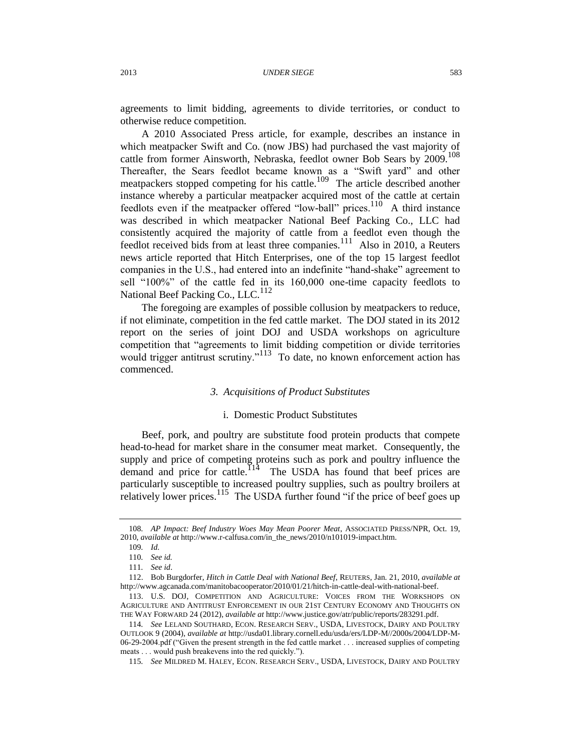agreements to limit bidding, agreements to divide territories, or conduct to otherwise reduce competition.

A 2010 Associated Press article, for example, describes an instance in which meatpacker Swift and Co. (now JBS) had purchased the vast majority of cattle from former Ainsworth, Nebraska, feedlot owner Bob Sears by 2009.<sup>108</sup> Thereafter, the Sears feedlot became known as a "Swift yard" and other meatpackers stopped competing for his cattle.<sup>109</sup> The article described another instance whereby a particular meatpacker acquired most of the cattle at certain feedlots even if the meatpacker offered "low-ball" prices.<sup>110</sup> A third instance was described in which meatpacker National Beef Packing Co., LLC had consistently acquired the majority of cattle from a feedlot even though the feedlot received bids from at least three companies.<sup>111</sup> Also in 2010, a Reuters news article reported that Hitch Enterprises, one of the top 15 largest feedlot companies in the U.S., had entered into an indefinite "hand-shake" agreement to sell "100%" of the cattle fed in its 160,000 one-time capacity feedlots to National Beef Packing Co., LLC.<sup>112</sup>

The foregoing are examples of possible collusion by meatpackers to reduce, if not eliminate, competition in the fed cattle market. The DOJ stated in its 2012 report on the series of joint DOJ and USDA workshops on agriculture competition that "agreements to limit bidding competition or divide territories would trigger antitrust scrutiny."<sup>113</sup> To date, no known enforcement action has commenced.

### *3. Acquisitions of Product Substitutes*

#### i. Domestic Product Substitutes

Beef, pork, and poultry are substitute food protein products that compete head-to-head for market share in the consumer meat market. Consequently, the supply and price of competing proteins such as pork and poultry influence the demand and price for cattle.<sup>114</sup> The USDA has found that beef prices are particularly susceptible to increased poultry supplies, such as poultry broilers at relatively lower prices.<sup>115</sup> The USDA further found "if the price of beef goes up

<sup>108</sup>*. AP Impact: Beef Industry Woes May Mean Poorer Meat*, ASSOCIATED PRESS/NPR, Oct. 19, 2010, *available at* http://www.r-calfusa.com/in\_the\_news/2010/n101019-impact.htm.

<sup>109</sup>*. Id.*

<sup>110</sup>*. See id.*

<sup>111</sup>*. See id*.

<sup>112.</sup> Bob Burgdorfer, *Hitch in Cattle Deal with National Beef*, REUTERS, Jan. 21, 2010, *available at* http://www.agcanada.com/manitobacooperator/2010/01/21/hitch-in-cattle-deal-with-national-beef.

<sup>113.</sup> U.S. DOJ, COMPETITION AND AGRICULTURE: VOICES FROM THE WORKSHOPS ON AGRICULTURE AND ANTITRUST ENFORCEMENT IN OUR 21ST CENTURY ECONOMY AND THOUGHTS ON THE WAY FORWARD 24 (2012), *available at* http://www.justice.gov/atr/public/reports/283291.pdf.

<sup>114</sup>*. See* LELAND SOUTHARD, ECON. RESEARCH SERV., USDA, LIVESTOCK, DAIRY AND POULTRY OUTLOOK 9 (2004), *available at* http://usda01.library.cornell.edu/usda/ers/LDP-M//2000s/2004/LDP-M-06-29-2004.pdf ("Given the present strength in the fed cattle market . . . increased supplies of competing meats . . . would push breakevens into the red quickly.").

<sup>115</sup>*. See* MILDRED M. HALEY, ECON. RESEARCH SERV., USDA, LIVESTOCK, DAIRY AND POULTRY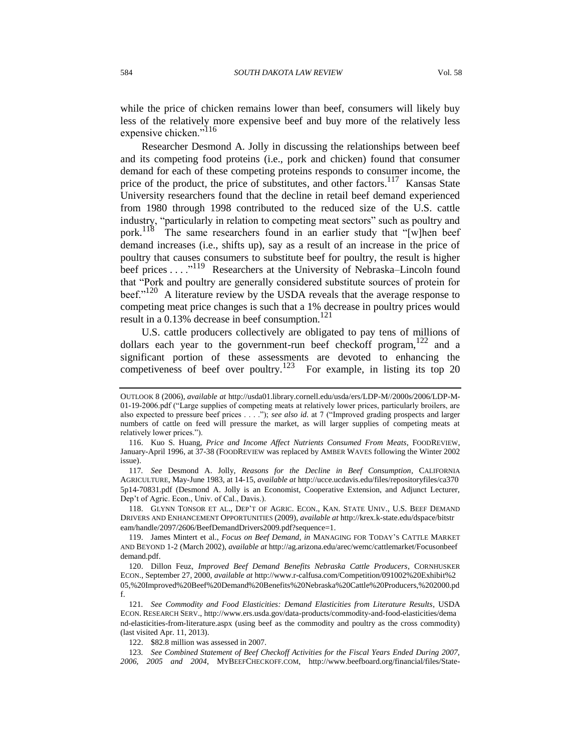while the price of chicken remains lower than beef, consumers will likely buy less of the relatively more expensive beef and buy more of the relatively less expensive chicken."<sup>116</sup>

Researcher Desmond A. Jolly in discussing the relationships between beef and its competing food proteins (i.e., pork and chicken) found that consumer demand for each of these competing proteins responds to consumer income, the price of the product, the price of substitutes, and other factors.<sup>117</sup> Kansas State University researchers found that the decline in retail beef demand experienced from 1980 through 1998 contributed to the reduced size of the U.S. cattle industry, "particularly in relation to competing meat sectors" such as poultry and pork.<sup>118</sup> The same researchers found in an earlier study that "[w]hen beef demand increases (i.e., shifts up), say as a result of an increase in the price of poultry that causes consumers to substitute beef for poultry, the result is higher beef prices . . . .<sup>"119</sup> Researchers at the University of Nebraska–Lincoln found that "Pork and poultry are generally considered substitute sources of protein for beef."<sup>120</sup> A literature review by the USDA reveals that the average response to competing meat price changes is such that a 1% decrease in poultry prices would result in a 0.13% decrease in beef consumption. $^{121}$ 

U.S. cattle producers collectively are obligated to pay tens of millions of dollars each year to the government-run beef checkoff program,  $122$  and a significant portion of these assessments are devoted to enhancing the competiveness of beef over poultry.<sup>123</sup> For example, in listing its top 20

118. GLYNN TONSOR ET AL., DEP'T OF AGRIC. ECON., KAN. STATE UNIV., U.S. BEEF DEMAND DRIVERS AND ENHANCEMENT OPPORTUNITIES (2009), *available at* http://krex.k-state.edu/dspace/bitstr eam/handle/2097/2606/BeefDemandDrivers2009.pdf?sequence=1.

OUTLOOK 8 (2006), *available at* http://usda01.library.cornell.edu/usda/ers/LDP-M//2000s/2006/LDP-M-01-19-2006.pdf ("Large supplies of competing meats at relatively lower prices, particularly broilers, are also expected to pressure beef prices . . . ."); *see also id.* at 7 ("Improved grading prospects and larger numbers of cattle on feed will pressure the market, as will larger supplies of competing meats at relatively lower prices.").

<sup>116.</sup> Kuo S. Huang, *Price and Income Affect Nutrients Consumed From Meats*, FOODREVIEW, January-April 1996, at 37-38 (FOODREVIEW was replaced by AMBER WAVES following the Winter 2002 issue).

<sup>117</sup>*. See* Desmond A. Jolly, *Reasons for the Decline in Beef Consumption*, CALIFORNIA AGRICULTURE, May-June 1983, at 14-15, *available at* http://ucce.ucdavis.edu/files/repositoryfiles/ca370 5p14-70831.pdf (Desmond A. Jolly is an Economist, Cooperative Extension, and Adjunct Lecturer, Dep't of Agric. Econ., Univ. of Cal., Davis.).

<sup>119.</sup> James Mintert et al., *Focus on Beef Demand, in* MANAGING FOR TODAY'S CATTLE MARKET AND BEYOND 1-2 (March 2002), *available at* http://ag.arizona.edu/arec/wemc/cattlemarket/Focusonbeef demand.pdf.

<sup>120.</sup> Dillon Feuz, *Improved Beef Demand Benefits Nebraska Cattle Producers*, CORNHUSKER ECON., September 27, 2000, *available at* http://www.r-calfusa.com/Competition/091002%20Exhibit%2 05,%20Improved%20Beef%20Demand%20Benefits%20Nebraska%20Cattle%20Producers,%202000.pd f.

<sup>121</sup>*. See Commodity and Food Elasticities: Demand Elasticities from Literature Results*, USDA ECON. RESEARCH SERV., http://www.ers.usda.gov/data-products/commodity-and-food-elasticities/dema nd-elasticities-from-literature.aspx (using beef as the commodity and poultry as the cross commodity) (last visited Apr. 11, 2013).

<sup>122.</sup> \$82.8 million was assessed in 2007.

<sup>123</sup>*. See Combined Statement of Beef Checkoff Activities for the Fiscal Years Ended During 2007, 2006, 2005 and 2004*, MYBEEFCHECKOFF.COM, http://www.beefboard.org/financial/files/State-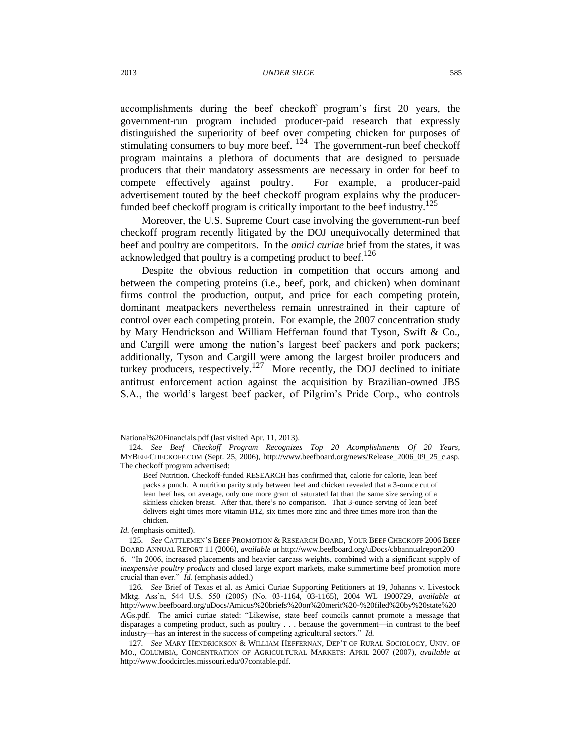#### 2013 *UNDER SIEGE* 585

accomplishments during the beef checkoff program's first 20 years, the government-run program included producer-paid research that expressly distinguished the superiority of beef over competing chicken for purposes of stimulating consumers to buy more beef.  $^{124}$  The government-run beef checkoff program maintains a plethora of documents that are designed to persuade producers that their mandatory assessments are necessary in order for beef to compete effectively against poultry. For example, a producer-paid advertisement touted by the beef checkoff program explains why the producerfunded beef checkoff program is critically important to the beef industry.<sup>125</sup>

Moreover, the U.S. Supreme Court case involving the government-run beef checkoff program recently litigated by the DOJ unequivocally determined that beef and poultry are competitors. In the *amici curiae* brief from the states, it was acknowledged that poultry is a competing product to beef.<sup>126</sup>

Despite the obvious reduction in competition that occurs among and between the competing proteins (i.e., beef, pork, and chicken) when dominant firms control the production, output, and price for each competing protein, dominant meatpackers nevertheless remain unrestrained in their capture of control over each competing protein. For example, the 2007 concentration study by Mary Hendrickson and William Heffernan found that Tyson, Swift & Co., and Cargill were among the nation's largest beef packers and pork packers; additionally, Tyson and Cargill were among the largest broiler producers and turkey producers, respectively.<sup>127</sup> More recently, the DOJ declined to initiate antitrust enforcement action against the acquisition by Brazilian-owned JBS S.A., the world's largest beef packer, of Pilgrim's Pride Corp., who controls

National%20Financials.pdf (last visited Apr. 11, 2013).

<sup>124</sup>*. See Beef Checkoff Program Recognizes Top 20 Acomplishments Of 20 Years*, MYBEEFCHECKOFF.COM (Sept. 25, 2006), http://www.beefboard.org/news/Release\_2006\_09\_25\_c.asp. The checkoff program advertised:

Beef Nutrition. Checkoff-funded RESEARCH has confirmed that, calorie for calorie, lean beef packs a punch. A nutrition parity study between beef and chicken revealed that a 3-ounce cut of lean beef has, on average, only one more gram of saturated fat than the same size serving of a skinless chicken breast. After that, there's no comparison. That 3-ounce serving of lean beef delivers eight times more vitamin B12, six times more zinc and three times more iron than the chicken.

*Id.* (emphasis omitted).

<sup>125</sup>*. See* CATTLEMEN'S BEEF PROMOTION & RESEARCH BOARD, YOUR BEEF CHECKOFF 2006 BEEF BOARD ANNUAL REPORT 11 (2006), *available at* http://www.beefboard.org/uDocs/cbbannualreport200 6. "In 2006, increased placements and heavier carcass weights, combined with a significant supply of *inexpensive poultry products* and closed large export markets, make summertime beef promotion more crucial than ever." *Id.* (emphasis added.)

<sup>126</sup>*. See* Brief of Texas et al. as Amici Curiae Supporting Petitioners at 19, Johanns v. Livestock Mktg. Ass'n, 544 U.S. 550 (2005) (No. 03-1164, 03-1165), 2004 WL 1900729, *available at* http://www.beefboard.org/uDocs/Amicus%20briefs%20on%20merit%20-%20filed%20by%20state%20 AGs.pdf. The amici curiae stated: "Likewise, state beef councils cannot promote a message that disparages a competing product, such as poultry . . . because the government—in contrast to the beef industry—has an interest in the success of competing agricultural sectors." *Id.*

<sup>127</sup>*. See* MARY HENDRICKSON & WILLIAM HEFFERNAN, DEP'T OF RURAL SOCIOLOGY, UNIV. OF MO., COLUMBIA, CONCENTRATION OF AGRICULTURAL MARKETS: APRIL 2007 (2007), *available at*  http://www.foodcircles.missouri.edu/07contable.pdf.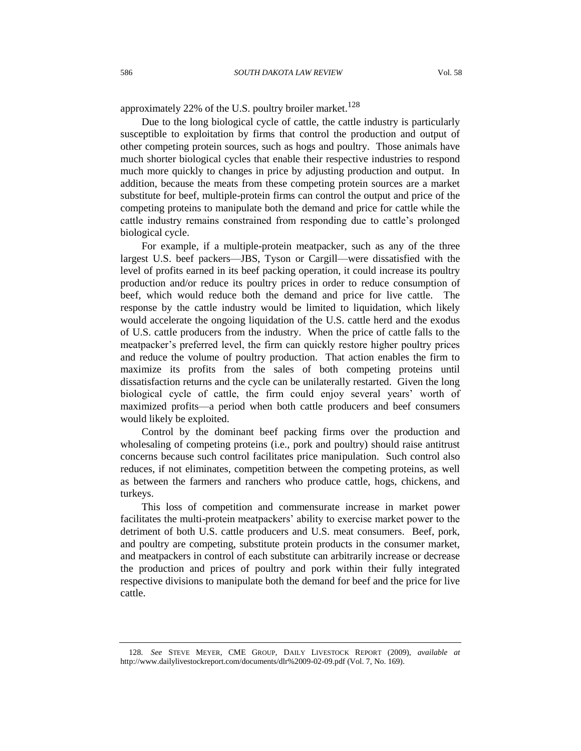approximately 22% of the U.S. poultry broiler market.<sup>128</sup>

Due to the long biological cycle of cattle, the cattle industry is particularly susceptible to exploitation by firms that control the production and output of other competing protein sources, such as hogs and poultry. Those animals have much shorter biological cycles that enable their respective industries to respond much more quickly to changes in price by adjusting production and output. In addition, because the meats from these competing protein sources are a market substitute for beef, multiple-protein firms can control the output and price of the competing proteins to manipulate both the demand and price for cattle while the cattle industry remains constrained from responding due to cattle's prolonged biological cycle.

For example, if a multiple-protein meatpacker, such as any of the three largest U.S. beef packers—JBS, Tyson or Cargill—were dissatisfied with the level of profits earned in its beef packing operation, it could increase its poultry production and/or reduce its poultry prices in order to reduce consumption of beef, which would reduce both the demand and price for live cattle. The response by the cattle industry would be limited to liquidation, which likely would accelerate the ongoing liquidation of the U.S. cattle herd and the exodus of U.S. cattle producers from the industry. When the price of cattle falls to the meatpacker's preferred level, the firm can quickly restore higher poultry prices and reduce the volume of poultry production. That action enables the firm to maximize its profits from the sales of both competing proteins until dissatisfaction returns and the cycle can be unilaterally restarted. Given the long biological cycle of cattle, the firm could enjoy several years' worth of maximized profits—a period when both cattle producers and beef consumers would likely be exploited.

Control by the dominant beef packing firms over the production and wholesaling of competing proteins (i.e., pork and poultry) should raise antitrust concerns because such control facilitates price manipulation. Such control also reduces, if not eliminates, competition between the competing proteins, as well as between the farmers and ranchers who produce cattle, hogs, chickens, and turkeys.

This loss of competition and commensurate increase in market power facilitates the multi-protein meatpackers' ability to exercise market power to the detriment of both U.S. cattle producers and U.S. meat consumers. Beef, pork, and poultry are competing, substitute protein products in the consumer market, and meatpackers in control of each substitute can arbitrarily increase or decrease the production and prices of poultry and pork within their fully integrated respective divisions to manipulate both the demand for beef and the price for live cattle.

<sup>128</sup>*. See* STEVE MEYER, CME GROUP, DAILY LIVESTOCK REPORT (2009), *available at* http://www.dailylivestockreport.com/documents/dlr%2009-02-09.pdf (Vol. 7, No. 169).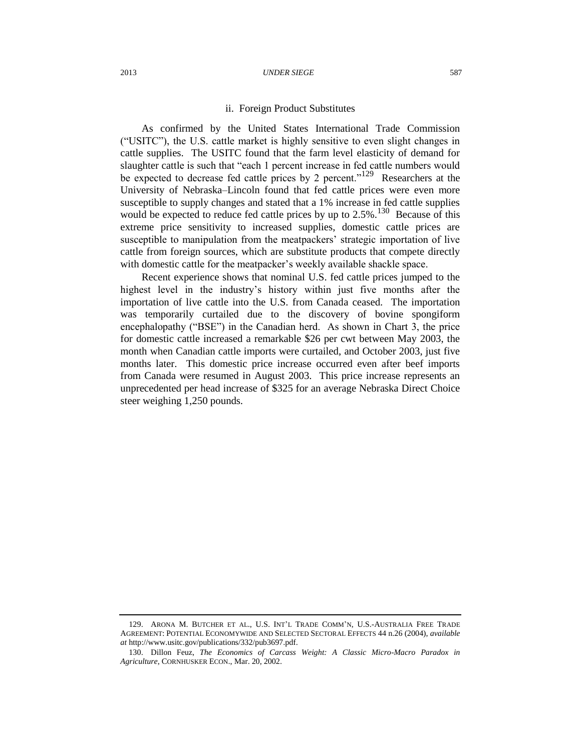### ii. Foreign Product Substitutes

As confirmed by the United States International Trade Commission ("USITC"), the U.S. cattle market is highly sensitive to even slight changes in cattle supplies. The USITC found that the farm level elasticity of demand for slaughter cattle is such that "each 1 percent increase in fed cattle numbers would be expected to decrease fed cattle prices by 2 percent."<sup>129</sup> Researchers at the University of Nebraska–Lincoln found that fed cattle prices were even more susceptible to supply changes and stated that a 1% increase in fed cattle supplies would be expected to reduce fed cattle prices by up to  $2.5\%$ .<sup>130</sup> Because of this extreme price sensitivity to increased supplies, domestic cattle prices are susceptible to manipulation from the meatpackers' strategic importation of live cattle from foreign sources, which are substitute products that compete directly with domestic cattle for the meatpacker's weekly available shackle space.

Recent experience shows that nominal U.S. fed cattle prices jumped to the highest level in the industry's history within just five months after the importation of live cattle into the U.S. from Canada ceased. The importation was temporarily curtailed due to the discovery of bovine spongiform encephalopathy ("BSE") in the Canadian herd. As shown in Chart 3, the price for domestic cattle increased a remarkable \$26 per cwt between May 2003, the month when Canadian cattle imports were curtailed, and October 2003, just five months later. This domestic price increase occurred even after beef imports from Canada were resumed in August 2003. This price increase represents an unprecedented per head increase of \$325 for an average Nebraska Direct Choice steer weighing 1,250 pounds.

<sup>129.</sup> ARONA M. BUTCHER ET AL., U.S. INT'L TRADE COMM'N, U.S.-AUSTRALIA FREE TRADE AGREEMENT: POTENTIAL ECONOMYWIDE AND SELECTED SECTORAL EFFECTS 44 n.26 (2004), *available at* http://www.usitc.gov/publications/332/pub3697.pdf.

<sup>130.</sup> Dillon Feuz, *The Economics of Carcass Weight: A Classic Micro-Macro Paradox in Agriculture*, CORNHUSKER ECON., Mar. 20, 2002.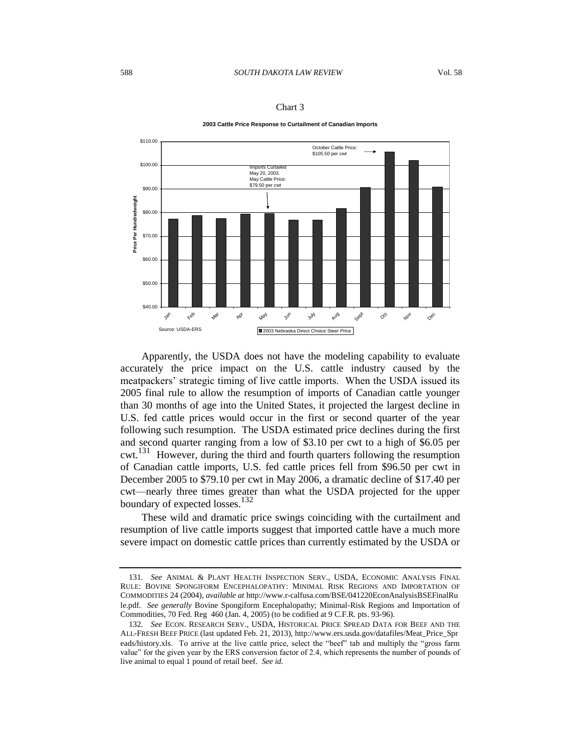

Chart 3

**2003 Cattle Price Response to Curtailment of Canadian Imports**

Apparently, the USDA does not have the modeling capability to evaluate accurately the price impact on the U.S. cattle industry caused by the meatpackers' strategic timing of live cattle imports. When the USDA issued its 2005 final rule to allow the resumption of imports of Canadian cattle younger than 30 months of age into the United States, it projected the largest decline in U.S. fed cattle prices would occur in the first or second quarter of the year following such resumption. The USDA estimated price declines during the first and second quarter ranging from a low of \$3.10 per cwt to a high of \$6.05 per cwt.<sup>131</sup> However, during the third and fourth quarters following the resumption of Canadian cattle imports, U.S. fed cattle prices fell from \$96.50 per cwt in December 2005 to \$79.10 per cwt in May 2006, a dramatic decline of \$17.40 per cwt—nearly three times greater than what the USDA projected for the upper boundary of expected losses.<sup>132</sup>

These wild and dramatic price swings coinciding with the curtailment and resumption of live cattle imports suggest that imported cattle have a much more severe impact on domestic cattle prices than currently estimated by the USDA or

<sup>131</sup>*. See* ANIMAL & PLANT HEALTH INSPECTION SERV., USDA, ECONOMIC ANALYSIS FINAL RULE: BOVINE SPONGIFORM ENCEPHALOPATHY: MINIMAL RISK REGIONS AND IMPORTATION OF COMMODITIES 24 (2004), *available at* http://www.r-calfusa.com/BSE/041220EconAnalysisBSEFinalRu le.pdf. *See generally* Bovine Spongiform Encephalopathy; Minimal-Risk Regions and Importation of Commodities, 70 Fed. Reg 460 (Jan. 4, 2005) (to be codified at 9 C.F.R. pts. 93-96).

<sup>132</sup>*. See* ECON. RESEARCH SERV., USDA, HISTORICAL PRICE SPREAD DATA FOR BEEF AND THE ALL-FRESH BEEF PRICE (last updated Feb. 21, 2013), http://www.ers.usda.gov/datafiles/Meat\_Price\_Spr eads/history.xls. To arrive at the live cattle price, select the "beef" tab and multiply the "gross farm value" for the given year by the ERS conversion factor of 2.4, which represents the number of pounds of live animal to equal 1 pound of retail beef. *See id.*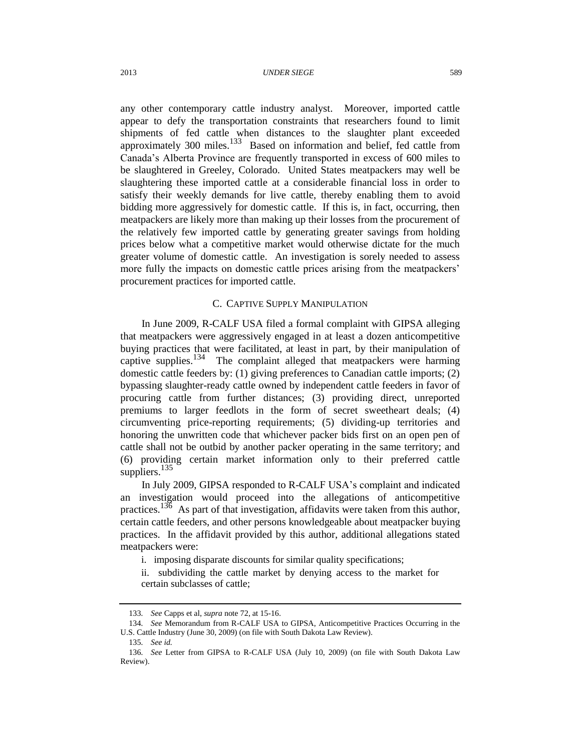any other contemporary cattle industry analyst. Moreover, imported cattle appear to defy the transportation constraints that researchers found to limit shipments of fed cattle when distances to the slaughter plant exceeded approximately 300 miles. $133$  Based on information and belief, fed cattle from Canada's Alberta Province are frequently transported in excess of 600 miles to be slaughtered in Greeley, Colorado. United States meatpackers may well be slaughtering these imported cattle at a considerable financial loss in order to satisfy their weekly demands for live cattle, thereby enabling them to avoid bidding more aggressively for domestic cattle. If this is, in fact, occurring, then meatpackers are likely more than making up their losses from the procurement of the relatively few imported cattle by generating greater savings from holding prices below what a competitive market would otherwise dictate for the much greater volume of domestic cattle. An investigation is sorely needed to assess more fully the impacts on domestic cattle prices arising from the meatpackers' procurement practices for imported cattle.

### C. CAPTIVE SUPPLY MANIPULATION

In June 2009, R-CALF USA filed a formal complaint with GIPSA alleging that meatpackers were aggressively engaged in at least a dozen anticompetitive buying practices that were facilitated, at least in part, by their manipulation of captive supplies.<sup>134</sup> The complaint alleged that meatpackers were harming domestic cattle feeders by: (1) giving preferences to Canadian cattle imports; (2) bypassing slaughter-ready cattle owned by independent cattle feeders in favor of procuring cattle from further distances; (3) providing direct, unreported premiums to larger feedlots in the form of secret sweetheart deals; (4) circumventing price-reporting requirements; (5) dividing-up territories and honoring the unwritten code that whichever packer bids first on an open pen of cattle shall not be outbid by another packer operating in the same territory; and (6) providing certain market information only to their preferred cattle suppliers.<sup>135</sup>

In July 2009, GIPSA responded to R-CALF USA's complaint and indicated an investigation would proceed into the allegations of anticompetitive practices.<sup>136</sup> As part of that investigation, affidavits were taken from this author, certain cattle feeders, and other persons knowledgeable about meatpacker buying practices. In the affidavit provided by this author, additional allegations stated meatpackers were:

i. imposing disparate discounts for similar quality specifications;

ii. subdividing the cattle market by denying access to the market for certain subclasses of cattle;

<sup>133</sup>*. See* Capps et al, *supra* not[e 72,](#page-15-0) at 15-16.

<sup>134</sup>*. See* Memorandum from R-CALF USA to GIPSA, Anticompetitive Practices Occurring in the U.S. Cattle Industry (June 30, 2009) (on file with South Dakota Law Review).

<sup>135</sup>*. See id.*

<sup>136</sup>*. See* Letter from GIPSA to R-CALF USA (July 10, 2009) (on file with South Dakota Law Review).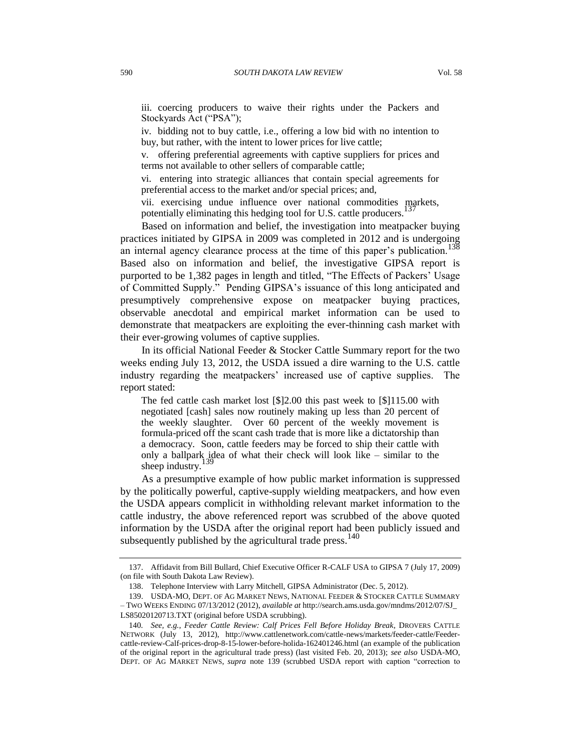iii. coercing producers to waive their rights under the Packers and Stockyards Act ("PSA");

iv. bidding not to buy cattle, i.e., offering a low bid with no intention to buy, but rather, with the intent to lower prices for live cattle;

v. offering preferential agreements with captive suppliers for prices and terms not available to other sellers of comparable cattle;

vi. entering into strategic alliances that contain special agreements for preferential access to the market and/or special prices; and,

vii. exercising undue influence over national commodities markets, potentially eliminating this hedging tool for U.S. cattle producers.<sup>13</sup>

Based on information and belief, the investigation into meatpacker buying practices initiated by GIPSA in 2009 was completed in 2012 and is undergoing an internal agency clearance process at the time of this paper's publication.<sup>138</sup> Based also on information and belief, the investigative GIPSA report is purported to be 1,382 pages in length and titled, "The Effects of Packers' Usage of Committed Supply." Pending GIPSA's issuance of this long anticipated and presumptively comprehensive expose on meatpacker buying practices, observable anecdotal and empirical market information can be used to demonstrate that meatpackers are exploiting the ever-thinning cash market with their ever-growing volumes of captive supplies.

In its official National Feeder & Stocker Cattle Summary report for the two weeks ending July 13, 2012, the USDA issued a dire warning to the U.S. cattle industry regarding the meatpackers' increased use of captive supplies. The report stated:

The fed cattle cash market lost [\$]2.00 this past week to [\$]115.00 with negotiated [cash] sales now routinely making up less than 20 percent of the weekly slaughter. Over 60 percent of the weekly movement is formula-priced off the scant cash trade that is more like a dictatorship than a democracy. Soon, cattle feeders may be forced to ship their cattle with only a ballpark idea of what their check will look like – similar to the sheep industry.

<span id="page-30-0"></span>As a presumptive example of how public market information is suppressed by the politically powerful, captive-supply wielding meatpackers, and how even the USDA appears complicit in withholding relevant market information to the cattle industry, the above referenced report was scrubbed of the above quoted information by the USDA after the original report had been publicly issued and subsequently published by the agricultural trade press.<sup>140</sup>

<sup>137.</sup> Affidavit from Bill Bullard, Chief Executive Officer R-CALF USA to GIPSA 7 (July 17, 2009) (on file with South Dakota Law Review).

<sup>138.</sup> Telephone Interview with Larry Mitchell, GIPSA Administrator (Dec. 5, 2012).

<sup>139.</sup> USDA-MO, DEPT. OF AG MARKET NEWS, NATIONAL FEEDER & STOCKER CATTLE SUMMARY – TWO WEEKS ENDING 07/13/2012 (2012), *available at* http://search.ams.usda.gov/mndms/2012/07/SJ\_ LS85020120713.TXT (original before USDA scrubbing).

<sup>140</sup>*. See, e.g.*, *Feeder Cattle Review: Calf Prices Fell Before Holiday Break*, DROVERS CATTLE NETWORK (July 13, 2012), http://www.cattlenetwork.com/cattle-news/markets/feeder-cattle/Feedercattle-review-Calf-prices-drop-8-15-lower-before-holida-162401246.html (an example of the publication of the original report in the agricultural trade press) (last visited Feb. 20, 2013); *see also* USDA-MO, DEPT. OF AG MARKET NEWS, *supra* note [139](#page-30-0) (scrubbed USDA report with caption "correction to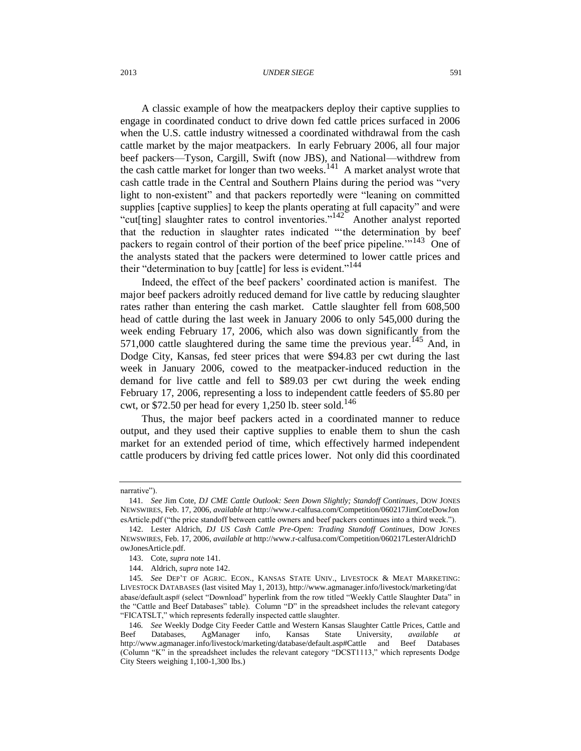#### 2013 *UNDER SIEGE* 591

<span id="page-31-0"></span>A classic example of how the meatpackers deploy their captive supplies to engage in coordinated conduct to drive down fed cattle prices surfaced in 2006 when the U.S. cattle industry witnessed a coordinated withdrawal from the cash cattle market by the major meatpackers. In early February 2006, all four major beef packers—Tyson, Cargill, Swift (now JBS), and National—withdrew from the cash cattle market for longer than two weeks.<sup>141</sup> A market analyst wrote that cash cattle trade in the Central and Southern Plains during the period was "very light to non-existent" and that packers reportedly were "leaning on committed supplies [captive supplies] to keep the plants operating at full capacity" and were "cut[ting] slaughter rates to control inventories."<sup>142</sup> Another analyst reported that the reduction in slaughter rates indicated "'the determination by beef packers to regain control of their portion of the beef price pipeline.<sup>'"143</sup> One of the analysts stated that the packers were determined to lower cattle prices and their "determination to buy [cattle] for less is evident."<sup>144</sup>

<span id="page-31-1"></span>Indeed, the effect of the beef packers' coordinated action is manifest. The major beef packers adroitly reduced demand for live cattle by reducing slaughter rates rather than entering the cash market. Cattle slaughter fell from 608,500 head of cattle during the last week in January 2006 to only 545,000 during the week ending February 17, 2006, which also was down significantly from the 571,000 cattle slaughtered during the same time the previous year.<sup>145</sup> And, in Dodge City, Kansas, fed steer prices that were \$94.83 per cwt during the last week in January 2006, cowed to the meatpacker-induced reduction in the demand for live cattle and fell to \$89.03 per cwt during the week ending February 17, 2006, representing a loss to independent cattle feeders of \$5.80 per cwt, or \$72.50 per head for every 1,250 lb. steer sold.<sup>146</sup>

Thus, the major beef packers acted in a coordinated manner to reduce output, and they used their captive supplies to enable them to shun the cash market for an extended period of time, which effectively harmed independent cattle producers by driving fed cattle prices lower. Not only did this coordinated

narrative").

<sup>141</sup>*. See* Jim Cote, *DJ CME Cattle Outlook: Seen Down Slightly; Standoff Continues*, DOW JONES NEWSWIRES, Feb. 17, 2006, *available at* http://www.r-calfusa.com/Competition/060217JimCoteDowJon esArticle.pdf ("the price standoff between cattle owners and beef packers continues into a third week.").

<sup>142.</sup> Lester Aldrich, *DJ US Cash Cattle Pre-Open: Trading Standoff Continues*, DOW JONES NEWSWIRES, Feb. 17, 2006, *available at* http://www.r-calfusa.com/Competition/060217LesterAldrichD owJonesArticle.pdf.

<sup>143.</sup> Cote, *supra* not[e 141.](#page-31-0)

<sup>144.</sup> Aldrich, *supra* not[e 142.](#page-31-1)

<sup>145</sup>*. See* DEP'T OF AGRIC. ECON., KANSAS STATE UNIV., LIVESTOCK & MEAT MARKETING: LIVESTOCK DATABASES (last visited May 1, 2013), http://www.agmanager.info/livestock/marketing/dat abase/default.asp# (select "Download" hyperlink from the row titled "Weekly Cattle Slaughter Data" in the "Cattle and Beef Databases" table). Column "D" in the spreadsheet includes the relevant category "FICATSLT," which represents federally inspected cattle slaughter.

<sup>146</sup>*. See* Weekly Dodge City Feeder Cattle and Western Kansas Slaughter Cattle Prices, Cattle and Beef Databases, AgManager info, Kansas State University, *available at* http://www.agmanager.info/livestock/marketing/database/default.asp#Cattle and Beef Databases (Column "K" in the spreadsheet includes the relevant category "DCST1113," which represents Dodge City Steers weighing 1,100-1,300 lbs.)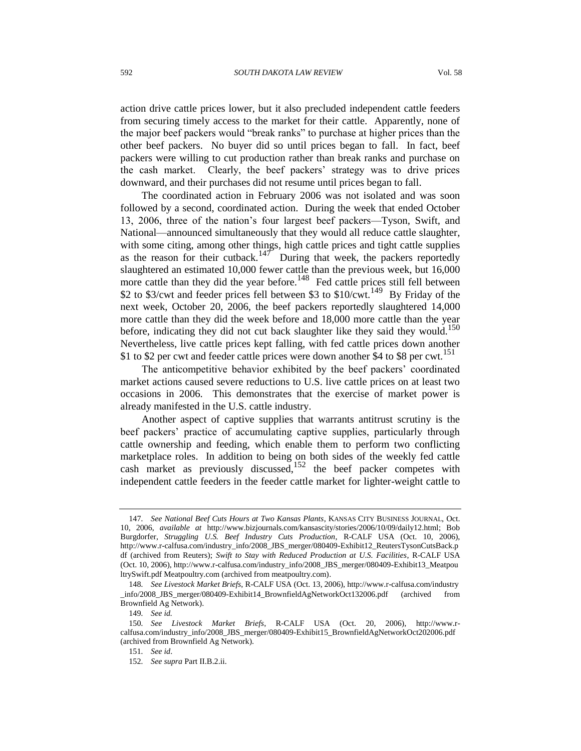action drive cattle prices lower, but it also precluded independent cattle feeders from securing timely access to the market for their cattle. Apparently, none of the major beef packers would "break ranks" to purchase at higher prices than the other beef packers. No buyer did so until prices began to fall. In fact, beef packers were willing to cut production rather than break ranks and purchase on the cash market. Clearly, the beef packers' strategy was to drive prices downward, and their purchases did not resume until prices began to fall.

The coordinated action in February 2006 was not isolated and was soon followed by a second, coordinated action. During the week that ended October 13, 2006, three of the nation's four largest beef packers—Tyson, Swift, and National—announced simultaneously that they would all reduce cattle slaughter, with some citing, among other things*,* high cattle prices and tight cattle supplies as the reason for their cutback.<sup>147</sup> During that week, the packers reportedly slaughtered an estimated 10,000 fewer cattle than the previous week, but 16,000 more cattle than they did the year before.<sup>148</sup> Fed cattle prices still fell between \$2 to \$3/cwt and feeder prices fell between \$3 to \$10/cwt.<sup>149</sup> By Friday of the next week, October 20, 2006, the beef packers reportedly slaughtered 14,000 more cattle than they did the week before and 18,000 more cattle than the year before, indicating they did not cut back slaughter like they said they would.<sup>150</sup> Nevertheless, live cattle prices kept falling, with fed cattle prices down another \$1 to \$2 per cwt and feeder cattle prices were down another \$4 to \$8 per cwt.<sup>151</sup>

The anticompetitive behavior exhibited by the beef packers' coordinated market actions caused severe reductions to U.S. live cattle prices on at least two occasions in 2006. This demonstrates that the exercise of market power is already manifested in the U.S. cattle industry.

Another aspect of captive supplies that warrants antitrust scrutiny is the beef packers' practice of accumulating captive supplies, particularly through cattle ownership and feeding, which enable them to perform two conflicting marketplace roles. In addition to being on both sides of the weekly fed cattle cash market as previously discussed,<sup>152</sup> the beef packer competes with independent cattle feeders in the feeder cattle market for lighter-weight cattle to

<sup>147</sup>*. See National Beef Cuts Hours at Two Kansas Plants*, KANSAS CITY BUSINESS JOURNAL, Oct. 10, 2006, *available at* http://www.bizjournals.com/kansascity/stories/2006/10/09/daily12.html; Bob Burgdorfer, *Struggling U.S. Beef Industry Cuts Production*, R-CALF USA (Oct. 10, 2006), http://www.r-calfusa.com/industry\_info/2008\_JBS\_merger/080409-Exhibit12\_ReutersTysonCutsBack.p df (archived from Reuters); *Swift to Stay with Reduced Production at U.S. Facilities*, R-CALF USA (Oct. 10, 2006), http://www.r-calfusa.com/industry\_info/2008\_JBS\_merger/080409-Exhibit13\_Meatpou ltrySwift.pdf Meatpoultry.com (archived from meatpoultry.com).

<sup>148</sup>*. See Livestock Market Briefs*, R-CALF USA (Oct. 13, 2006), http://www.r-calfusa.com/industry \_info/2008\_JBS\_merger/080409-Exhibit14\_BrownfieldAgNetworkOct132006.pdf (archived from Brownfield Ag Network).

<sup>149</sup>*. See id.*

<sup>150</sup>*. See Livestock Market Briefs*, R-CALF USA (Oct. 20, 2006), http://www.rcalfusa.com/industry\_info/2008\_JBS\_merger/080409-Exhibit15\_BrownfieldAgNetworkOct202006.pdf (archived from Brownfield Ag Network).

<sup>151</sup>*. See id*.

<sup>152</sup>*. See supra* Part II.B.2.ii.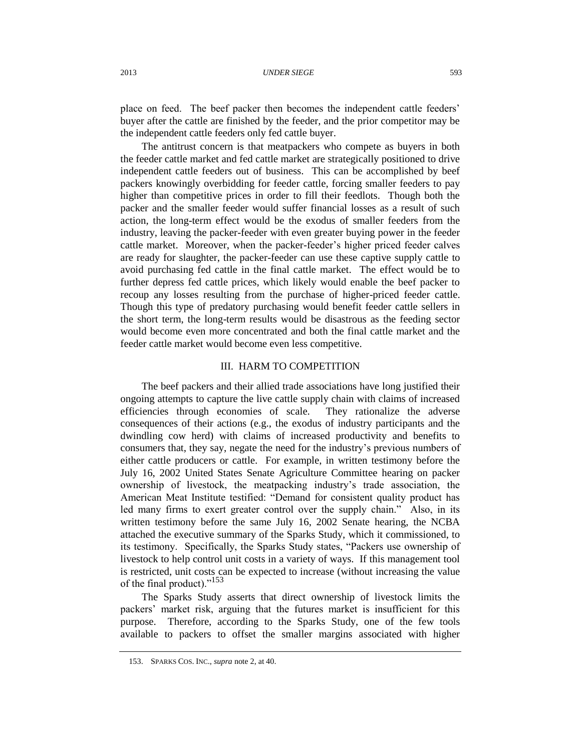place on feed. The beef packer then becomes the independent cattle feeders' buyer after the cattle are finished by the feeder, and the prior competitor may be the independent cattle feeders only fed cattle buyer.

The antitrust concern is that meatpackers who compete as buyers in both the feeder cattle market and fed cattle market are strategically positioned to drive independent cattle feeders out of business. This can be accomplished by beef packers knowingly overbidding for feeder cattle, forcing smaller feeders to pay higher than competitive prices in order to fill their feedlots. Though both the packer and the smaller feeder would suffer financial losses as a result of such action, the long-term effect would be the exodus of smaller feeders from the industry, leaving the packer-feeder with even greater buying power in the feeder cattle market. Moreover, when the packer-feeder's higher priced feeder calves are ready for slaughter, the packer-feeder can use these captive supply cattle to avoid purchasing fed cattle in the final cattle market. The effect would be to further depress fed cattle prices, which likely would enable the beef packer to recoup any losses resulting from the purchase of higher-priced feeder cattle. Though this type of predatory purchasing would benefit feeder cattle sellers in the short term, the long-term results would be disastrous as the feeding sector would become even more concentrated and both the final cattle market and the feeder cattle market would become even less competitive.

## III. HARM TO COMPETITION

The beef packers and their allied trade associations have long justified their ongoing attempts to capture the live cattle supply chain with claims of increased efficiencies through economies of scale. They rationalize the adverse consequences of their actions (e.g., the exodus of industry participants and the dwindling cow herd) with claims of increased productivity and benefits to consumers that, they say, negate the need for the industry's previous numbers of either cattle producers or cattle. For example, in written testimony before the July 16, 2002 United States Senate Agriculture Committee hearing on packer ownership of livestock, the meatpacking industry's trade association, the American Meat Institute testified: "Demand for consistent quality product has led many firms to exert greater control over the supply chain." Also, in its written testimony before the same July 16, 2002 Senate hearing, the NCBA attached the executive summary of the Sparks Study, which it commissioned, to its testimony. Specifically, the Sparks Study states, "Packers use ownership of livestock to help control unit costs in a variety of ways. If this management tool is restricted, unit costs can be expected to increase (without increasing the value of the final product)."<sup>153</sup>

The Sparks Study asserts that direct ownership of livestock limits the packers' market risk, arguing that the futures market is insufficient for this purpose. Therefore, according to the Sparks Study, one of the few tools available to packers to offset the smaller margins associated with higher

<sup>153.</sup> SPARKS COS. INC., *supra* not[e 2,](#page-0-0) at 40.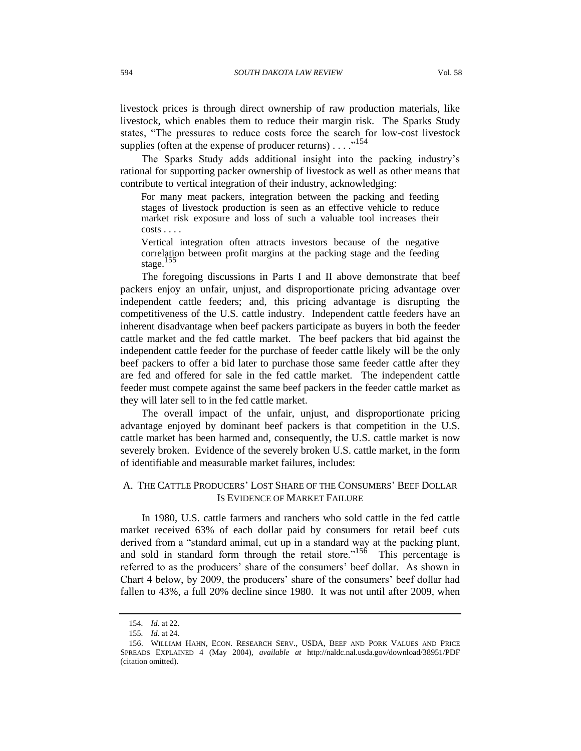livestock prices is through direct ownership of raw production materials, like livestock, which enables them to reduce their margin risk. The Sparks Study states, "The pressures to reduce costs force the search for low-cost livestock supplies (often at the expense of producer returns)  $\dots$ <sup>154</sup>

The Sparks Study adds additional insight into the packing industry's rational for supporting packer ownership of livestock as well as other means that contribute to vertical integration of their industry, acknowledging:

For many meat packers, integration between the packing and feeding stages of livestock production is seen as an effective vehicle to reduce market risk exposure and loss of such a valuable tool increases their costs . . . .

Vertical integration often attracts investors because of the negative correlation between profit margins at the packing stage and the feeding stage.

The foregoing discussions in Parts I and II above demonstrate that beef packers enjoy an unfair, unjust, and disproportionate pricing advantage over independent cattle feeders; and, this pricing advantage is disrupting the competitiveness of the U.S. cattle industry. Independent cattle feeders have an inherent disadvantage when beef packers participate as buyers in both the feeder cattle market and the fed cattle market. The beef packers that bid against the independent cattle feeder for the purchase of feeder cattle likely will be the only beef packers to offer a bid later to purchase those same feeder cattle after they are fed and offered for sale in the fed cattle market. The independent cattle feeder must compete against the same beef packers in the feeder cattle market as they will later sell to in the fed cattle market.

The overall impact of the unfair, unjust, and disproportionate pricing advantage enjoyed by dominant beef packers is that competition in the U.S. cattle market has been harmed and, consequently, the U.S. cattle market is now severely broken. Evidence of the severely broken U.S. cattle market, in the form of identifiable and measurable market failures, includes:

## A. THE CATTLE PRODUCERS' LOST SHARE OF THE CONSUMERS' BEEF DOLLAR IS EVIDENCE OF MARKET FAILURE

<span id="page-34-0"></span>In 1980, U.S. cattle farmers and ranchers who sold cattle in the fed cattle market received 63% of each dollar paid by consumers for retail beef cuts derived from a "standard animal, cut up in a standard way at the packing plant, and sold in standard form through the retail store." $15\overline{6}$  This percentage is referred to as the producers' share of the consumers' beef dollar. As shown in Chart 4 below, by 2009, the producers' share of the consumers' beef dollar had fallen to 43%, a full 20% decline since 1980. It was not until after 2009, when

<sup>154</sup>*. Id*. at 22.

<sup>155</sup>*. Id*. at 24.

<sup>156.</sup> WILLIAM HAHN, ECON. RESEARCH SERV., USDA, BEEF AND PORK VALUES AND PRICE SPREADS EXPLAINED 4 (May 2004), *available at* http://naldc.nal.usda.gov/download/38951/PDF (citation omitted).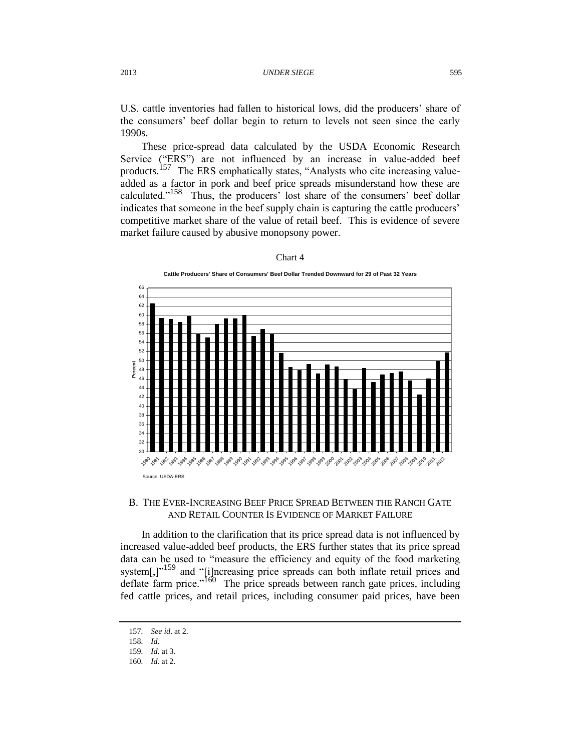U.S. cattle inventories had fallen to historical lows, did the producers' share of the consumers' beef dollar begin to return to levels not seen since the early 1990s.

These price-spread data calculated by the USDA Economic Research Service ("ERS") are not influenced by an increase in value-added beef products.<sup>157</sup> The ERS emphatically states, "Analysts who cite increasing valueadded as a factor in pork and beef price spreads misunderstand how these are calculated."<sup>158</sup> Thus, the producers' lost share of the consumers' beef dollar indicates that someone in the beef supply chain is capturing the cattle producers' competitive market share of the value of retail beef. This is evidence of severe market failure caused by abusive monopsony power.

| l<br>а |  |
|--------|--|
|--------|--|



# B. THE EVER-INCREASING BEEF PRICE SPREAD BETWEEN THE RANCH GATE AND RETAIL COUNTER IS EVIDENCE OF MARKET FAILURE

In addition to the clarification that its price spread data is not influenced by increased value-added beef products, the ERS further states that its price spread data can be used to "measure the efficiency and equity of the food marketing system[,]"<sup>159</sup> and "[i]ncreasing price spreads can both inflate retail prices and deflate farm price."<sup>160</sup> The price spreads between ranch gate prices, including fed cattle prices, and retail prices, including consumer paid prices, have been

<sup>157</sup>*. See id*. at 2.

<sup>158</sup>*. Id.*

<sup>159</sup>*. Id.* at 3.

<sup>160</sup>*. Id*. at 2.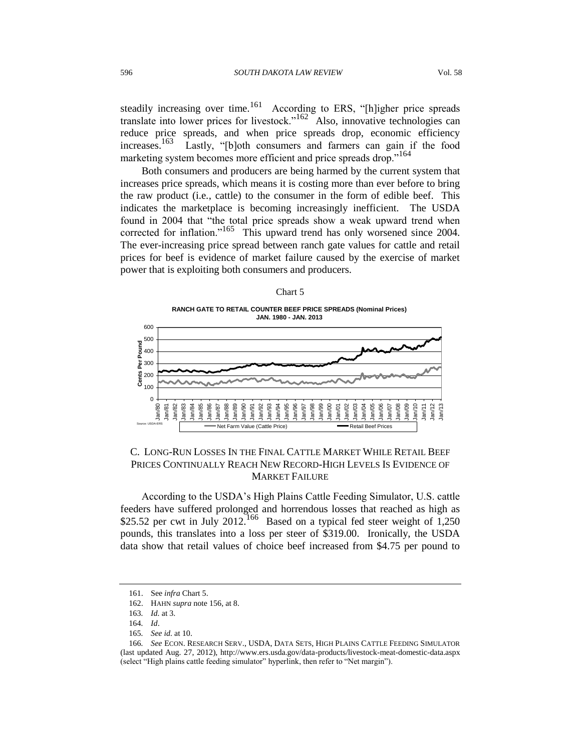steadily increasing over time.<sup>161</sup> According to ERS, "[h]igher price spreads translate into lower prices for livestock."<sup>162</sup> Also, innovative technologies can reduce price spreads, and when price spreads drop, economic efficiency increases.<sup>163</sup> Lastly, "[b]oth consumers and farmers can gain if the food marketing system becomes more efficient and price spreads drop."<sup>164</sup>

Both consumers and producers are being harmed by the current system that increases price spreads, which means it is costing more than ever before to bring the raw product (i.e*.*, cattle) to the consumer in the form of edible beef. This indicates the marketplace is becoming increasingly inefficient. The USDA found in 2004 that "the total price spreads show a weak upward trend when corrected for inflation."<sup>165</sup> This upward trend has only worsened since 2004. The ever-increasing price spread between ranch gate values for cattle and retail prices for beef is evidence of market failure caused by the exercise of market power that is exploiting both consumers and producers.



**RANCH GATE TO RETAIL COUNTER BEEF PRICE SPREADS (Nominal Prices) JAN. 1980 - JAN. 2013**



## C. LONG-RUN LOSSES IN THE FINAL CATTLE MARKET WHILE RETAIL BEEF PRICES CONTINUALLY REACH NEW RECORD-HIGH LEVELS IS EVIDENCE OF MARKET FAILURE

According to the USDA's High Plains Cattle Feeding Simulator, U.S. cattle feeders have suffered prolonged and horrendous losses that reached as high as \$25.52 per cwt in July 2012.<sup>166</sup> Based on a typical fed steer weight of  $1,250$ pounds, this translates into a loss per steer of \$319.00. Ironically, the USDA data show that retail values of choice beef increased from \$4.75 per pound to

<sup>161.</sup> See *infra* Chart 5.

<sup>162.</sup> HAHN *supra* not[e 156,](#page-34-0) at 8.

<sup>163</sup>*. Id.* at 3.

<sup>164</sup>*. Id*.

<sup>165</sup>*. See id.* at 10.

<sup>166</sup>*. See* ECON. RESEARCH SERV., USDA, DATA SETS, HIGH PLAINS CATTLE FEEDING SIMULATOR (last updated Aug. 27, 2012), http://www.ers.usda.gov/data-products/livestock-meat-domestic-data.aspx (select "High plains cattle feeding simulator" hyperlink, then refer to "Net margin").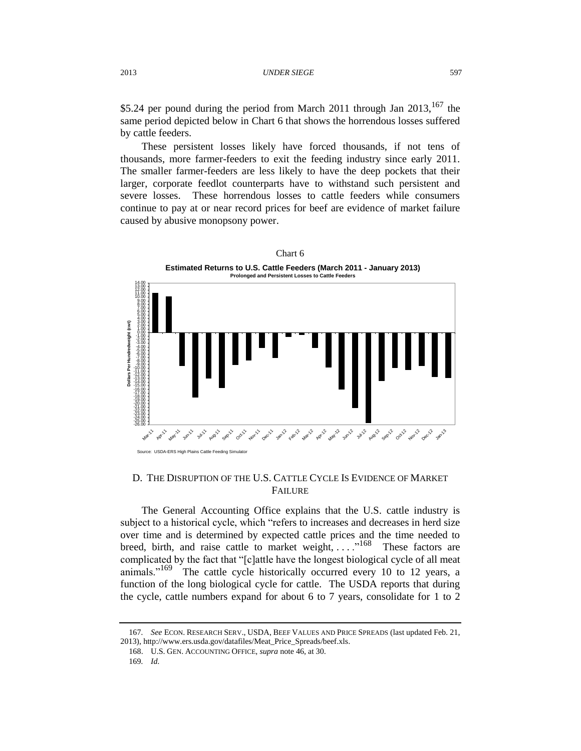\$5.24 per pound during the period from March 2011 through Jan  $2013$ ,  $167$  the same period depicted below in Chart 6 that shows the horrendous losses suffered by cattle feeders.

These persistent losses likely have forced thousands, if not tens of thousands, more farmer-feeders to exit the feeding industry since early 2011. The smaller farmer-feeders are less likely to have the deep pockets that their larger, corporate feedlot counterparts have to withstand such persistent and severe losses. These horrendous losses to cattle feeders while consumers continue to pay at or near record prices for beef are evidence of market failure caused by abusive monopsony power.



## D. THE DISRUPTION OF THE U.S. CATTLE CYCLE IS EVIDENCE OF MARKET **FAILURE**

The General Accounting Office explains that the U.S. cattle industry is subject to a historical cycle, which "refers to increases and decreases in herd size over time and is determined by expected cattle prices and the time needed to breed, birth, and raise cattle to market weight, ...  $\cdot^{168}$  These factors are complicated by the fact that "[c]attle have the longest biological cycle of all meat animals."<sup>169</sup> The cattle cycle historically occurred every 10 to 12 years, a function of the long biological cycle for cattle. The USDA reports that during the cycle, cattle numbers expand for about 6 to 7 years, consolidate for 1 to 2

<sup>167</sup>*. See* ECON. RESEARCH SERV., USDA, BEEF VALUES AND PRICE SPREADS (last updated Feb. 21, 2013), http://www.ers.usda.gov/datafiles/Meat\_Price\_Spreads/beef.xls.

<sup>168.</sup> U.S. GEN. ACCOUNTING OFFICE, *supra* note [46,](#page-10-0) at 30.

<sup>169</sup>*. Id.*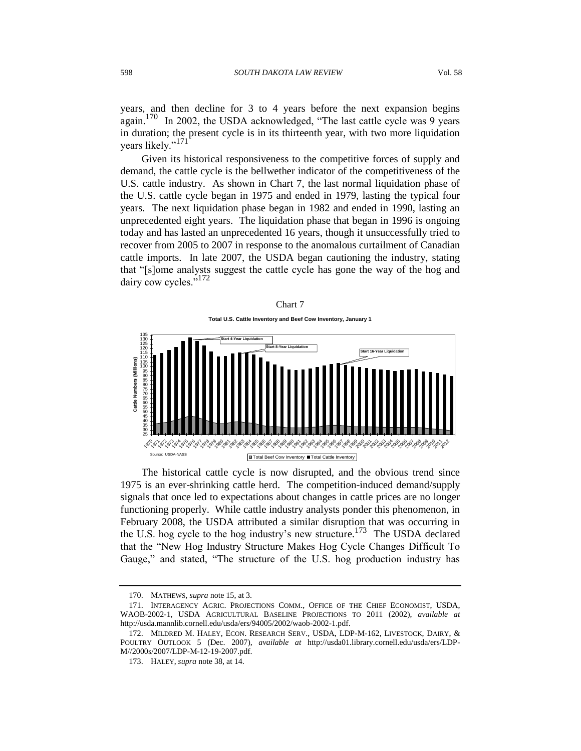years, and then decline for 3 to 4 years before the next expansion begins again.<sup>170</sup> In 2002, the USDA acknowledged, "The last cattle cycle was 9 years in duration; the present cycle is in its thirteenth year, with two more liquidation years likely."<sup>171</sup>

Given its historical responsiveness to the competitive forces of supply and demand, the cattle cycle is the bellwether indicator of the competitiveness of the U.S. cattle industry. As shown in Chart 7, the last normal liquidation phase of the U.S. cattle cycle began in 1975 and ended in 1979, lasting the typical four years. The next liquidation phase began in 1982 and ended in 1990, lasting an unprecedented eight years. The liquidation phase that began in 1996 is ongoing today and has lasted an unprecedented 16 years, though it unsuccessfully tried to recover from 2005 to 2007 in response to the anomalous curtailment of Canadian cattle imports. In late 2007, the USDA began cautioning the industry, stating that "[s]ome analysts suggest the cattle cycle has gone the way of the hog and dairy cow cycles."<sup>172</sup>



The historical cattle cycle is now disrupted, and the obvious trend since 1975 is an ever-shrinking cattle herd. The competition-induced demand/supply signals that once led to expectations about changes in cattle prices are no longer functioning properly. While cattle industry analysts ponder this phenomenon, in February 2008, the USDA attributed a similar disruption that was occurring in the U.S. hog cycle to the hog industry's new structure.<sup>173</sup> The USDA declared that the "New Hog Industry Structure Makes Hog Cycle Changes Difficult To Gauge," and stated, "The structure of the U.S. hog production industry has

<sup>170.</sup> MATHEWS, *supra* not[e 15,](#page-3-2) at 3.

<sup>171.</sup> INTERAGENCY AGRIC. PROJECTIONS COMM., OFFICE OF THE CHIEF ECONOMIST, USDA, WAOB-2002-1, USDA AGRICULTURAL BASELINE PROJECTIONS TO 2011 (2002), *available at*  http://usda.mannlib.cornell.edu/usda/ers/94005/2002/waob-2002-1.pdf.

<sup>172.</sup> MILDRED M. HALEY, ECON. RESEARCH SERV., USDA, LDP-M-162, LIVESTOCK, DAIRY, & POULTRY OUTLOOK 5 (Dec. 2007), *available at* http://usda01.library.cornell.edu/usda/ers/LDP-M//2000s/2007/LDP-M-12-19-2007.pdf.

<sup>173.</sup> HALEY, *supra* note [38,](#page-8-0) at 14.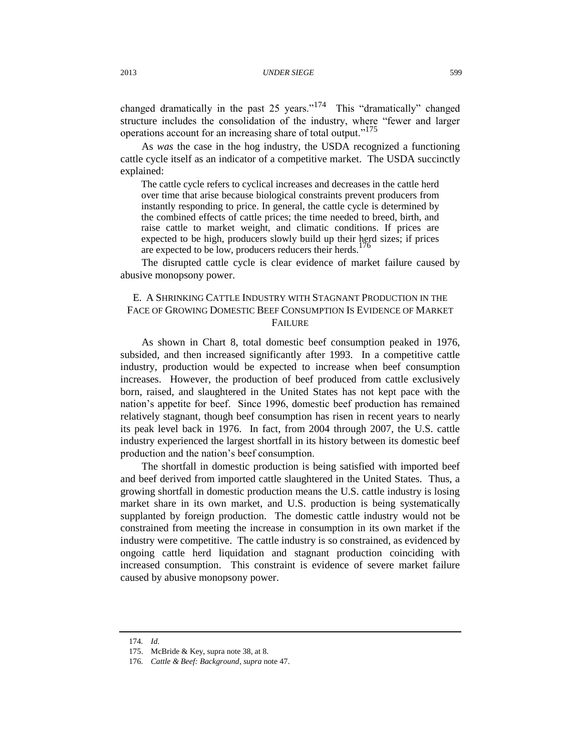changed dramatically in the past 25 years."<sup>174</sup> This "dramatically" changed structure includes the consolidation of the industry, where "fewer and larger operations account for an increasing share of total output."<sup>175</sup>

As *was* the case in the hog industry, the USDA recognized a functioning cattle cycle itself as an indicator of a competitive market. The USDA succinctly explained:

The cattle cycle refers to cyclical increases and decreases in the cattle herd over time that arise because biological constraints prevent producers from instantly responding to price. In general, the cattle cycle is determined by the combined effects of cattle prices; the time needed to breed, birth, and raise cattle to market weight, and climatic conditions. If prices are expected to be high, producers slowly build up their herd sizes; if prices are expected to be low, producers reducers their herds.

The disrupted cattle cycle is clear evidence of market failure caused by abusive monopsony power.

# E. A SHRINKING CATTLE INDUSTRY WITH STAGNANT PRODUCTION IN THE FACE OF GROWING DOMESTIC BEEF CONSUMPTION IS EVIDENCE OF MARKET **FAILURE**

As shown in Chart 8, total domestic beef consumption peaked in 1976, subsided, and then increased significantly after 1993. In a competitive cattle industry, production would be expected to increase when beef consumption increases. However, the production of beef produced from cattle exclusively born, raised, and slaughtered in the United States has not kept pace with the nation's appetite for beef. Since 1996, domestic beef production has remained relatively stagnant, though beef consumption has risen in recent years to nearly its peak level back in 1976. In fact, from 2004 through 2007, the U.S. cattle industry experienced the largest shortfall in its history between its domestic beef production and the nation's beef consumption.

The shortfall in domestic production is being satisfied with imported beef and beef derived from imported cattle slaughtered in the United States. Thus, a growing shortfall in domestic production means the U.S. cattle industry is losing market share in its own market, and U.S. production is being systematically supplanted by foreign production. The domestic cattle industry would not be constrained from meeting the increase in consumption in its own market if the industry were competitive. The cattle industry is so constrained, as evidenced by ongoing cattle herd liquidation and stagnant production coinciding with increased consumption. This constraint is evidence of severe market failure caused by abusive monopsony power.

<sup>174</sup>*. Id.*

<sup>175.</sup> McBride & Key, supra note [38,](#page-8-0) at 8.

<sup>176</sup>*. Cattle & Beef: Background*, *supra* not[e 47.](#page-10-1)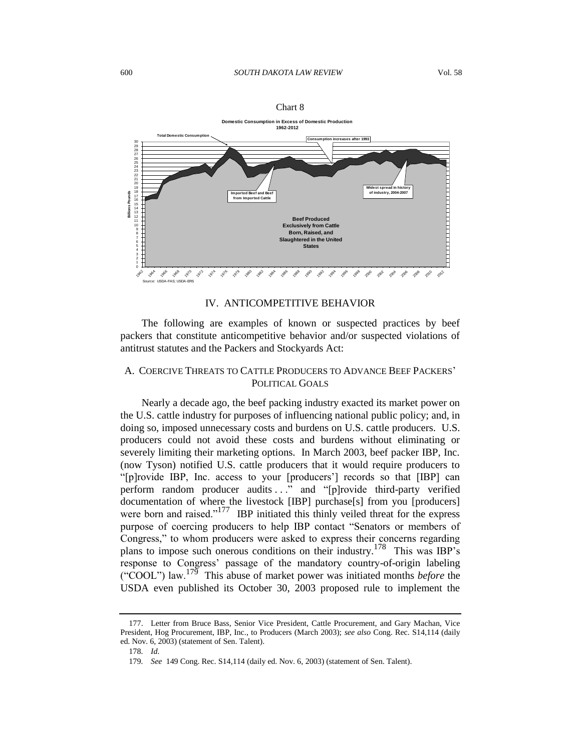|                                                                                                                                                                                                                       |                                                                                                                                                                           | <b>Domestic Consumption in Excess of Domestic Production</b><br>1962-2012                                                                                                                |                                                                                                            |
|-----------------------------------------------------------------------------------------------------------------------------------------------------------------------------------------------------------------------|---------------------------------------------------------------------------------------------------------------------------------------------------------------------------|------------------------------------------------------------------------------------------------------------------------------------------------------------------------------------------|------------------------------------------------------------------------------------------------------------|
|                                                                                                                                                                                                                       | <b>Total Domestic Consumption</b>                                                                                                                                         | Consumption increases after 1993                                                                                                                                                         |                                                                                                            |
| 30<br>29<br>28<br>27<br>26<br>25<br>24<br>23<br>22<br>21<br>20<br>19<br>18<br><b>Billions Pounds</b><br>17<br>16<br>15<br>14<br>13<br>12<br>11<br>10<br>9<br>8<br>7<br>6<br>5<br>4<br>3<br>$\overline{2}$<br>$\Omega$ | Imported Beef and Beef<br>from Imported Cattle<br>1962<br>1966<br>1970<br>1978<br>1980<br>1982<br><b>OB</b><br>$50^2$<br>1976<br><b>1984</b><br><b>000</b><br><b>1974</b> | <b>Beef Produced</b><br><b>Exclusively from Cattle</b><br>Born, Raised, and<br><b>Slaughtered in the United</b><br><b>States</b><br>1986<br>1988<br>1990<br>1992<br>1996<br>1994<br>1998 | Widest spread in history<br>of industry, 2004-2007<br>2010<br>2012<br>2006<br>2008<br>2000<br>2002<br>7004 |
|                                                                                                                                                                                                                       | Source: USDA-FAS; USDA-ERS                                                                                                                                                |                                                                                                                                                                                          |                                                                                                            |

| ъя |  |
|----|--|
|----|--|

### IV. ANTICOMPETITIVE BEHAVIOR

The following are examples of known or suspected practices by beef packers that constitute anticompetitive behavior and/or suspected violations of antitrust statutes and the Packers and Stockyards Act:

# A. COERCIVE THREATS TO CATTLE PRODUCERS TO ADVANCE BEEF PACKERS' POLITICAL GOALS

Nearly a decade ago, the beef packing industry exacted its market power on the U.S. cattle industry for purposes of influencing national public policy; and, in doing so, imposed unnecessary costs and burdens on U.S. cattle producers. U.S. producers could not avoid these costs and burdens without eliminating or severely limiting their marketing options. In March 2003, beef packer IBP, Inc. (now Tyson) notified U.S. cattle producers that it would require producers to "[p]rovide IBP, Inc. access to your [producers'] records so that [IBP] can perform random producer audits ..." and "[p]rovide third-party verified documentation of where the livestock [IBP] purchase[s] from you [producers] were born and raised."<sup>177</sup> IBP initiated this thinly veiled threat for the express purpose of coercing producers to help IBP contact "Senators or members of Congress," to whom producers were asked to express their concerns regarding plans to impose such onerous conditions on their industry.<sup>178</sup> This was IBP's response to Congress' passage of the mandatory country-of-origin labeling ("COOL") law.<sup>179</sup> This abuse of market power was initiated months *before* the USDA even published its October 30, 2003 proposed rule to implement the

<sup>177.</sup> Letter from Bruce Bass, Senior Vice President, Cattle Procurement, and Gary Machan, Vice President, Hog Procurement, IBP, Inc., to Producers (March 2003); *see also* Cong. Rec. S14,114 (daily ed. Nov. 6, 2003) (statement of Sen. Talent).

<sup>178</sup>*. Id.*

<sup>179</sup>*. See* 149 Cong. Rec. S14,114 (daily ed. Nov. 6, 2003) (statement of Sen. Talent).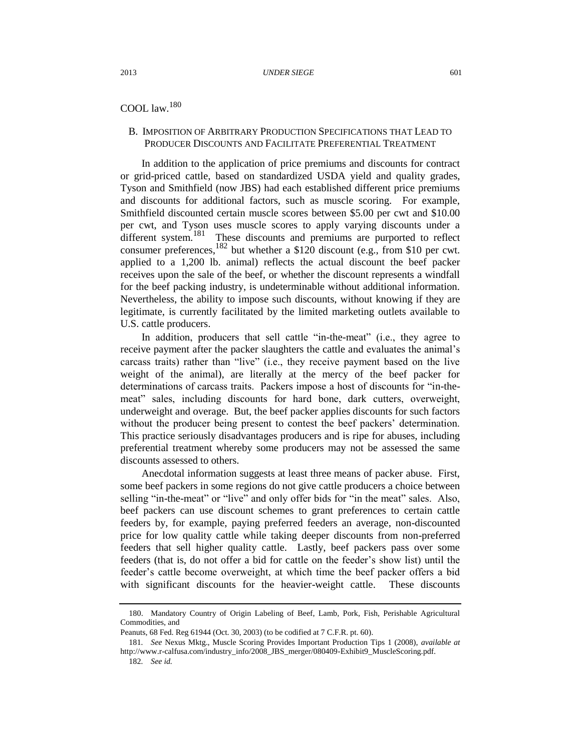# COOL law.<sup>180</sup>

## B. IMPOSITION OF ARBITRARY PRODUCTION SPECIFICATIONS THAT LEAD TO PRODUCER DISCOUNTS AND FACILITATE PREFERENTIAL TREATMENT

In addition to the application of price premiums and discounts for contract or grid-priced cattle, based on standardized USDA yield and quality grades, Tyson and Smithfield (now JBS) had each established different price premiums and discounts for additional factors, such as muscle scoring. For example, Smithfield discounted certain muscle scores between \$5.00 per cwt and \$10.00 per cwt, and Tyson uses muscle scores to apply varying discounts under a different system.<sup>181</sup> These discounts and premiums are purported to reflect consumer preferences,<sup>182</sup> but whether a \$120 discount (e.g., from \$10 per cwt. applied to a 1,200 lb. animal) reflects the actual discount the beef packer receives upon the sale of the beef, or whether the discount represents a windfall for the beef packing industry, is undeterminable without additional information. Nevertheless, the ability to impose such discounts, without knowing if they are legitimate, is currently facilitated by the limited marketing outlets available to U.S. cattle producers.

In addition, producers that sell cattle "in-the-meat" (i.e., they agree to receive payment after the packer slaughters the cattle and evaluates the animal's carcass traits) rather than "live" (i.e., they receive payment based on the live weight of the animal), are literally at the mercy of the beef packer for determinations of carcass traits. Packers impose a host of discounts for "in-themeat" sales, including discounts for hard bone, dark cutters, overweight, underweight and overage. But, the beef packer applies discounts for such factors without the producer being present to contest the beef packers' determination. This practice seriously disadvantages producers and is ripe for abuses, including preferential treatment whereby some producers may not be assessed the same discounts assessed to others.

Anecdotal information suggests at least three means of packer abuse. First, some beef packers in some regions do not give cattle producers a choice between selling "in-the-meat" or "live" and only offer bids for "in the meat" sales. Also, beef packers can use discount schemes to grant preferences to certain cattle feeders by, for example, paying preferred feeders an average, non-discounted price for low quality cattle while taking deeper discounts from non-preferred feeders that sell higher quality cattle. Lastly, beef packers pass over some feeders (that is, do not offer a bid for cattle on the feeder's show list) until the feeder's cattle become overweight, at which time the beef packer offers a bid with significant discounts for the heavier-weight cattle. These discounts

<sup>180.</sup> Mandatory Country of Origin Labeling of Beef, Lamb, Pork, Fish, Perishable Agricultural Commodities, and

Peanuts, 68 Fed. Reg 61944 (Oct. 30, 2003) (to be codified at 7 C.F.R. pt. 60).

<sup>181</sup>*. See* Nexus Mktg., Muscle Scoring Provides Important Production Tips 1 (2008), *available at* http://www.r-calfusa.com/industry\_info/2008\_JBS\_merger/080409-Exhibit9\_MuscleScoring.pdf.

<sup>182</sup>*. See id.*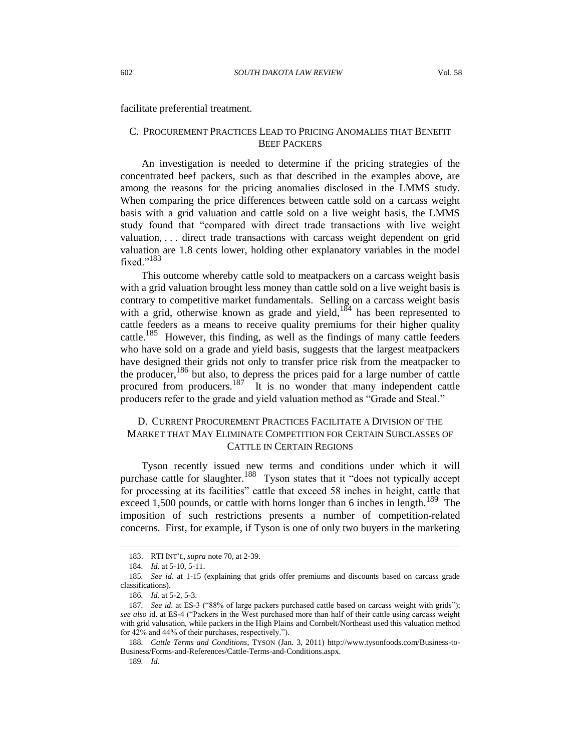facilitate preferential treatment.

## C. PROCUREMENT PRACTICES LEAD TO PRICING ANOMALIES THAT BENEFIT BEEF PACKERS

An investigation is needed to determine if the pricing strategies of the concentrated beef packers, such as that described in the examples above, are among the reasons for the pricing anomalies disclosed in the LMMS study. When comparing the price differences between cattle sold on a carcass weight basis with a grid valuation and cattle sold on a live weight basis, the LMMS study found that "compared with direct trade transactions with live weight valuation, . . . direct trade transactions with carcass weight dependent on grid valuation are 1.8 cents lower, holding other explanatory variables in the model fixed."<sup>183</sup>

This outcome whereby cattle sold to meatpackers on a carcass weight basis with a grid valuation brought less money than cattle sold on a live weight basis is contrary to competitive market fundamentals. Selling on a carcass weight basis with a grid, otherwise known as grade and yield, $184$  has been represented to cattle feeders as a means to receive quality premiums for their higher quality cattle.<sup>185</sup> However, this finding, as well as the findings of many cattle feeders who have sold on a grade and yield basis, suggests that the largest meatpackers have designed their grids not only to transfer price risk from the meatpacker to the producer,<sup>186</sup> but also, to depress the prices paid for a large number of cattle procured from producers.<sup>187</sup> It is no wonder that many independent cattle producers refer to the grade and yield valuation method as "Grade and Steal."

# D. CURRENT PROCUREMENT PRACTICES FACILITATE A DIVISION OF THE MARKET THAT MAY ELIMINATE COMPETITION FOR CERTAIN SUBCLASSES OF CATTLE IN CERTAIN REGIONS

Tyson recently issued new terms and conditions under which it will purchase cattle for slaughter.<sup>188</sup> Tyson states that it "does not typically accept for processing at its facilities" cattle that exceed 58 inches in height, cattle that exceed 1,500 pounds, or cattle with horns longer than 6 inches in length.<sup>189</sup> The imposition of such restrictions presents a number of competition-related concerns. First, for example, if Tyson is one of only two buyers in the marketing

<sup>183.</sup> RTI INT'L, *supra* note [70,](#page-15-1) at 2-39.

<sup>184</sup>*. Id*. at 5-10, 5-11.

<sup>185</sup>*. See id*. at 1-15 (explaining that grids offer premiums and discounts based on carcass grade classifications).

<sup>186</sup>*. Id*. at 5-2, 5-3.

<sup>187</sup>*. See id*. at ES-3 ("88% of large packers purchased cattle based on carcass weight with grids"); *see also* id. at ES-4 ("Packers in the West purchased more than half of their cattle using carcass weight with grid valusation, while packers in the High Plains and Cornbelt/Northeast used this valuation method for 42% and 44% of their purchases, respectively.").

<sup>188</sup>*. Cattle Terms and Conditions*, TYSON (Jan. 3, 2011) http://www.tysonfoods.com/Business-to-Business/Forms-and-References/Cattle-Terms-and-Conditions.aspx.

<sup>189</sup>*. Id*.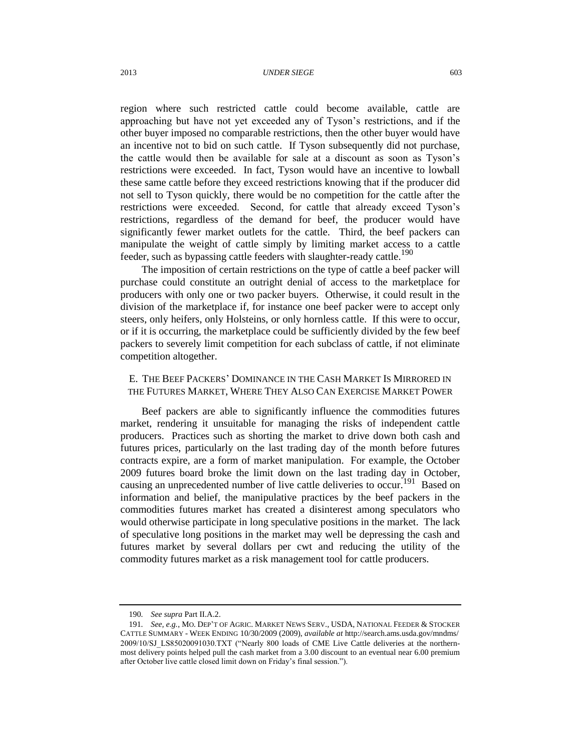region where such restricted cattle could become available, cattle are approaching but have not yet exceeded any of Tyson's restrictions, and if the other buyer imposed no comparable restrictions, then the other buyer would have an incentive not to bid on such cattle. If Tyson subsequently did not purchase, the cattle would then be available for sale at a discount as soon as Tyson's restrictions were exceeded. In fact, Tyson would have an incentive to lowball these same cattle before they exceed restrictions knowing that if the producer did not sell to Tyson quickly, there would be no competition for the cattle after the restrictions were exceeded. Second, for cattle that already exceed Tyson's restrictions, regardless of the demand for beef, the producer would have significantly fewer market outlets for the cattle. Third, the beef packers can manipulate the weight of cattle simply by limiting market access to a cattle feeder, such as bypassing cattle feeders with slaughter-ready cattle.<sup>190</sup>

The imposition of certain restrictions on the type of cattle a beef packer will purchase could constitute an outright denial of access to the marketplace for producers with only one or two packer buyers. Otherwise, it could result in the division of the marketplace if, for instance one beef packer were to accept only steers, only heifers, only Holsteins, or only hornless cattle. If this were to occur, or if it is occurring, the marketplace could be sufficiently divided by the few beef packers to severely limit competition for each subclass of cattle, if not eliminate competition altogether.

# E. THE BEEF PACKERS' DOMINANCE IN THE CASH MARKET IS MIRRORED IN THE FUTURES MARKET, WHERE THEY ALSO CAN EXERCISE MARKET POWER

Beef packers are able to significantly influence the commodities futures market, rendering it unsuitable for managing the risks of independent cattle producers. Practices such as shorting the market to drive down both cash and futures prices, particularly on the last trading day of the month before futures contracts expire, are a form of market manipulation. For example, the October 2009 futures board broke the limit down on the last trading day in October, causing an unprecedented number of live cattle deliveries to occur.<sup>191</sup> Based on information and belief, the manipulative practices by the beef packers in the commodities futures market has created a disinterest among speculators who would otherwise participate in long speculative positions in the market. The lack of speculative long positions in the market may well be depressing the cash and futures market by several dollars per cwt and reducing the utility of the commodity futures market as a risk management tool for cattle producers.

<sup>190</sup>*. See supra* Part II.A.2.

<sup>191</sup>*. See, e.g.*, MO. DEP'T OF AGRIC. MARKET NEWS SERV., USDA, NATIONAL FEEDER & STOCKER CATTLE SUMMARY - WEEK ENDING 10/30/2009 (2009), *available at* http://search.ams.usda.gov/mndms/ 2009/10/SJ\_LS85020091030.TXT ("Nearly 800 loads of CME Live Cattle deliveries at the northernmost delivery points helped pull the cash market from a 3.00 discount to an eventual near 6.00 premium after October live cattle closed limit down on Friday's final session.").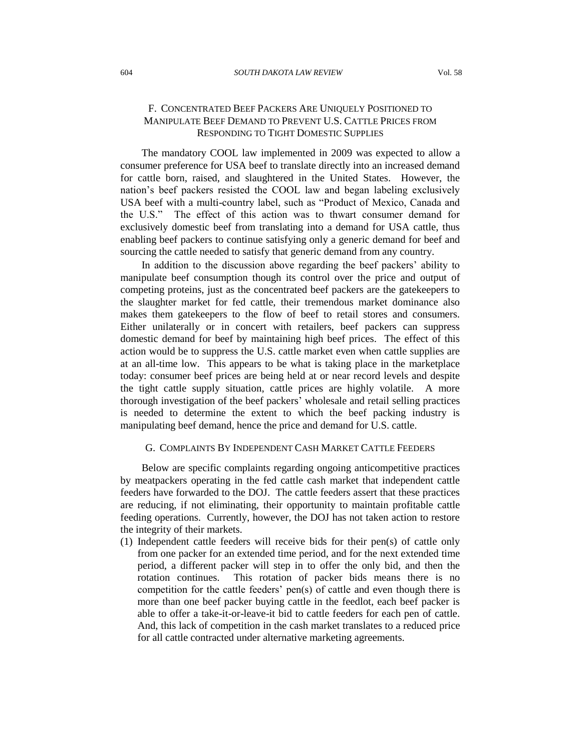# F. CONCENTRATED BEEF PACKERS ARE UNIQUELY POSITIONED TO MANIPULATE BEEF DEMAND TO PREVENT U.S. CATTLE PRICES FROM RESPONDING TO TIGHT DOMESTIC SUPPLIES

The mandatory COOL law implemented in 2009 was expected to allow a consumer preference for USA beef to translate directly into an increased demand for cattle born, raised, and slaughtered in the United States. However, the nation's beef packers resisted the COOL law and began labeling exclusively USA beef with a multi-country label, such as "Product of Mexico, Canada and the U.S." The effect of this action was to thwart consumer demand for exclusively domestic beef from translating into a demand for USA cattle, thus enabling beef packers to continue satisfying only a generic demand for beef and sourcing the cattle needed to satisfy that generic demand from any country.

In addition to the discussion above regarding the beef packers' ability to manipulate beef consumption though its control over the price and output of competing proteins, just as the concentrated beef packers are the gatekeepers to the slaughter market for fed cattle, their tremendous market dominance also makes them gatekeepers to the flow of beef to retail stores and consumers. Either unilaterally or in concert with retailers, beef packers can suppress domestic demand for beef by maintaining high beef prices. The effect of this action would be to suppress the U.S. cattle market even when cattle supplies are at an all-time low. This appears to be what is taking place in the marketplace today: consumer beef prices are being held at or near record levels and despite the tight cattle supply situation, cattle prices are highly volatile. A more thorough investigation of the beef packers' wholesale and retail selling practices is needed to determine the extent to which the beef packing industry is manipulating beef demand, hence the price and demand for U.S. cattle.

## G. COMPLAINTS BY INDEPENDENT CASH MARKET CATTLE FEEDERS

Below are specific complaints regarding ongoing anticompetitive practices by meatpackers operating in the fed cattle cash market that independent cattle feeders have forwarded to the DOJ. The cattle feeders assert that these practices are reducing, if not eliminating, their opportunity to maintain profitable cattle feeding operations. Currently, however, the DOJ has not taken action to restore the integrity of their markets.

(1) Independent cattle feeders will receive bids for their pen(s) of cattle only from one packer for an extended time period, and for the next extended time period, a different packer will step in to offer the only bid, and then the rotation continues. This rotation of packer bids means there is no competition for the cattle feeders' pen(s) of cattle and even though there is more than one beef packer buying cattle in the feedlot, each beef packer is able to offer a take-it-or-leave-it bid to cattle feeders for each pen of cattle. And, this lack of competition in the cash market translates to a reduced price for all cattle contracted under alternative marketing agreements.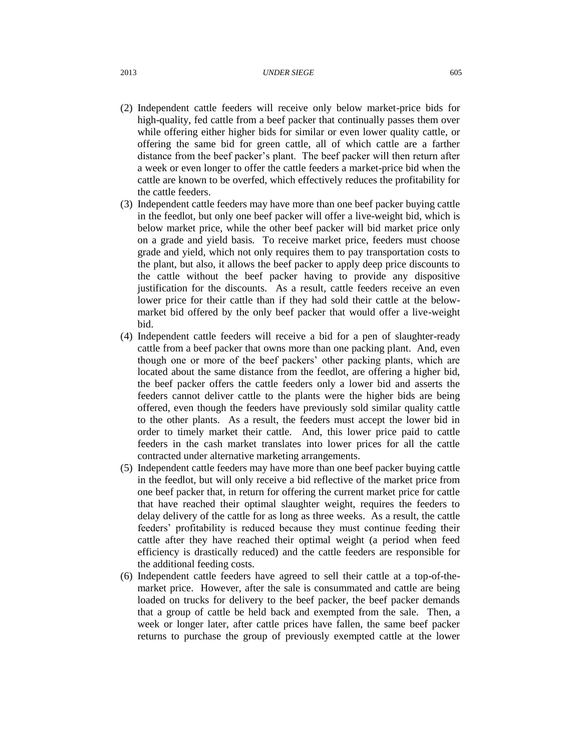#### 2013 *UNDER SIEGE* 605

- (2) Independent cattle feeders will receive only below market-price bids for high-quality, fed cattle from a beef packer that continually passes them over while offering either higher bids for similar or even lower quality cattle, or offering the same bid for green cattle, all of which cattle are a farther distance from the beef packer's plant. The beef packer will then return after a week or even longer to offer the cattle feeders a market-price bid when the cattle are known to be overfed, which effectively reduces the profitability for the cattle feeders.
- (3) Independent cattle feeders may have more than one beef packer buying cattle in the feedlot, but only one beef packer will offer a live-weight bid, which is below market price, while the other beef packer will bid market price only on a grade and yield basis. To receive market price, feeders must choose grade and yield, which not only requires them to pay transportation costs to the plant, but also, it allows the beef packer to apply deep price discounts to the cattle without the beef packer having to provide any dispositive justification for the discounts. As a result, cattle feeders receive an even lower price for their cattle than if they had sold their cattle at the belowmarket bid offered by the only beef packer that would offer a live-weight bid.
- (4) Independent cattle feeders will receive a bid for a pen of slaughter-ready cattle from a beef packer that owns more than one packing plant. And, even though one or more of the beef packers' other packing plants, which are located about the same distance from the feedlot, are offering a higher bid, the beef packer offers the cattle feeders only a lower bid and asserts the feeders cannot deliver cattle to the plants were the higher bids are being offered, even though the feeders have previously sold similar quality cattle to the other plants. As a result, the feeders must accept the lower bid in order to timely market their cattle. And, this lower price paid to cattle feeders in the cash market translates into lower prices for all the cattle contracted under alternative marketing arrangements.
- (5) Independent cattle feeders may have more than one beef packer buying cattle in the feedlot, but will only receive a bid reflective of the market price from one beef packer that, in return for offering the current market price for cattle that have reached their optimal slaughter weight, requires the feeders to delay delivery of the cattle for as long as three weeks. As a result, the cattle feeders' profitability is reduced because they must continue feeding their cattle after they have reached their optimal weight (a period when feed efficiency is drastically reduced) and the cattle feeders are responsible for the additional feeding costs.
- (6) Independent cattle feeders have agreed to sell their cattle at a top-of-themarket price. However, after the sale is consummated and cattle are being loaded on trucks for delivery to the beef packer, the beef packer demands that a group of cattle be held back and exempted from the sale. Then, a week or longer later, after cattle prices have fallen, the same beef packer returns to purchase the group of previously exempted cattle at the lower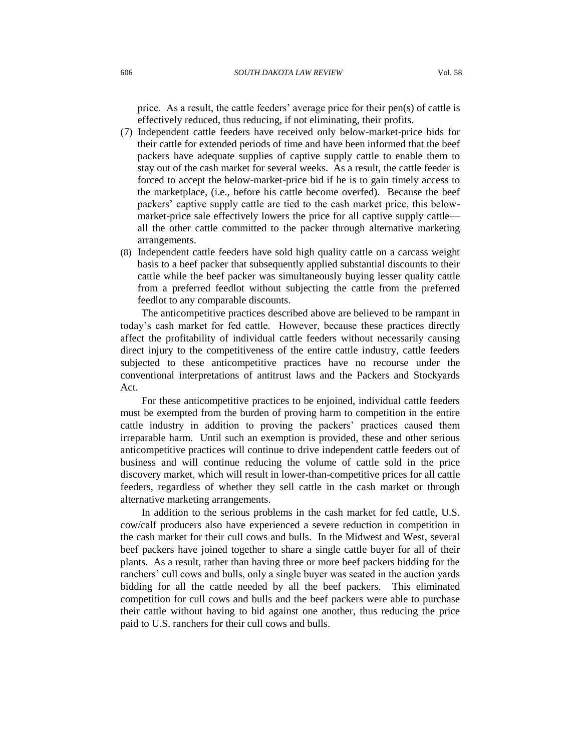price. As a result, the cattle feeders' average price for their pen(s) of cattle is effectively reduced, thus reducing, if not eliminating, their profits.

- (7) Independent cattle feeders have received only below-market-price bids for their cattle for extended periods of time and have been informed that the beef packers have adequate supplies of captive supply cattle to enable them to stay out of the cash market for several weeks. As a result, the cattle feeder is forced to accept the below-market-price bid if he is to gain timely access to the marketplace, (i.e., before his cattle become overfed). Because the beef packers' captive supply cattle are tied to the cash market price, this belowmarket-price sale effectively lowers the price for all captive supply cattle all the other cattle committed to the packer through alternative marketing arrangements.
- (8) Independent cattle feeders have sold high quality cattle on a carcass weight basis to a beef packer that subsequently applied substantial discounts to their cattle while the beef packer was simultaneously buying lesser quality cattle from a preferred feedlot without subjecting the cattle from the preferred feedlot to any comparable discounts.

The anticompetitive practices described above are believed to be rampant in today's cash market for fed cattle. However, because these practices directly affect the profitability of individual cattle feeders without necessarily causing direct injury to the competitiveness of the entire cattle industry, cattle feeders subjected to these anticompetitive practices have no recourse under the conventional interpretations of antitrust laws and the Packers and Stockyards Act.

For these anticompetitive practices to be enjoined, individual cattle feeders must be exempted from the burden of proving harm to competition in the entire cattle industry in addition to proving the packers' practices caused them irreparable harm. Until such an exemption is provided, these and other serious anticompetitive practices will continue to drive independent cattle feeders out of business and will continue reducing the volume of cattle sold in the price discovery market, which will result in lower-than-competitive prices for all cattle feeders, regardless of whether they sell cattle in the cash market or through alternative marketing arrangements.

In addition to the serious problems in the cash market for fed cattle, U.S. cow/calf producers also have experienced a severe reduction in competition in the cash market for their cull cows and bulls. In the Midwest and West, several beef packers have joined together to share a single cattle buyer for all of their plants. As a result, rather than having three or more beef packers bidding for the ranchers' cull cows and bulls, only a single buyer was seated in the auction yards bidding for all the cattle needed by all the beef packers. This eliminated competition for cull cows and bulls and the beef packers were able to purchase their cattle without having to bid against one another, thus reducing the price paid to U.S. ranchers for their cull cows and bulls.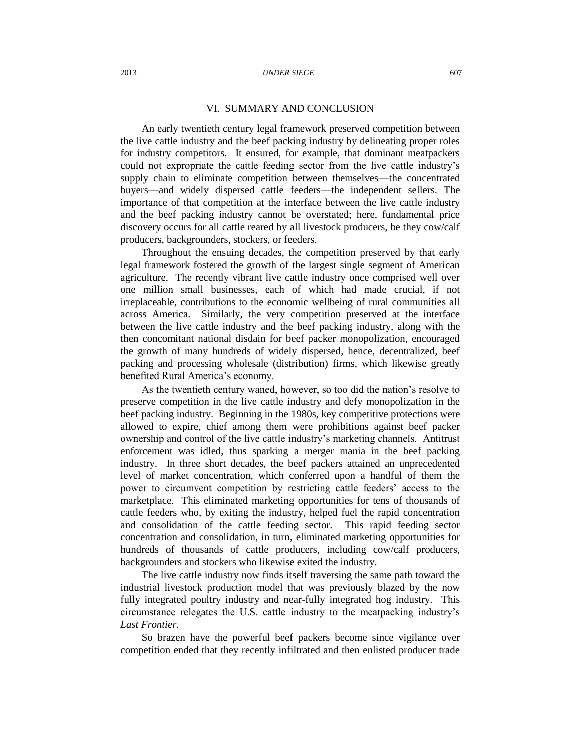## VI. SUMMARY AND CONCLUSION

An early twentieth century legal framework preserved competition between the live cattle industry and the beef packing industry by delineating proper roles for industry competitors. It ensured, for example, that dominant meatpackers could not expropriate the cattle feeding sector from the live cattle industry's supply chain to eliminate competition between themselves—the concentrated buyers—and widely dispersed cattle feeders—the independent sellers. The importance of that competition at the interface between the live cattle industry and the beef packing industry cannot be overstated; here, fundamental price discovery occurs for all cattle reared by all livestock producers, be they cow/calf producers, backgrounders, stockers, or feeders.

Throughout the ensuing decades, the competition preserved by that early legal framework fostered the growth of the largest single segment of American agriculture. The recently vibrant live cattle industry once comprised well over one million small businesses, each of which had made crucial, if not irreplaceable, contributions to the economic wellbeing of rural communities all across America. Similarly, the very competition preserved at the interface between the live cattle industry and the beef packing industry, along with the then concomitant national disdain for beef packer monopolization, encouraged the growth of many hundreds of widely dispersed, hence, decentralized, beef packing and processing wholesale (distribution) firms, which likewise greatly benefited Rural America's economy.

As the twentieth century waned, however, so too did the nation's resolve to preserve competition in the live cattle industry and defy monopolization in the beef packing industry. Beginning in the 1980s, key competitive protections were allowed to expire, chief among them were prohibitions against beef packer ownership and control of the live cattle industry's marketing channels. Antitrust enforcement was idled, thus sparking a merger mania in the beef packing industry. In three short decades, the beef packers attained an unprecedented level of market concentration, which conferred upon a handful of them the power to circumvent competition by restricting cattle feeders' access to the marketplace. This eliminated marketing opportunities for tens of thousands of cattle feeders who, by exiting the industry, helped fuel the rapid concentration and consolidation of the cattle feeding sector. This rapid feeding sector concentration and consolidation, in turn, eliminated marketing opportunities for hundreds of thousands of cattle producers, including cow/calf producers, backgrounders and stockers who likewise exited the industry.

The live cattle industry now finds itself traversing the same path toward the industrial livestock production model that was previously blazed by the now fully integrated poultry industry and near-fully integrated hog industry. This circumstance relegates the U.S. cattle industry to the meatpacking industry's *Last Frontier*.

So brazen have the powerful beef packers become since vigilance over competition ended that they recently infiltrated and then enlisted producer trade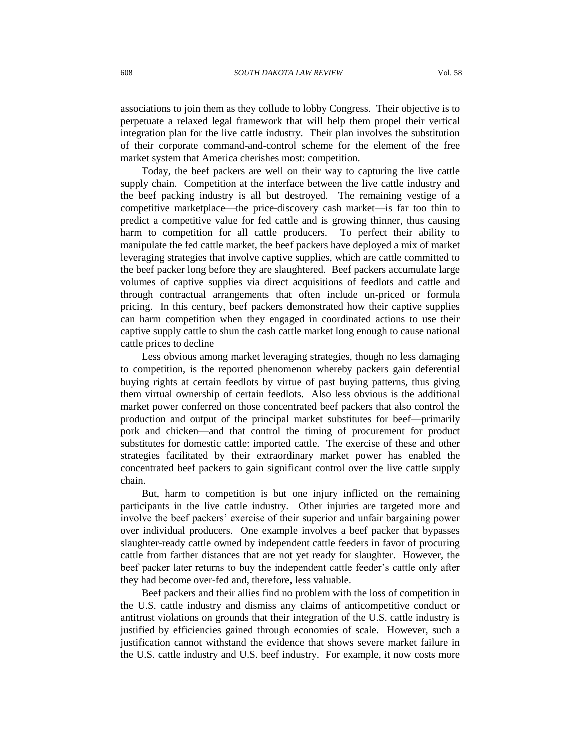associations to join them as they collude to lobby Congress. Their objective is to perpetuate a relaxed legal framework that will help them propel their vertical integration plan for the live cattle industry. Their plan involves the substitution of their corporate command-and-control scheme for the element of the free market system that America cherishes most: competition.

Today, the beef packers are well on their way to capturing the live cattle supply chain. Competition at the interface between the live cattle industry and the beef packing industry is all but destroyed. The remaining vestige of a competitive marketplace—the price-discovery cash market—is far too thin to predict a competitive value for fed cattle and is growing thinner, thus causing harm to competition for all cattle producers. To perfect their ability to manipulate the fed cattle market, the beef packers have deployed a mix of market leveraging strategies that involve captive supplies, which are cattle committed to the beef packer long before they are slaughtered. Beef packers accumulate large volumes of captive supplies via direct acquisitions of feedlots and cattle and through contractual arrangements that often include un-priced or formula pricing. In this century, beef packers demonstrated how their captive supplies can harm competition when they engaged in coordinated actions to use their captive supply cattle to shun the cash cattle market long enough to cause national cattle prices to decline

Less obvious among market leveraging strategies, though no less damaging to competition, is the reported phenomenon whereby packers gain deferential buying rights at certain feedlots by virtue of past buying patterns, thus giving them virtual ownership of certain feedlots. Also less obvious is the additional market power conferred on those concentrated beef packers that also control the production and output of the principal market substitutes for beef—primarily pork and chicken—and that control the timing of procurement for product substitutes for domestic cattle: imported cattle. The exercise of these and other strategies facilitated by their extraordinary market power has enabled the concentrated beef packers to gain significant control over the live cattle supply chain.

But, harm to competition is but one injury inflicted on the remaining participants in the live cattle industry. Other injuries are targeted more and involve the beef packers' exercise of their superior and unfair bargaining power over individual producers. One example involves a beef packer that bypasses slaughter-ready cattle owned by independent cattle feeders in favor of procuring cattle from farther distances that are not yet ready for slaughter. However, the beef packer later returns to buy the independent cattle feeder's cattle only after they had become over-fed and, therefore, less valuable.

Beef packers and their allies find no problem with the loss of competition in the U.S. cattle industry and dismiss any claims of anticompetitive conduct or antitrust violations on grounds that their integration of the U.S. cattle industry is justified by efficiencies gained through economies of scale. However, such a justification cannot withstand the evidence that shows severe market failure in the U.S. cattle industry and U.S. beef industry. For example, it now costs more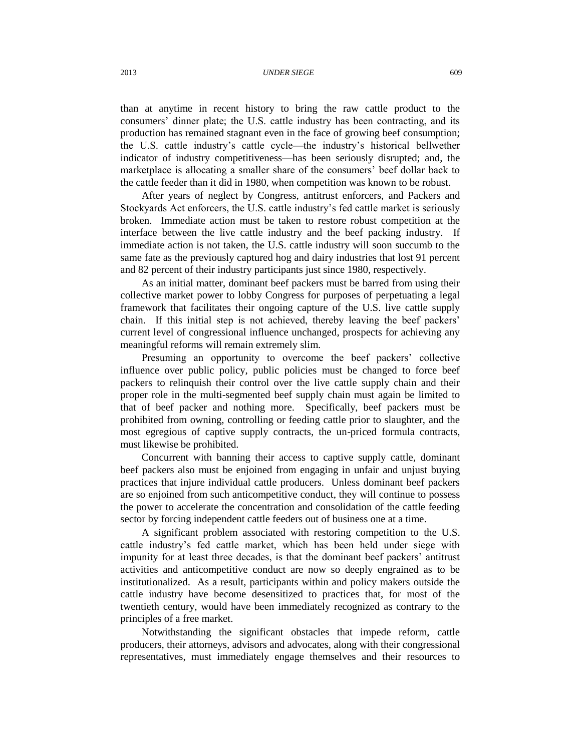#### 2013 *UNDER SIEGE* 609

than at anytime in recent history to bring the raw cattle product to the consumers' dinner plate; the U.S. cattle industry has been contracting, and its production has remained stagnant even in the face of growing beef consumption; the U.S. cattle industry's cattle cycle—the industry's historical bellwether indicator of industry competitiveness—has been seriously disrupted; and, the marketplace is allocating a smaller share of the consumers' beef dollar back to the cattle feeder than it did in 1980, when competition was known to be robust.

After years of neglect by Congress, antitrust enforcers, and Packers and Stockyards Act enforcers, the U.S. cattle industry's fed cattle market is seriously broken. Immediate action must be taken to restore robust competition at the interface between the live cattle industry and the beef packing industry. If immediate action is not taken, the U.S. cattle industry will soon succumb to the same fate as the previously captured hog and dairy industries that lost 91 percent and 82 percent of their industry participants just since 1980, respectively.

As an initial matter, dominant beef packers must be barred from using their collective market power to lobby Congress for purposes of perpetuating a legal framework that facilitates their ongoing capture of the U.S. live cattle supply chain. If this initial step is not achieved, thereby leaving the beef packers' current level of congressional influence unchanged, prospects for achieving any meaningful reforms will remain extremely slim.

Presuming an opportunity to overcome the beef packers' collective influence over public policy, public policies must be changed to force beef packers to relinquish their control over the live cattle supply chain and their proper role in the multi-segmented beef supply chain must again be limited to that of beef packer and nothing more. Specifically, beef packers must be prohibited from owning, controlling or feeding cattle prior to slaughter, and the most egregious of captive supply contracts, the un-priced formula contracts, must likewise be prohibited.

Concurrent with banning their access to captive supply cattle, dominant beef packers also must be enjoined from engaging in unfair and unjust buying practices that injure individual cattle producers. Unless dominant beef packers are so enjoined from such anticompetitive conduct, they will continue to possess the power to accelerate the concentration and consolidation of the cattle feeding sector by forcing independent cattle feeders out of business one at a time.

A significant problem associated with restoring competition to the U.S. cattle industry's fed cattle market, which has been held under siege with impunity for at least three decades, is that the dominant beef packers' antitrust activities and anticompetitive conduct are now so deeply engrained as to be institutionalized. As a result, participants within and policy makers outside the cattle industry have become desensitized to practices that, for most of the twentieth century, would have been immediately recognized as contrary to the principles of a free market.

Notwithstanding the significant obstacles that impede reform, cattle producers, their attorneys, advisors and advocates, along with their congressional representatives, must immediately engage themselves and their resources to